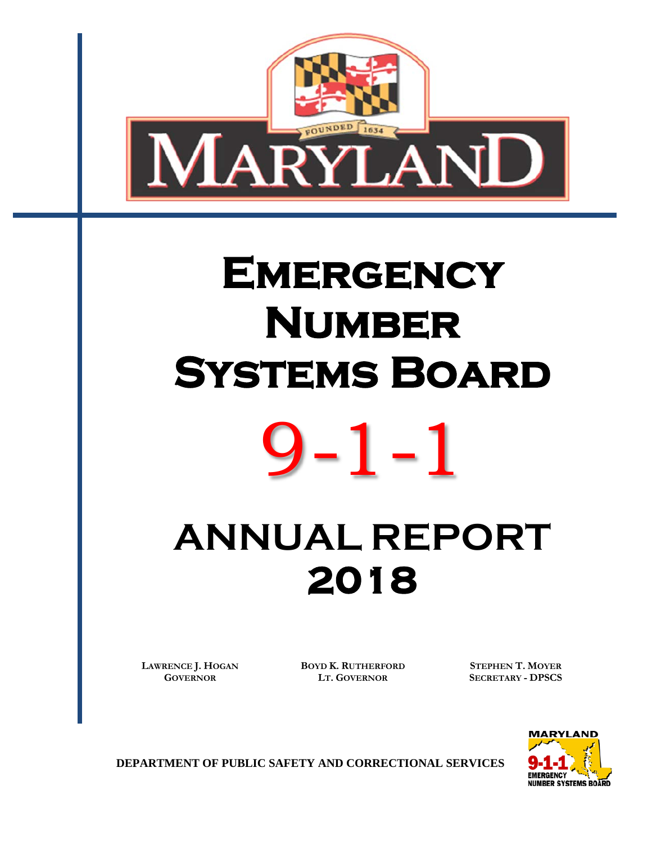

# **EMERGENCY Number Systems Board**  9-1-1

# **ANNUAL REPORT 2018**

**LAWRENCE J. HOGAN GOVERNOR**

**BOYD K. RUTHERFORD LT. GOVERNOR**

**STEPHEN T. MOYER SECRETARY - DPSCS**



**DEPARTMENT OF PUBLIC SAFETY AND CORRECTIONAL SERVICES**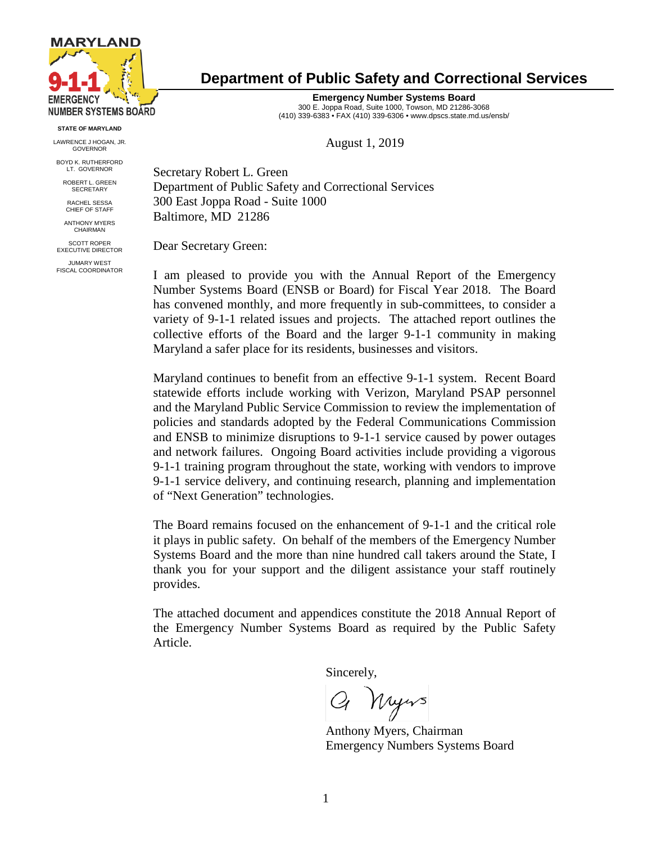

**STATE OF MARYLAND**

LAWRENCE J HOGAN, JR. GOVERNOR

BOYD K. RUTHERFORD LT. GOVERNOR

ROBERT L. GREEN **SECRETARY** 

RACHEL SESSA CHIEF OF STAFF

ANTHONY MYERS CHAIRMAN

SCOTT ROPER EXECUTIVE DIRECTOR

JUMARY WEST FISCAL COORDINATOR

# **Department of Public Safety and Correctional Services**

**Emergency Number Systems Board** 300 E. Joppa Road, Suite 1000, Towson, MD 21286-3068 (410) 339-6383 • FAX (410) 339-6306 • www.dpscs.state.md.us/ensb/

August 1, 2019

Secretary Robert L. Green Department of Public Safety and Correctional Services 300 East Joppa Road - Suite 1000 Baltimore, MD 21286

Dear Secretary Green:

I am pleased to provide you with the Annual Report of the Emergency Number Systems Board (ENSB or Board) for Fiscal Year 2018. The Board has convened monthly, and more frequently in sub-committees, to consider a variety of 9-1-1 related issues and projects. The attached report outlines the collective efforts of the Board and the larger 9-1-1 community in making Maryland a safer place for its residents, businesses and visitors.

Maryland continues to benefit from an effective 9-1-1 system. Recent Board statewide efforts include working with Verizon, Maryland PSAP personnel and the Maryland Public Service Commission to review the implementation of policies and standards adopted by the Federal Communications Commission and ENSB to minimize disruptions to 9-1-1 service caused by power outages and network failures. Ongoing Board activities include providing a vigorous 9-1-1 training program throughout the state, working with vendors to improve 9-1-1 service delivery, and continuing research, planning and implementation of "Next Generation" technologies.

The Board remains focused on the enhancement of 9-1-1 and the critical role it plays in public safety. On behalf of the members of the Emergency Number Systems Board and the more than nine hundred call takers around the State, I thank you for your support and the diligent assistance your staff routinely provides.

The attached document and appendices constitute the 2018 Annual Report of the Emergency Number Systems Board as required by the Public Safety Article.

Sincerely,

Q Myrs

Anthony Myers, Chairman Emergency Numbers Systems Board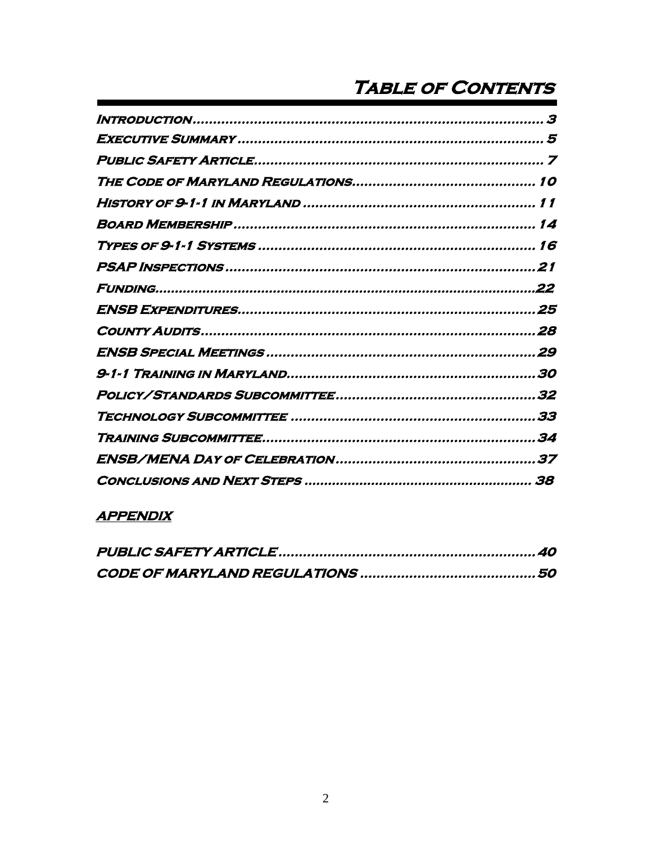# **TABLE OF CONTENTS**

| 3 |
|---|
|   |
|   |
|   |
|   |
|   |
|   |
|   |
|   |
|   |
|   |
|   |
|   |
|   |
|   |
|   |
|   |
|   |

# **APPENDIX**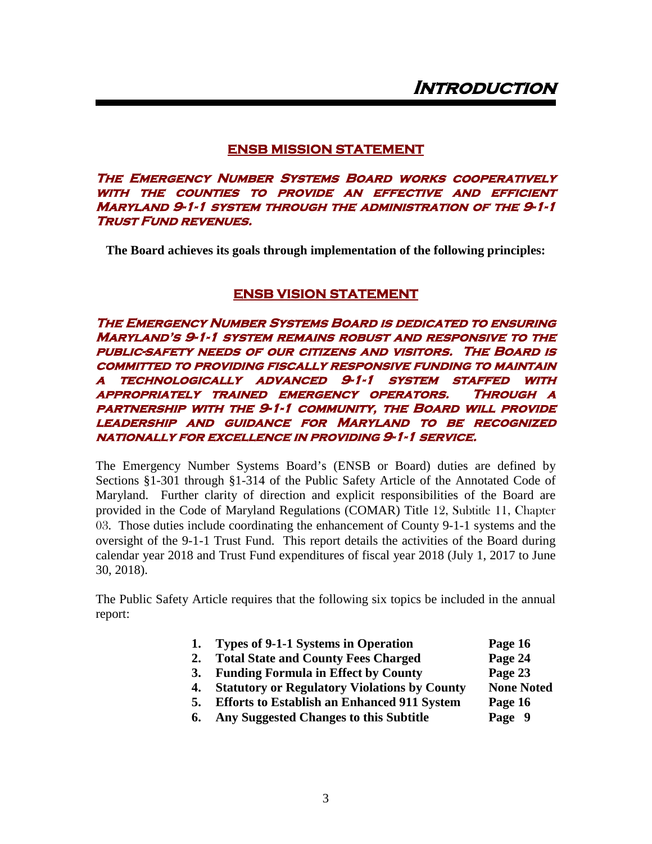# **ENSB MISSION STATEMENT**

<span id="page-3-0"></span>**The Emergency Number Systems Board works cooperatively with the counties to provide an effective and efficient Maryland 9-1-1 system through the administration of the 9-1-1 Trust Fund revenues.** 

**The Board achieves its goals through implementation of the following principles:**

# **ENSB VISION STATEMENT**

**The Emergency Number Systems Board is dedicated to ensuring Maryland's 9-1-1 system remains robust and responsive to the public-safety needs of our citizens and visitors. The Board is committed to providing fiscally responsive funding to maintain a technologically advanced 9-1-1 system staffed with appropriately trained emergency operators. Through a partnership with the 9-1-1 community, the Board will provide leadership and guidance for Maryland to be recognized nationally for excellence in providing 9-1-1 service.**

The Emergency Number Systems Board's (ENSB or Board) duties are defined by Sections §1-301 through §1-314 of the Public Safety Article of the Annotated Code of Maryland. Further clarity of direction and explicit responsibilities of the Board are provided in the Code of Maryland Regulations (COMAR) Title 12, Subtitle 11, Chapter 03. Those duties include coordinating the enhancement of County 9-1-1 systems and the oversight of the 9-1-1 Trust Fund. This report details the activities of the Board during calendar year 2018 and Trust Fund expenditures of fiscal year 2018 (July 1, 2017 to June 30, 2018).

The Public Safety Article requires that the following six topics be included in the annual report:

- **1. Types of 9-1-1 Systems in Operation Page 16**
- **2. Total State and County Fees Charged Page 24**
- **3. Funding Formula in Effect by County Page 23**
- **4. Statutory or Regulatory Violations by County None Noted**
- **5. Efforts to Establish an Enhanced 911 System Page 16**
- **6. Any Suggested Changes to this Subtitle Page 9**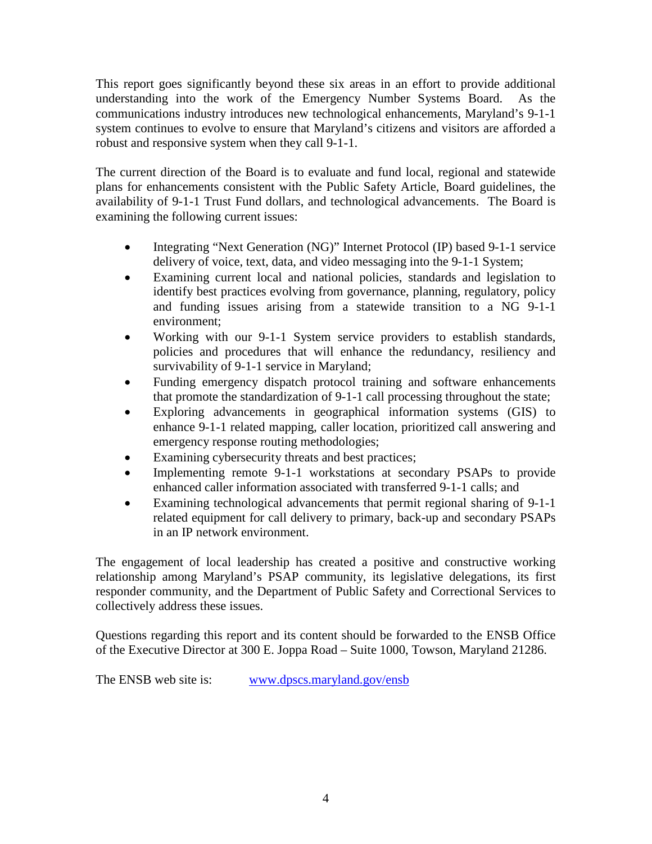This report goes significantly beyond these six areas in an effort to provide additional understanding into the work of the Emergency Number Systems Board. As the communications industry introduces new technological enhancements, Maryland's 9-1-1 system continues to evolve to ensure that Maryland's citizens and visitors are afforded a robust and responsive system when they call 9-1-1.

The current direction of the Board is to evaluate and fund local, regional and statewide plans for enhancements consistent with the Public Safety Article, Board guidelines, the availability of 9-1-1 Trust Fund dollars, and technological advancements. The Board is examining the following current issues:

- Integrating "Next Generation (NG)" Internet Protocol (IP) based 9-1-1 service delivery of voice, text, data, and video messaging into the 9-1-1 System;
- Examining current local and national policies, standards and legislation to identify best practices evolving from governance, planning, regulatory, policy and funding issues arising from a statewide transition to a NG 9-1-1 environment;
- Working with our 9-1-1 System service providers to establish standards, policies and procedures that will enhance the redundancy, resiliency and survivability of 9-1-1 service in Maryland;
- Funding emergency dispatch protocol training and software enhancements that promote the standardization of 9-1-1 call processing throughout the state;
- Exploring advancements in geographical information systems (GIS) to enhance 9-1-1 related mapping, caller location, prioritized call answering and emergency response routing methodologies;
- Examining cybersecurity threats and best practices;
- Implementing remote 9-1-1 workstations at secondary PSAPs to provide enhanced caller information associated with transferred 9-1-1 calls; and
- Examining technological advancements that permit regional sharing of 9-1-1 related equipment for call delivery to primary, back-up and secondary PSAPs in an IP network environment.

The engagement of local leadership has created a positive and constructive working relationship among Maryland's PSAP community, its legislative delegations, its first responder community, and the Department of Public Safety and Correctional Services to collectively address these issues.

Questions regarding this report and its content should be forwarded to the ENSB Office of the Executive Director at 300 E. Joppa Road – Suite 1000, Towson, Maryland 21286.

The ENSB web site is: [www.dpscs.maryland.gov/ensb](http://www.dpscs.maryland.gov/ensb)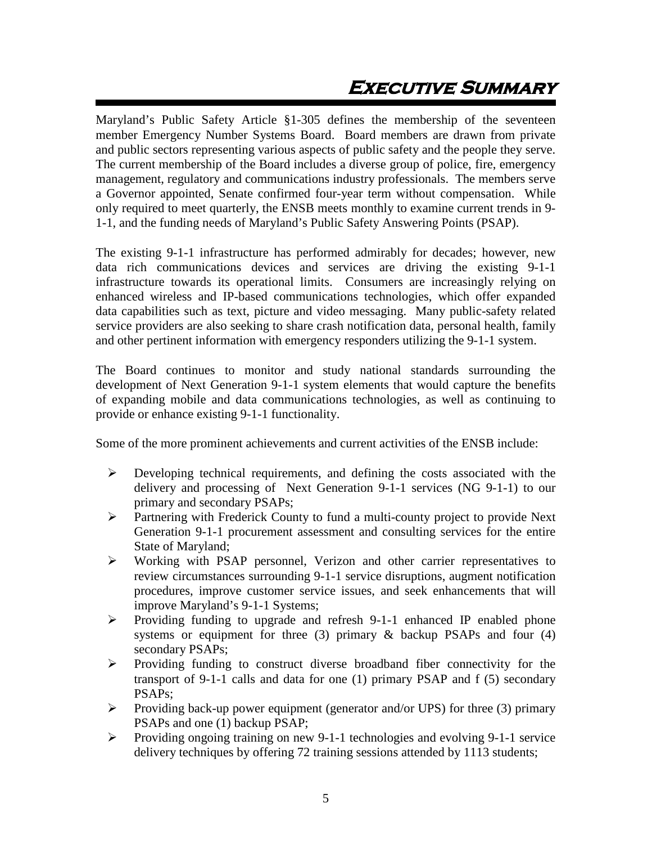# **Executive Summary**

<span id="page-5-0"></span>Maryland's Public Safety Article §1-305 defines the membership of the seventeen member Emergency Number Systems Board. Board members are drawn from private and public sectors representing various aspects of public safety and the people they serve. The current membership of the Board includes a diverse group of police, fire, emergency management, regulatory and communications industry professionals. The members serve a Governor appointed, Senate confirmed four-year term without compensation. While only required to meet quarterly, the ENSB meets monthly to examine current trends in 9- 1-1, and the funding needs of Maryland's Public Safety Answering Points (PSAP).

The existing 9-1-1 infrastructure has performed admirably for decades; however, new data rich communications devices and services are driving the existing 9-1-1 infrastructure towards its operational limits. Consumers are increasingly relying on enhanced wireless and IP-based communications technologies, which offer expanded data capabilities such as text, picture and video messaging. Many public-safety related service providers are also seeking to share crash notification data, personal health, family and other pertinent information with emergency responders utilizing the 9-1-1 system.

The Board continues to monitor and study national standards surrounding the development of Next Generation 9-1-1 system elements that would capture the benefits of expanding mobile and data communications technologies, as well as continuing to provide or enhance existing 9-1-1 functionality.

Some of the more prominent achievements and current activities of the ENSB include:

- $\triangleright$  Developing technical requirements, and defining the costs associated with the delivery and processing of Next Generation 9-1-1 services (NG 9-1-1) to our primary and secondary PSAPs;
- Partnering with Frederick County to fund a multi-county project to provide Next Generation 9-1-1 procurement assessment and consulting services for the entire State of Maryland;
- Working with PSAP personnel, Verizon and other carrier representatives to review circumstances surrounding 9-1-1 service disruptions, augment notification procedures, improve customer service issues, and seek enhancements that will improve Maryland's 9-1-1 Systems;
- $\triangleright$  Providing funding to upgrade and refresh 9-1-1 enhanced IP enabled phone systems or equipment for three (3) primary  $\&$  backup PSAPs and four (4) secondary PSAPs;
- $\triangleright$  Providing funding to construct diverse broadband fiber connectivity for the transport of 9-1-1 calls and data for one (1) primary PSAP and f (5) secondary PSAPs;
- Providing back-up power equipment (generator and/or UPS) for three (3) primary PSAPs and one (1) backup PSAP;
- Providing ongoing training on new 9-1-1 technologies and evolving 9-1-1 service delivery techniques by offering 72 training sessions attended by 1113 students;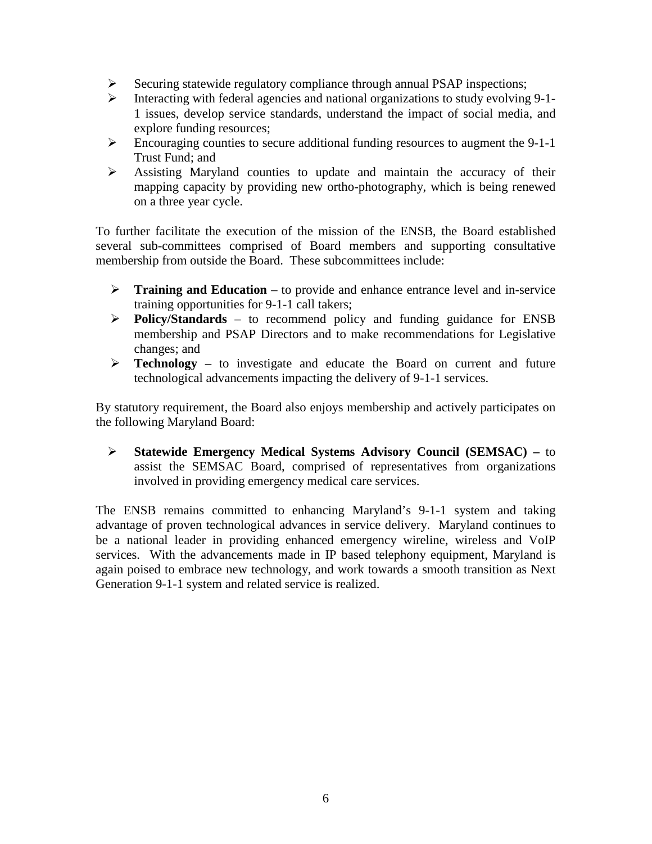- $\triangleright$  Securing statewide regulatory compliance through annual PSAP inspections;
- $\triangleright$  Interacting with federal agencies and national organizations to study evolving 9-1-1 issues, develop service standards, understand the impact of social media, and explore funding resources;
- $\triangleright$  Encouraging counties to secure additional funding resources to augment the 9-1-1 Trust Fund; and
- Assisting Maryland counties to update and maintain the accuracy of their mapping capacity by providing new ortho-photography, which is being renewed on a three year cycle.

To further facilitate the execution of the mission of the ENSB, the Board established several sub-committees comprised of Board members and supporting consultative membership from outside the Board. These subcommittees include:

- **Training and Education** to provide and enhance entrance level and in-service training opportunities for 9-1-1 call takers;
- **Policy/Standards** to recommend policy and funding guidance for ENSB membership and PSAP Directors and to make recommendations for Legislative changes; and
- **Technology**  to investigate and educate the Board on current and future technological advancements impacting the delivery of 9-1-1 services.

By statutory requirement, the Board also enjoys membership and actively participates on the following Maryland Board:

 **Statewide Emergency Medical Systems Advisory Council (SEMSAC) –** to assist the SEMSAC Board, comprised of representatives from organizations involved in providing emergency medical care services.

The ENSB remains committed to enhancing Maryland's 9-1-1 system and taking advantage of proven technological advances in service delivery. Maryland continues to be a national leader in providing enhanced emergency wireline, wireless and VoIP services. With the advancements made in IP based telephony equipment, Maryland is again poised to embrace new technology, and work towards a smooth transition as Next Generation 9-1-1 system and related service is realized.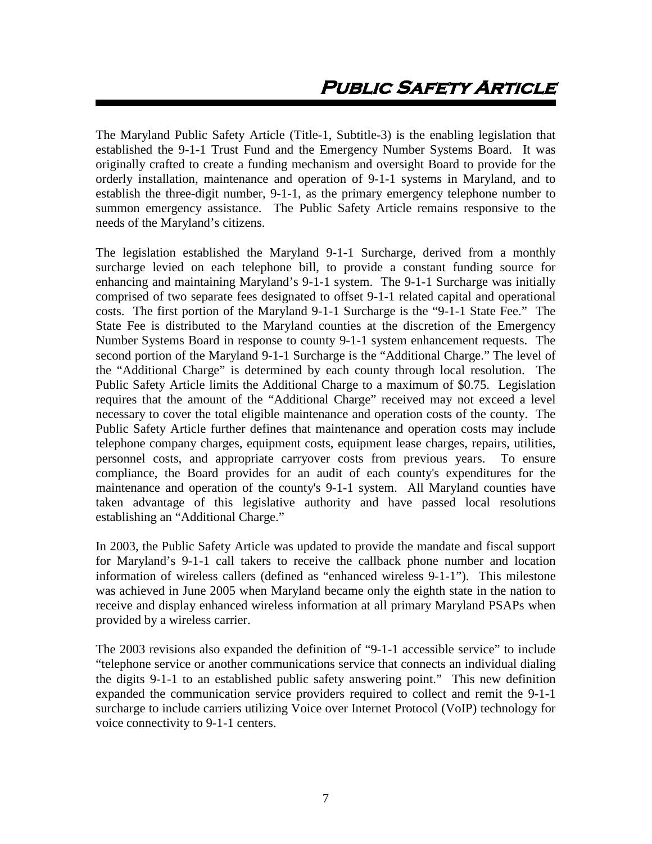<span id="page-7-0"></span>The Maryland Public Safety Article (Title-1, Subtitle-3) is the enabling legislation that established the 9-1-1 Trust Fund and the Emergency Number Systems Board. It was originally crafted to create a funding mechanism and oversight Board to provide for the orderly installation, maintenance and operation of 9-1-1 systems in Maryland, and to establish the three-digit number, 9-1-1, as the primary emergency telephone number to summon emergency assistance. The Public Safety Article remains responsive to the needs of the Maryland's citizens.

The legislation established the Maryland 9-1-1 Surcharge, derived from a monthly surcharge levied on each telephone bill, to provide a constant funding source for enhancing and maintaining Maryland's 9-1-1 system. The 9-1-1 Surcharge was initially comprised of two separate fees designated to offset 9-1-1 related capital and operational costs. The first portion of the Maryland 9-1-1 Surcharge is the "9-1-1 State Fee." The State Fee is distributed to the Maryland counties at the discretion of the Emergency Number Systems Board in response to county 9-1-1 system enhancement requests. The second portion of the Maryland 9-1-1 Surcharge is the "Additional Charge." The level of the "Additional Charge" is determined by each county through local resolution. The Public Safety Article limits the Additional Charge to a maximum of \$0.75. Legislation requires that the amount of the "Additional Charge" received may not exceed a level necessary to cover the total eligible maintenance and operation costs of the county. The Public Safety Article further defines that maintenance and operation costs may include telephone company charges, equipment costs, equipment lease charges, repairs, utilities, personnel costs, and appropriate carryover costs from previous years. To ensure compliance, the Board provides for an audit of each county's expenditures for the maintenance and operation of the county's 9-1-1 system. All Maryland counties have taken advantage of this legislative authority and have passed local resolutions establishing an "Additional Charge."

In 2003, the Public Safety Article was updated to provide the mandate and fiscal support for Maryland's 9-1-1 call takers to receive the callback phone number and location information of wireless callers (defined as "enhanced wireless 9-1-1"). This milestone was achieved in June 2005 when Maryland became only the eighth state in the nation to receive and display enhanced wireless information at all primary Maryland PSAPs when provided by a wireless carrier.

The 2003 revisions also expanded the definition of "9-1-1 accessible service" to include "telephone service or another communications service that connects an individual dialing the digits 9-1-1 to an established public safety answering point." This new definition expanded the communication service providers required to collect and remit the 9-1-1 surcharge to include carriers utilizing Voice over Internet Protocol (VoIP) technology for voice connectivity to 9-1-1 centers.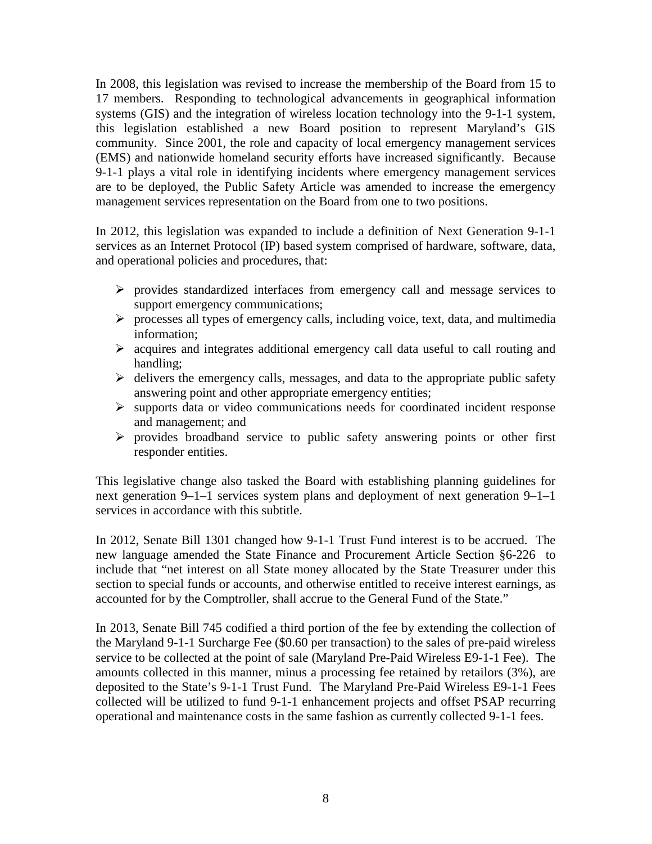In 2008, this legislation was revised to increase the membership of the Board from 15 to 17 members. Responding to technological advancements in geographical information systems (GIS) and the integration of wireless location technology into the 9-1-1 system, this legislation established a new Board position to represent Maryland's GIS community. Since 2001, the role and capacity of local emergency management services (EMS) and nationwide homeland security efforts have increased significantly. Because 9-1-1 plays a vital role in identifying incidents where emergency management services are to be deployed, the Public Safety Article was amended to increase the emergency management services representation on the Board from one to two positions.

In 2012, this legislation was expanded to include a definition of Next Generation 9-1-1 services as an Internet Protocol (IP) based system comprised of hardware, software, data, and operational policies and procedures, that:

- $\triangleright$  provides standardized interfaces from emergency call and message services to support emergency communications;
- $\triangleright$  processes all types of emergency calls, including voice, text, data, and multimedia information;
- $\triangleright$  acquires and integrates additional emergency call data useful to call routing and handling;
- $\triangleright$  delivers the emergency calls, messages, and data to the appropriate public safety answering point and other appropriate emergency entities;
- $\triangleright$  supports data or video communications needs for coordinated incident response and management; and
- $\triangleright$  provides broadband service to public safety answering points or other first responder entities.

This legislative change also tasked the Board with establishing planning guidelines for next generation 9–1–1 services system plans and deployment of next generation 9–1–1 services in accordance with this subtitle.

In 2012, Senate Bill 1301 changed how 9-1-1 Trust Fund interest is to be accrued. The new language amended the State Finance and Procurement Article Section §6-226 to include that "net interest on all State money allocated by the State Treasurer under this section to special funds or accounts, and otherwise entitled to receive interest earnings, as accounted for by the Comptroller, shall accrue to the General Fund of the State."

In 2013, Senate Bill 745 codified a third portion of the fee by extending the collection of the Maryland 9-1-1 Surcharge Fee (\$0.60 per transaction) to the sales of pre-paid wireless service to be collected at the point of sale (Maryland Pre-Paid Wireless E9-1-1 Fee). The amounts collected in this manner, minus a processing fee retained by retailors (3%), are deposited to the State's 9-1-1 Trust Fund. The Maryland Pre-Paid Wireless E9-1-1 Fees collected will be utilized to fund 9-1-1 enhancement projects and offset PSAP recurring operational and maintenance costs in the same fashion as currently collected 9-1-1 fees.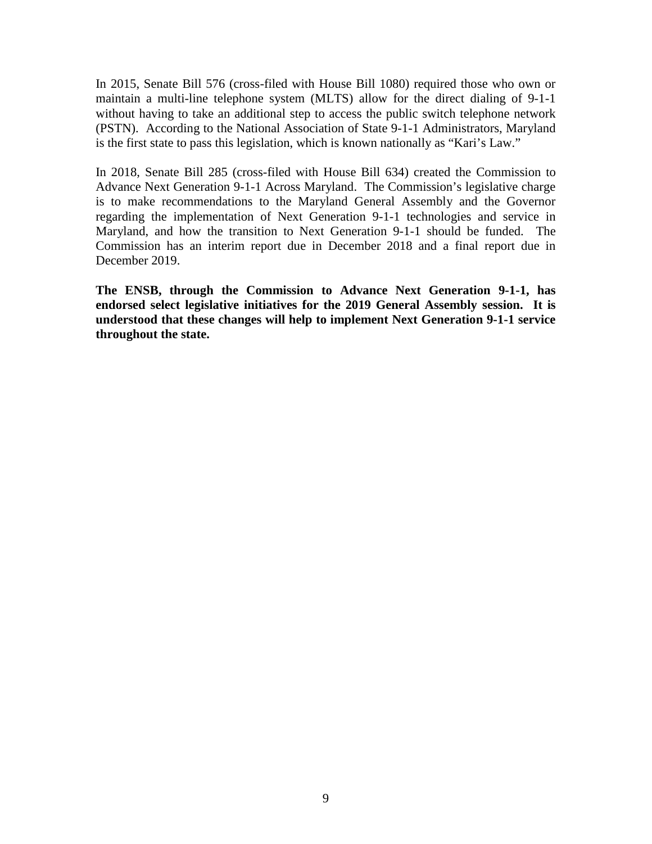In 2015, Senate Bill 576 (cross-filed with House Bill 1080) required those who own or maintain a multi-line telephone system (MLTS) allow for the direct dialing of 9-1-1 without having to take an additional step to access the public switch telephone network (PSTN). According to the National Association of State 9-1-1 Administrators, Maryland is the first state to pass this legislation, which is known nationally as "Kari's Law."

In 2018, Senate Bill 285 (cross-filed with House Bill 634) created the Commission to Advance Next Generation 9-1-1 Across Maryland. The Commission's legislative charge is to make recommendations to the Maryland General Assembly and the Governor regarding the implementation of Next Generation 9-1-1 technologies and service in Maryland, and how the transition to Next Generation 9-1-1 should be funded. The Commission has an interim report due in December 2018 and a final report due in December 2019.

<span id="page-9-0"></span>**The ENSB, through the Commission to Advance Next Generation 9-1-1, has endorsed select legislative initiatives for the 2019 General Assembly session. It is understood that these changes will help to implement Next Generation 9-1-1 service throughout the state.**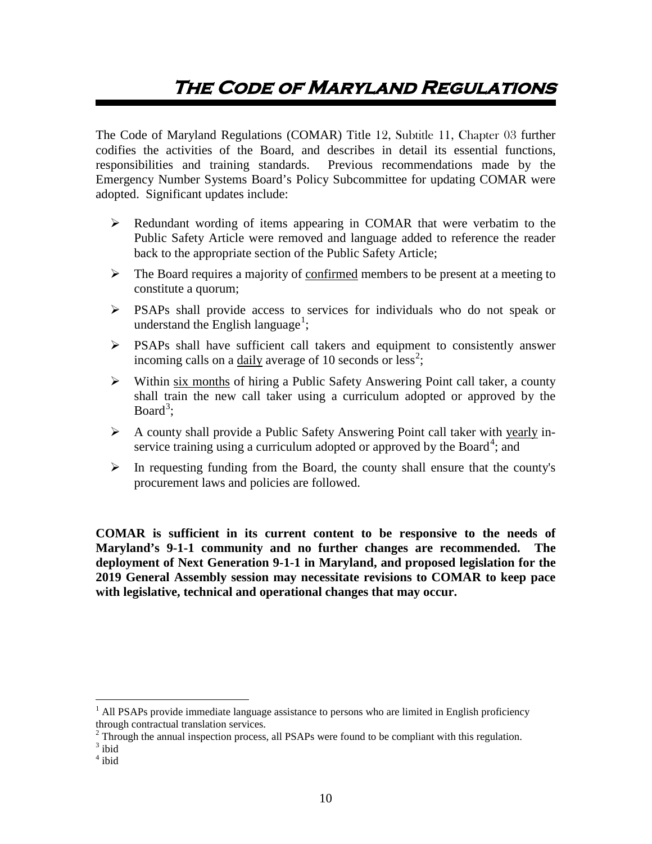# **The Code of Maryland Regulations**

The Code of Maryland Regulations (COMAR) Title 12, Subtitle 11, Chapter 03 further codifies the activities of the Board, and describes in detail its essential functions, responsibilities and training standards. Previous recommendations made by the Emergency Number Systems Board's Policy Subcommittee for updating COMAR were adopted. Significant updates include:

- Redundant wording of items appearing in COMAR that were verbatim to the Public Safety Article were removed and language added to reference the reader back to the appropriate section of the Public Safety Article;
- $\triangleright$  The Board requires a majority of confirmed members to be present at a meeting to constitute a quorum;
- PSAPs shall provide access to services for individuals who do not speak or understand the English language<sup>[1](#page-10-0)</sup>;
- PSAPs shall have sufficient call takers and equipment to consistently answer incoming calls on a daily average of 10 seconds or less<sup>[2](#page-10-1)</sup>;
- Within six months of hiring a Public Safety Answering Point call taker, a county shall train the new call taker using a curriculum adopted or approved by the Board<sup>[3](#page-10-2)</sup>;
- $\triangleright$  A county shall provide a Public Safety Answering Point call taker with yearly in-service training using a curriculum adopted or approved by the Board<sup>[4](#page-10-3)</sup>; and
- $\triangleright$  In requesting funding from the Board, the county shall ensure that the county's procurement laws and policies are followed.

**COMAR is sufficient in its current content to be responsive to the needs of Maryland's 9-1-1 community and no further changes are recommended. The deployment of Next Generation 9-1-1 in Maryland, and proposed legislation for the 2019 General Assembly session may necessitate revisions to COMAR to keep pace with legislative, technical and operational changes that may occur.** 

<span id="page-10-0"></span><sup>&</sup>lt;sup>1</sup> All PSAPs provide immediate language assistance to persons who are limited in English proficiency

through contractual translation services.<br>
<sup>2</sup> Through the annual inspection process, all PSAPs were found to be compliant with this regulation.<br>
<sup>3</sup> ibid

<span id="page-10-2"></span><span id="page-10-1"></span>

<span id="page-10-3"></span> $4$  ibid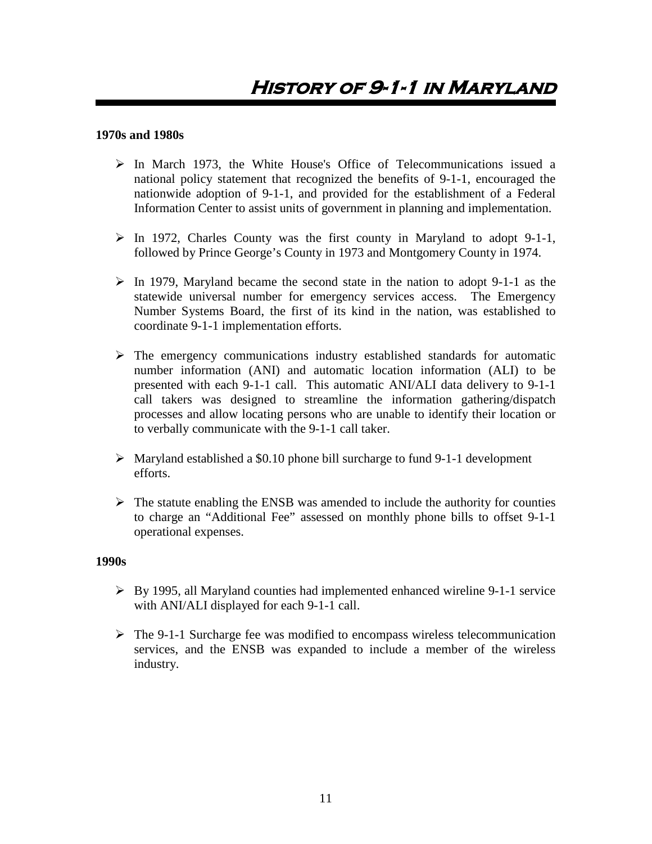## <span id="page-11-0"></span>**1970s and 1980s**

- $\triangleright$  In March 1973, the White House's Office of Telecommunications issued a national policy statement that recognized the benefits of 9-1-1, encouraged the nationwide adoption of 9-1-1, and provided for the establishment of a Federal Information Center to assist units of government in planning and implementation.
- $\triangleright$  In 1972, Charles County was the first county in Maryland to adopt 9-1-1, followed by Prince George's County in 1973 and Montgomery County in 1974.
- $\triangleright$  In 1979, Maryland became the second state in the nation to adopt 9-1-1 as the statewide universal number for emergency services access. The Emergency Number Systems Board, the first of its kind in the nation, was established to coordinate 9-1-1 implementation efforts.
- $\triangleright$  The emergency communications industry established standards for automatic number information (ANI) and automatic location information (ALI) to be presented with each 9-1-1 call. This automatic ANI/ALI data delivery to 9-1-1 call takers was designed to streamline the information gathering/dispatch processes and allow locating persons who are unable to identify their location or to verbally communicate with the 9-1-1 call taker.
- $\triangleright$  Maryland established a \$0.10 phone bill surcharge to fund 9-1-1 development efforts.
- $\triangleright$  The statute enabling the ENSB was amended to include the authority for counties to charge an "Additional Fee" assessed on monthly phone bills to offset 9-1-1 operational expenses.

#### **1990s**

- By 1995, all Maryland counties had implemented enhanced wireline 9-1-1 service with ANI/ALI displayed for each 9-1-1 call.
- $\triangleright$  The 9-1-1 Surcharge fee was modified to encompass wireless telecommunication services, and the ENSB was expanded to include a member of the wireless industry.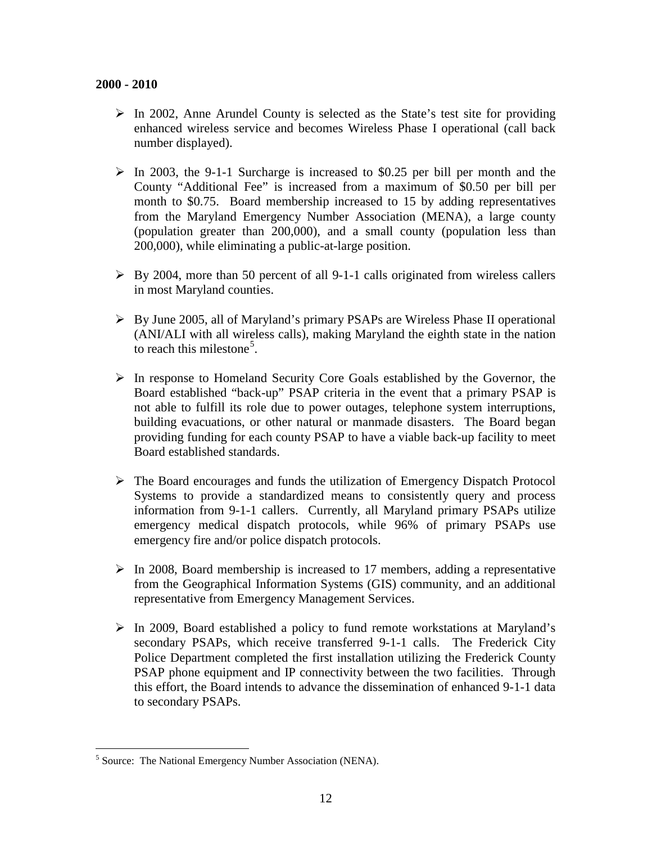- $\triangleright$  In 2002, Anne Arundel County is selected as the State's test site for providing enhanced wireless service and becomes Wireless Phase I operational (call back number displayed).
- $\triangleright$  In 2003, the 9-1-1 Surcharge is increased to \$0.25 per bill per month and the County "Additional Fee" is increased from a maximum of \$0.50 per bill per month to \$0.75. Board membership increased to 15 by adding representatives from the Maryland Emergency Number Association (MENA), a large county (population greater than 200,000), and a small county (population less than 200,000), while eliminating a public-at-large position.
- $\triangleright$  By 2004, more than 50 percent of all 9-1-1 calls originated from wireless callers in most Maryland counties.
- By June 2005, all of Maryland's primary PSAPs are Wireless Phase II operational (ANI/ALI with all wireless calls), making Maryland the eighth state in the nation to reach this milestone<sup>[5](#page-12-0)</sup>.
- $\triangleright$  In response to Homeland Security Core Goals established by the Governor, the Board established "back-up" PSAP criteria in the event that a primary PSAP is not able to fulfill its role due to power outages, telephone system interruptions, building evacuations, or other natural or manmade disasters. The Board began providing funding for each county PSAP to have a viable back-up facility to meet Board established standards.
- $\triangleright$  The Board encourages and funds the utilization of Emergency Dispatch Protocol Systems to provide a standardized means to consistently query and process information from 9-1-1 callers. Currently, all Maryland primary PSAPs utilize emergency medical dispatch protocols, while 96% of primary PSAPs use emergency fire and/or police dispatch protocols.
- $\triangleright$  In 2008, Board membership is increased to 17 members, adding a representative from the Geographical Information Systems (GIS) community, and an additional representative from Emergency Management Services.
- $\triangleright$  In 2009, Board established a policy to fund remote workstations at Maryland's secondary PSAPs, which receive transferred 9-1-1 calls. The Frederick City Police Department completed the first installation utilizing the Frederick County PSAP phone equipment and IP connectivity between the two facilities. Through this effort, the Board intends to advance the dissemination of enhanced 9-1-1 data to secondary PSAPs.

<span id="page-12-0"></span><sup>&</sup>lt;sup>5</sup> Source: The National Emergency Number Association (NENA).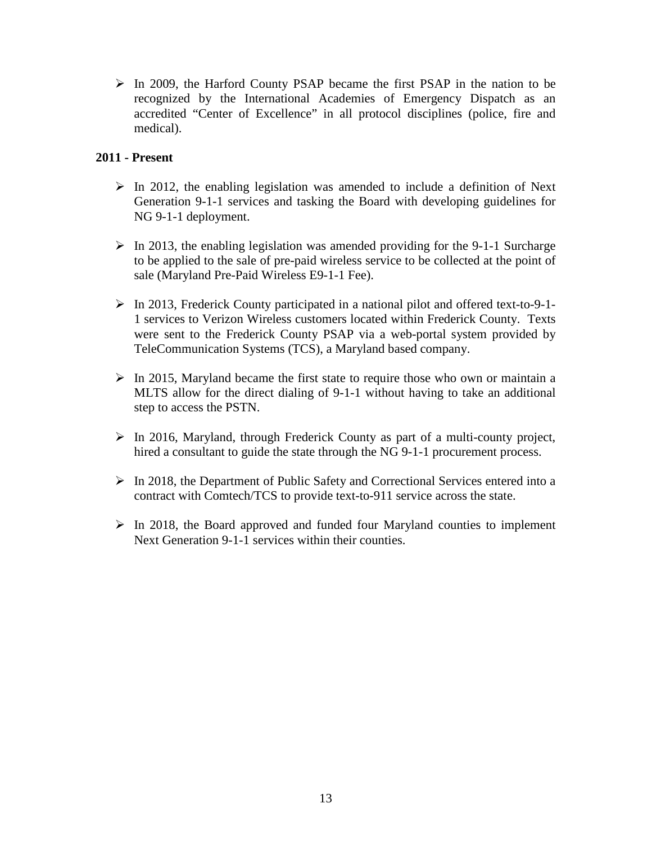$\triangleright$  In 2009, the Harford County PSAP became the first PSAP in the nation to be recognized by the International Academies of Emergency Dispatch as an accredited "Center of Excellence" in all protocol disciplines (police, fire and medical).

## **2011 - Present**

- $\triangleright$  In 2012, the enabling legislation was amended to include a definition of Next Generation 9-1-1 services and tasking the Board with developing guidelines for NG 9-1-1 deployment.
- $\triangleright$  In 2013, the enabling legislation was amended providing for the 9-1-1 Surcharge to be applied to the sale of pre-paid wireless service to be collected at the point of sale (Maryland Pre-Paid Wireless E9-1-1 Fee).
- In 2013, Frederick County participated in a national pilot and offered text-to-9-1- 1 services to Verizon Wireless customers located within Frederick County. Texts were sent to the Frederick County PSAP via a web-portal system provided by TeleCommunication Systems (TCS), a Maryland based company.
- $\triangleright$  In 2015, Maryland became the first state to require those who own or maintain a MLTS allow for the direct dialing of 9-1-1 without having to take an additional step to access the PSTN.
- $\triangleright$  In 2016, Maryland, through Frederick County as part of a multi-county project, hired a consultant to guide the state through the NG 9-1-1 procurement process.
- $\triangleright$  In 2018, the Department of Public Safety and Correctional Services entered into a contract with Comtech/TCS to provide text-to-911 service across the state.
- $\triangleright$  In 2018, the Board approved and funded four Maryland counties to implement Next Generation 9-1-1 services within their counties.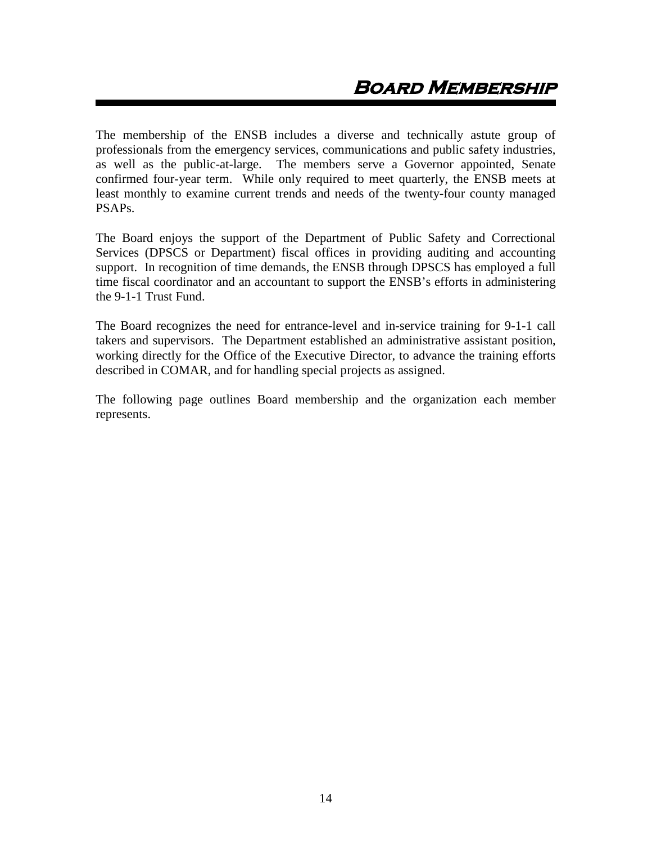<span id="page-14-0"></span>The membership of the ENSB includes a diverse and technically astute group of professionals from the emergency services, communications and public safety industries, as well as the public-at-large. The members serve a Governor appointed, Senate confirmed four-year term. While only required to meet quarterly, the ENSB meets at least monthly to examine current trends and needs of the twenty-four county managed PSAPs.

The Board enjoys the support of the Department of Public Safety and Correctional Services (DPSCS or Department) fiscal offices in providing auditing and accounting support. In recognition of time demands, the ENSB through DPSCS has employed a full time fiscal coordinator and an accountant to support the ENSB's efforts in administering the 9-1-1 Trust Fund.

The Board recognizes the need for entrance-level and in-service training for 9-1-1 call takers and supervisors. The Department established an administrative assistant position, working directly for the Office of the Executive Director, to advance the training efforts described in COMAR, and for handling special projects as assigned.

The following page outlines Board membership and the organization each member represents.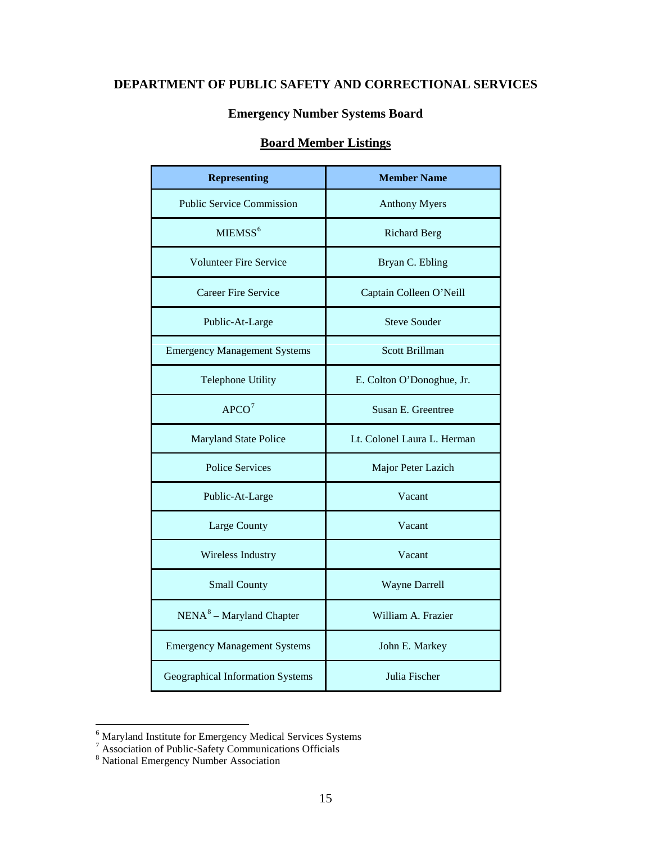# **DEPARTMENT OF PUBLIC SAFETY AND CORRECTIONAL SERVICES**

# **Emergency Number Systems Board**

# **Board Member Listings**

| <b>Representing</b>                 | <b>Member Name</b>          |  |
|-------------------------------------|-----------------------------|--|
| <b>Public Service Commission</b>    | <b>Anthony Myers</b>        |  |
| MIEMSS <sup>6</sup>                 | <b>Richard Berg</b>         |  |
| <b>Volunteer Fire Service</b>       | Bryan C. Ebling             |  |
| <b>Career Fire Service</b>          | Captain Colleen O'Neill     |  |
| Public-At-Large                     | <b>Steve Souder</b>         |  |
| <b>Emergency Management Systems</b> | <b>Scott Brillman</b>       |  |
| Telephone Utility                   | E. Colton O'Donoghue, Jr.   |  |
| APCO <sup>7</sup>                   | Susan E. Greentree          |  |
| <b>Maryland State Police</b>        | Lt. Colonel Laura L. Herman |  |
| <b>Police Services</b>              | Major Peter Lazich          |  |
| Public-At-Large                     | Vacant                      |  |
| <b>Large County</b>                 | Vacant                      |  |
| Wireless Industry                   | Vacant                      |  |
| <b>Small County</b>                 | <b>Wayne Darrell</b>        |  |
| $NENA8 - Maryland Chapter$          | William A. Frazier          |  |
| <b>Emergency Management Systems</b> | John E. Markey              |  |
| Geographical Information Systems    | Julia Fischer               |  |

<span id="page-15-0"></span> <sup>6</sup> Maryland Institute for Emergency Medical Services Systems

<span id="page-15-1"></span> $^7$  Association of Public-Safety Communications Officials  $^8$  National Emergency Number Association

<span id="page-15-2"></span>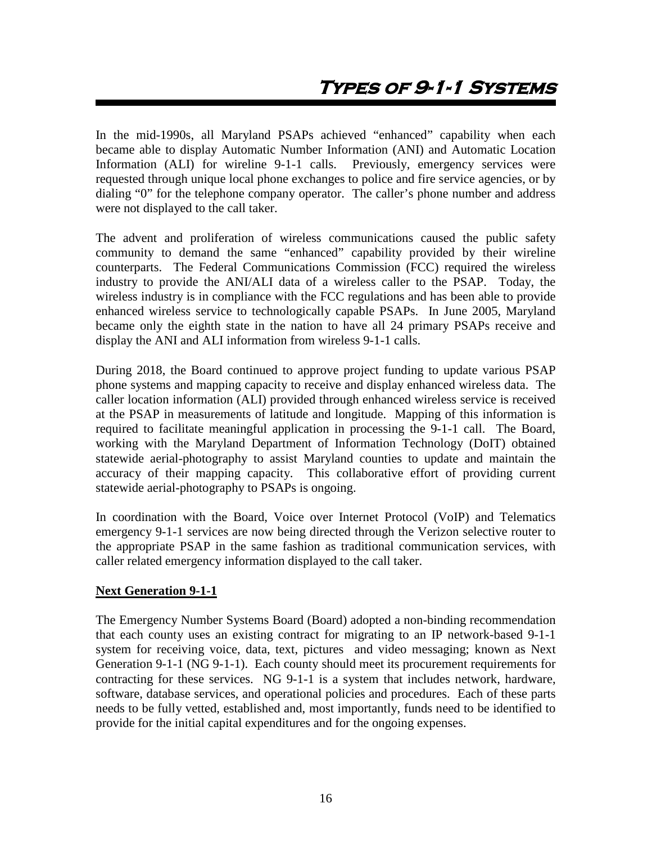<span id="page-16-0"></span>In the mid-1990s, all Maryland PSAPs achieved "enhanced" capability when each became able to display Automatic Number Information (ANI) and Automatic Location Information (ALI) for wireline 9-1-1 calls. Previously, emergency services were requested through unique local phone exchanges to police and fire service agencies, or by dialing "0" for the telephone company operator. The caller's phone number and address were not displayed to the call taker.

The advent and proliferation of wireless communications caused the public safety community to demand the same "enhanced" capability provided by their wireline counterparts. The Federal Communications Commission (FCC) required the wireless industry to provide the ANI/ALI data of a wireless caller to the PSAP. Today, the wireless industry is in compliance with the FCC regulations and has been able to provide enhanced wireless service to technologically capable PSAPs. In June 2005, Maryland became only the eighth state in the nation to have all 24 primary PSAPs receive and display the ANI and ALI information from wireless 9-1-1 calls.

During 2018, the Board continued to approve project funding to update various PSAP phone systems and mapping capacity to receive and display enhanced wireless data. The caller location information (ALI) provided through enhanced wireless service is received at the PSAP in measurements of latitude and longitude. Mapping of this information is required to facilitate meaningful application in processing the 9-1-1 call. The Board, working with the Maryland Department of Information Technology (DoIT) obtained statewide aerial-photography to assist Maryland counties to update and maintain the accuracy of their mapping capacity. This collaborative effort of providing current statewide aerial-photography to PSAPs is ongoing.

In coordination with the Board, Voice over Internet Protocol (VoIP) and Telematics emergency 9-1-1 services are now being directed through the Verizon selective router to the appropriate PSAP in the same fashion as traditional communication services, with caller related emergency information displayed to the call taker.

## **Next Generation 9-1-1**

The Emergency Number Systems Board (Board) adopted a non-binding recommendation that each county uses an existing contract for migrating to an IP network-based 9-1-1 system for receiving voice, data, text, pictures and video messaging; known as Next Generation 9-1-1 (NG 9-1-1). Each county should meet its procurement requirements for contracting for these services. NG 9-1-1 is a system that includes network, hardware, software, database services, and operational policies and procedures. Each of these parts needs to be fully vetted, established and, most importantly, funds need to be identified to provide for the initial capital expenditures and for the ongoing expenses.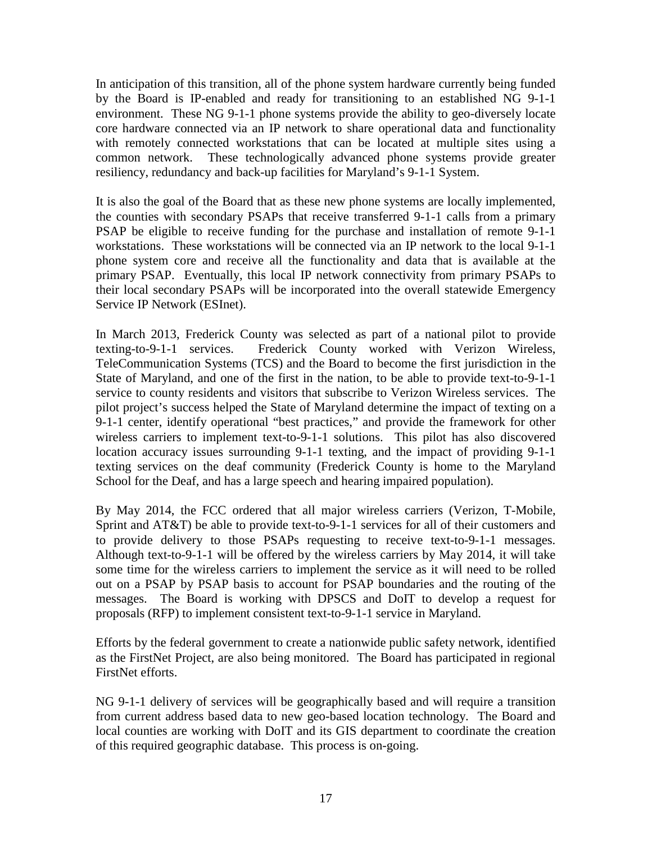In anticipation of this transition, all of the phone system hardware currently being funded by the Board is IP-enabled and ready for transitioning to an established NG 9-1-1 environment. These NG 9-1-1 phone systems provide the ability to geo-diversely locate core hardware connected via an IP network to share operational data and functionality with remotely connected workstations that can be located at multiple sites using a common network. These technologically advanced phone systems provide greater resiliency, redundancy and back-up facilities for Maryland's 9-1-1 System.

It is also the goal of the Board that as these new phone systems are locally implemented, the counties with secondary PSAPs that receive transferred 9-1-1 calls from a primary PSAP be eligible to receive funding for the purchase and installation of remote 9-1-1 workstations. These workstations will be connected via an IP network to the local 9-1-1 phone system core and receive all the functionality and data that is available at the primary PSAP. Eventually, this local IP network connectivity from primary PSAPs to their local secondary PSAPs will be incorporated into the overall statewide Emergency Service IP Network (ESInet).

In March 2013, Frederick County was selected as part of a national pilot to provide texting-to-9-1-1 services. Frederick County worked with Verizon Wireless, TeleCommunication Systems (TCS) and the Board to become the first jurisdiction in the State of Maryland, and one of the first in the nation, to be able to provide text-to-9-1-1 service to county residents and visitors that subscribe to Verizon Wireless services. The pilot project's success helped the State of Maryland determine the impact of texting on a 9-1-1 center, identify operational "best practices," and provide the framework for other wireless carriers to implement text-to-9-1-1 solutions. This pilot has also discovered location accuracy issues surrounding 9-1-1 texting, and the impact of providing 9-1-1 texting services on the deaf community (Frederick County is home to the Maryland School for the Deaf, and has a large speech and hearing impaired population).

By May 2014, the FCC ordered that all major wireless carriers (Verizon, T-Mobile, Sprint and AT&T) be able to provide text-to-9-1-1 services for all of their customers and to provide delivery to those PSAPs requesting to receive text-to-9-1-1 messages. Although text-to-9-1-1 will be offered by the wireless carriers by May 2014, it will take some time for the wireless carriers to implement the service as it will need to be rolled out on a PSAP by PSAP basis to account for PSAP boundaries and the routing of the messages. The Board is working with DPSCS and DoIT to develop a request for proposals (RFP) to implement consistent text-to-9-1-1 service in Maryland.

Efforts by the federal government to create a nationwide public safety network, identified as the FirstNet Project, are also being monitored. The Board has participated in regional FirstNet efforts.

NG 9-1-1 delivery of services will be geographically based and will require a transition from current address based data to new geo-based location technology. The Board and local counties are working with DoIT and its GIS department to coordinate the creation of this required geographic database. This process is on-going.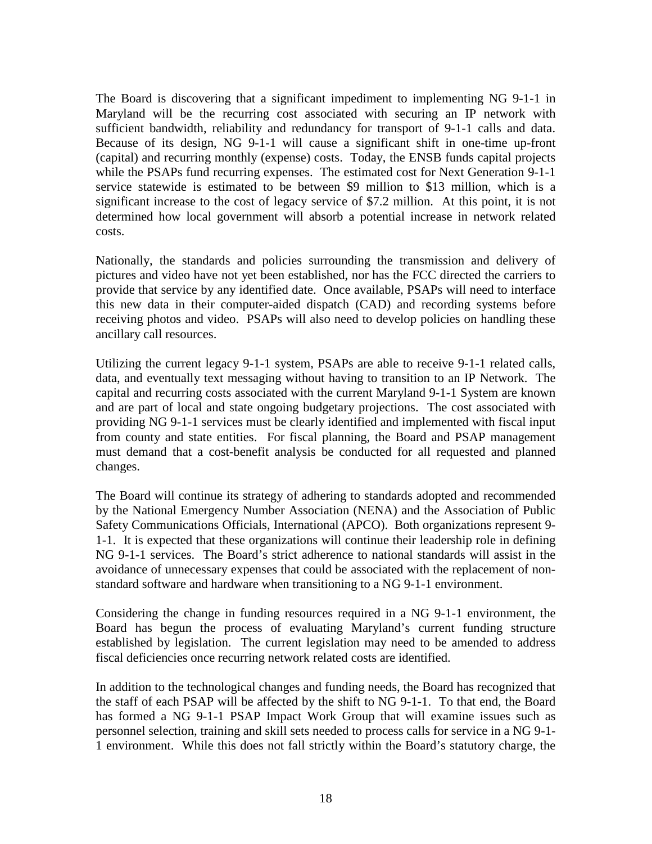The Board is discovering that a significant impediment to implementing NG 9-1-1 in Maryland will be the recurring cost associated with securing an IP network with sufficient bandwidth, reliability and redundancy for transport of 9-1-1 calls and data. Because of its design, NG 9-1-1 will cause a significant shift in one-time up-front (capital) and recurring monthly (expense) costs. Today, the ENSB funds capital projects while the PSAPs fund recurring expenses. The estimated cost for Next Generation 9-1-1 service statewide is estimated to be between \$9 million to \$13 million, which is a significant increase to the cost of legacy service of \$7.2 million. At this point, it is not determined how local government will absorb a potential increase in network related costs.

Nationally, the standards and policies surrounding the transmission and delivery of pictures and video have not yet been established, nor has the FCC directed the carriers to provide that service by any identified date. Once available, PSAPs will need to interface this new data in their computer-aided dispatch (CAD) and recording systems before receiving photos and video. PSAPs will also need to develop policies on handling these ancillary call resources.

Utilizing the current legacy 9-1-1 system, PSAPs are able to receive 9-1-1 related calls, data, and eventually text messaging without having to transition to an IP Network. The capital and recurring costs associated with the current Maryland 9-1-1 System are known and are part of local and state ongoing budgetary projections. The cost associated with providing NG 9-1-1 services must be clearly identified and implemented with fiscal input from county and state entities. For fiscal planning, the Board and PSAP management must demand that a cost-benefit analysis be conducted for all requested and planned changes.

The Board will continue its strategy of adhering to standards adopted and recommended by the National Emergency Number Association (NENA) and the Association of Public Safety Communications Officials, International (APCO). Both organizations represent 9- 1-1. It is expected that these organizations will continue their leadership role in defining NG 9-1-1 services. The Board's strict adherence to national standards will assist in the avoidance of unnecessary expenses that could be associated with the replacement of nonstandard software and hardware when transitioning to a NG 9-1-1 environment.

Considering the change in funding resources required in a NG 9-1-1 environment, the Board has begun the process of evaluating Maryland's current funding structure established by legislation. The current legislation may need to be amended to address fiscal deficiencies once recurring network related costs are identified.

In addition to the technological changes and funding needs, the Board has recognized that the staff of each PSAP will be affected by the shift to NG 9-1-1. To that end, the Board has formed a NG 9-1-1 PSAP Impact Work Group that will examine issues such as personnel selection, training and skill sets needed to process calls for service in a NG 9-1- 1 environment. While this does not fall strictly within the Board's statutory charge, the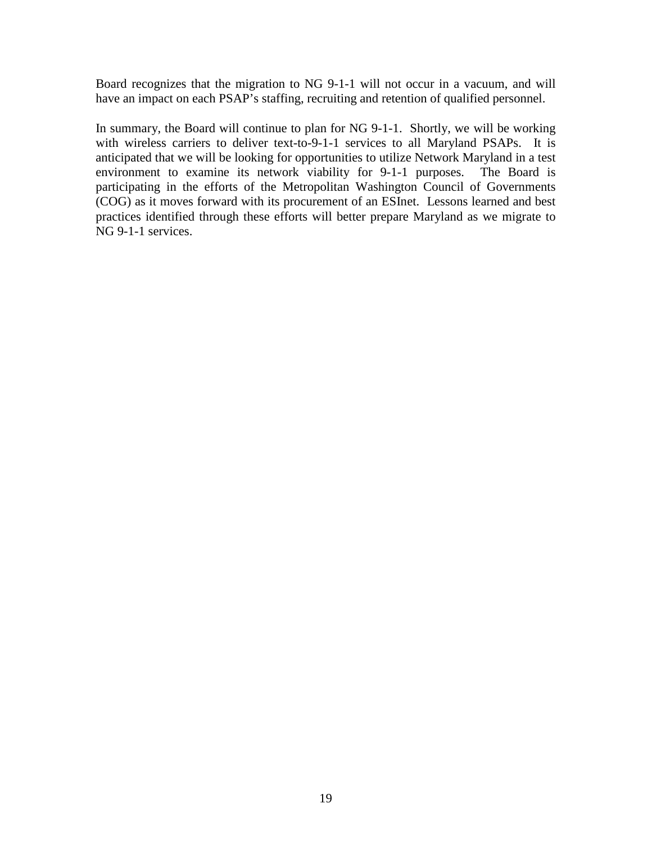Board recognizes that the migration to NG 9-1-1 will not occur in a vacuum, and will have an impact on each PSAP's staffing, recruiting and retention of qualified personnel.

In summary, the Board will continue to plan for NG 9-1-1. Shortly, we will be working with wireless carriers to deliver text-to-9-1-1 services to all Maryland PSAPs. It is anticipated that we will be looking for opportunities to utilize Network Maryland in a test environment to examine its network viability for 9-1-1 purposes. The Board is participating in the efforts of the Metropolitan Washington Council of Governments (COG) as it moves forward with its procurement of an ESInet. Lessons learned and best practices identified through these efforts will better prepare Maryland as we migrate to NG 9-1-1 services.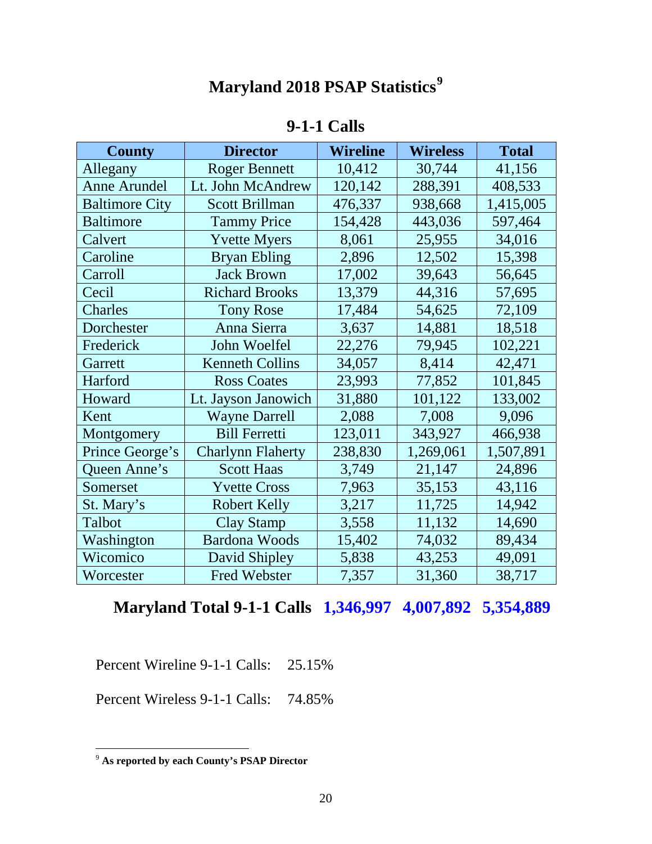# **Maryland 2018 PSAP Statistics[9](#page-20-0)**

# **9-1-1 Calls**

| <b>County</b>         | <b>Director</b>          | <b>Wireline</b> | <b>Wireless</b> | <b>Total</b> |
|-----------------------|--------------------------|-----------------|-----------------|--------------|
| Allegany              | <b>Roger Bennett</b>     | 10,412          | 30,744          | 41,156       |
| <b>Anne Arundel</b>   | Lt. John McAndrew        | 120,142         | 288,391         | 408,533      |
| <b>Baltimore City</b> | Scott Brillman           | 476,337         | 938,668         | 1,415,005    |
| <b>Baltimore</b>      | <b>Tammy Price</b>       | 154,428         | 443,036         | 597,464      |
| Calvert               | <b>Yvette Myers</b>      | 8,061           | 25,955          | 34,016       |
| Caroline              | <b>Bryan Ebling</b>      | 2,896           | 12,502          | 15,398       |
| Carroll               | <b>Jack Brown</b>        | 17,002          | 39,643          | 56,645       |
| Cecil                 | <b>Richard Brooks</b>    | 13,379          | 44,316          | 57,695       |
| Charles               | <b>Tony Rose</b>         | 17,484          | 54,625          | 72,109       |
| Dorchester            | Anna Sierra              | 3,637           | 14,881          | 18,518       |
| Frederick             | John Woelfel             | 22,276          | 79,945          | 102,221      |
| Garrett               | <b>Kenneth Collins</b>   | 34,057          | 8,414           | 42,471       |
| Harford               | <b>Ross Coates</b>       | 23,993          | 77,852          | 101,845      |
| Howard                | Lt. Jayson Janowich      | 31,880          | 101,122         | 133,002      |
| Kent                  | <b>Wayne Darrell</b>     | 2,088           | 7,008           | 9,096        |
| Montgomery            | <b>Bill Ferretti</b>     | 123,011         | 343,927         | 466,938      |
| Prince George's       | <b>Charlynn Flaherty</b> | 238,830         | 1,269,061       | 1,507,891    |
| Queen Anne's          | <b>Scott Haas</b>        | 3,749           | 21,147          | 24,896       |
| Somerset              | <b>Yvette Cross</b>      | 7,963           | 35,153          | 43,116       |
| St. Mary's            | <b>Robert Kelly</b>      | 3,217           | 11,725          | 14,942       |
| Talbot                | <b>Clay Stamp</b>        | 3,558           | 11,132          | 14,690       |
| Washington            | <b>Bardona Woods</b>     | 15,402          | 74,032          | 89,434       |
| Wicomico              | David Shipley            | 5,838           | 43,253          | 49,091       |
| Worcester             | <b>Fred Webster</b>      | 7,357           | 31,360          | 38,717       |

# **Maryland Total 9-1-1 Calls 1,346,997 4,007,892 5,354,889**

Percent Wireline 9-1-1 Calls: 25.15%

Percent Wireless 9-1-1 Calls: 74.85%

<span id="page-20-0"></span> <sup>9</sup> **As reported by each County's PSAP Director**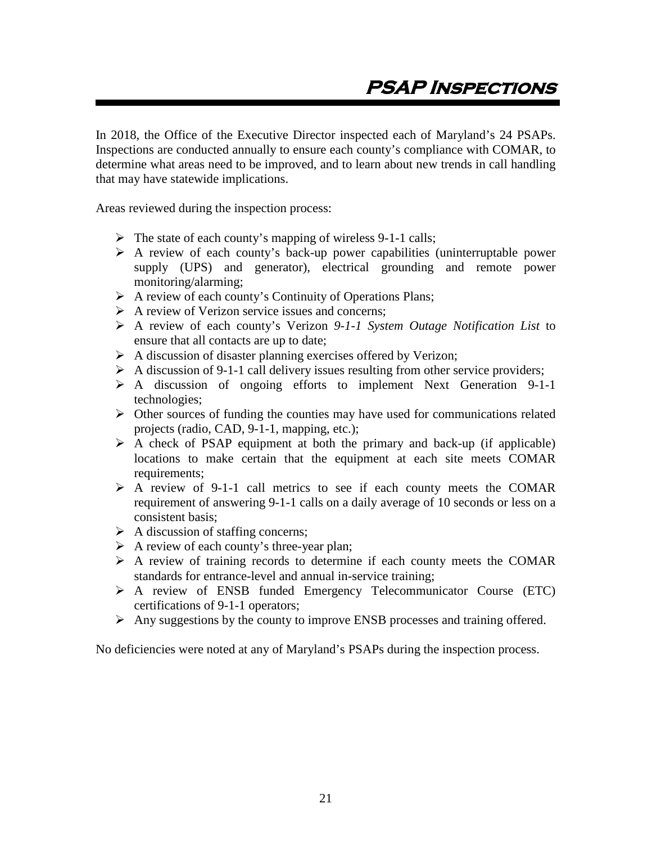<span id="page-21-0"></span>In 2018, the Office of the Executive Director inspected each of Maryland's 24 PSAPs. Inspections are conducted annually to ensure each county's compliance with COMAR, to determine what areas need to be improved, and to learn about new trends in call handling that may have statewide implications.

Areas reviewed during the inspection process:

- $\triangleright$  The state of each county's mapping of wireless 9-1-1 calls;
- $\triangleright$  A review of each county's back-up power capabilities (uninterruptable power supply (UPS) and generator), electrical grounding and remote power monitoring/alarming;
- A review of each county's Continuity of Operations Plans;
- $\triangleright$  A review of Verizon service issues and concerns;
- A review of each county's Verizon *9-1-1 System Outage Notification List* to ensure that all contacts are up to date;
- $\triangleright$  A discussion of disaster planning exercises offered by Verizon;
- $\triangleright$  A discussion of 9-1-1 call delivery issues resulting from other service providers;
- A discussion of ongoing efforts to implement Next Generation 9-1-1 technologies;
- $\triangleright$  Other sources of funding the counties may have used for communications related projects (radio, CAD, 9-1-1, mapping, etc.);
- $\triangleright$  A check of PSAP equipment at both the primary and back-up (if applicable) locations to make certain that the equipment at each site meets COMAR requirements;
- $\triangleright$  A review of 9-1-1 call metrics to see if each county meets the COMAR requirement of answering 9-1-1 calls on a daily average of 10 seconds or less on a consistent basis;
- $\triangleright$  A discussion of staffing concerns;
- $\triangleright$  A review of each county's three-year plan;
- $\triangleright$  A review of training records to determine if each county meets the COMAR standards for entrance-level and annual in-service training;
- A review of ENSB funded Emergency Telecommunicator Course (ETC) certifications of 9-1-1 operators;
- Any suggestions by the county to improve ENSB processes and training offered.

No deficiencies were noted at any of Maryland's PSAPs during the inspection process.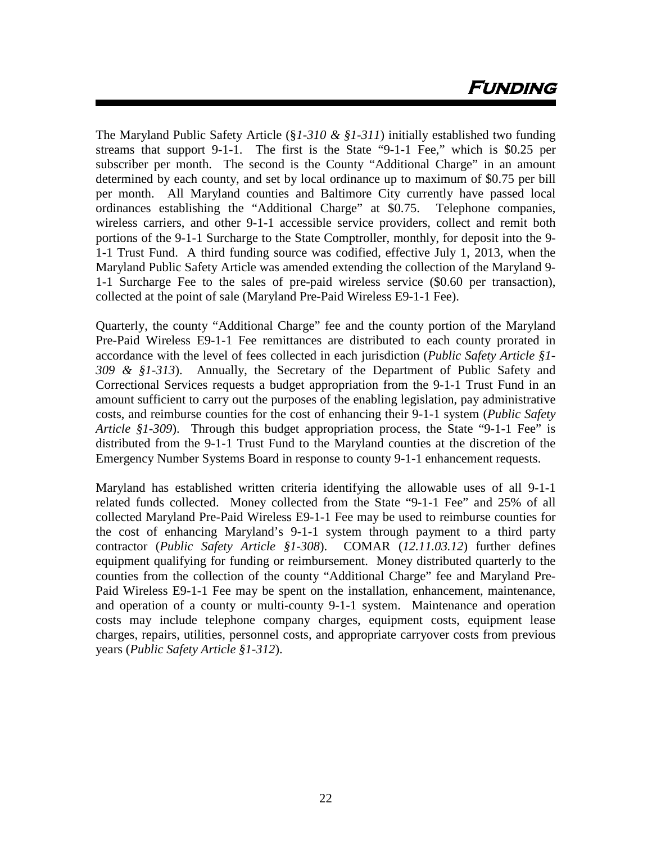The Maryland Public Safety Article (§*1-310 & §1-311*) initially established two funding streams that support 9-1-1. The first is the State "9-1-1 Fee," which is \$0.25 per subscriber per month. The second is the County "Additional Charge" in an amount determined by each county, and set by local ordinance up to maximum of \$0.75 per bill per month. All Maryland counties and Baltimore City currently have passed local ordinances establishing the "Additional Charge" at \$0.75. Telephone companies, wireless carriers, and other 9-1-1 accessible service providers, collect and remit both portions of the 9-1-1 Surcharge to the State Comptroller, monthly, for deposit into the 9- 1-1 Trust Fund. A third funding source was codified, effective July 1, 2013, when the Maryland Public Safety Article was amended extending the collection of the Maryland 9- 1-1 Surcharge Fee to the sales of pre-paid wireless service (\$0.60 per transaction), collected at the point of sale (Maryland Pre-Paid Wireless E9-1-1 Fee).

Quarterly, the county "Additional Charge" fee and the county portion of the Maryland Pre-Paid Wireless E9-1-1 Fee remittances are distributed to each county prorated in accordance with the level of fees collected in each jurisdiction (*Public Safety Article §1- 309 & §1-313*). Annually, the Secretary of the Department of Public Safety and Correctional Services requests a budget appropriation from the 9-1-1 Trust Fund in an amount sufficient to carry out the purposes of the enabling legislation, pay administrative costs, and reimburse counties for the cost of enhancing their 9-1-1 system (*Public Safety Article §1-309*). Through this budget appropriation process, the State "9-1-1 Fee" is distributed from the 9-1-1 Trust Fund to the Maryland counties at the discretion of the Emergency Number Systems Board in response to county 9-1-1 enhancement requests.

Maryland has established written criteria identifying the allowable uses of all 9-1-1 related funds collected. Money collected from the State "9-1-1 Fee" and 25% of all collected Maryland Pre-Paid Wireless E9-1-1 Fee may be used to reimburse counties for the cost of enhancing Maryland's 9-1-1 system through payment to a third party contractor (*Public Safety Article §1-308*). COMAR (*12.11.03.12*) further defines equipment qualifying for funding or reimbursement. Money distributed quarterly to the counties from the collection of the county "Additional Charge" fee and Maryland Pre-Paid Wireless E9-1-1 Fee may be spent on the installation, enhancement, maintenance, and operation of a county or multi-county 9-1-1 system. Maintenance and operation costs may include telephone company charges, equipment costs, equipment lease charges, repairs, utilities, personnel costs, and appropriate carryover costs from previous years (*Public Safety Article §1-312*).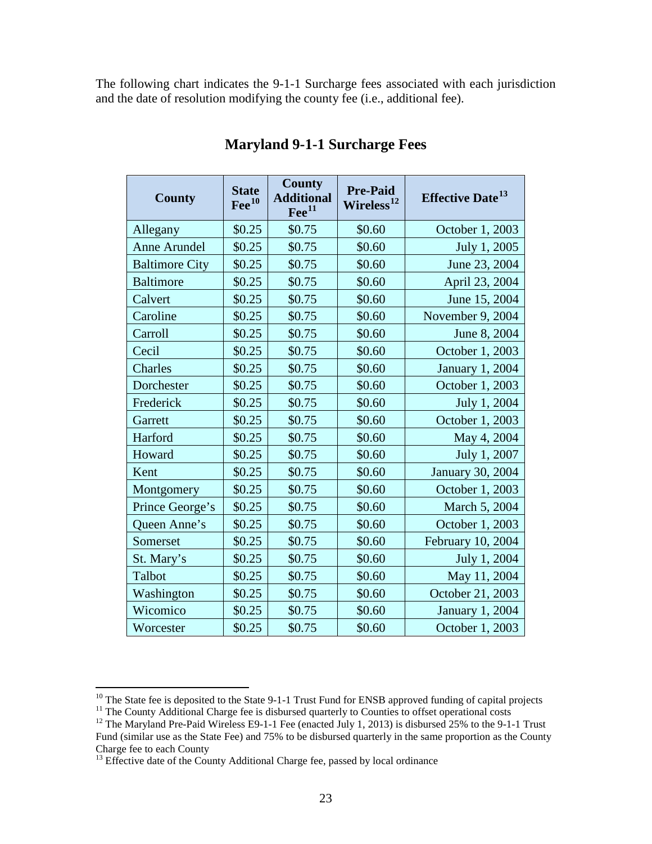The following chart indicates the 9-1-1 Surcharge fees associated with each jurisdiction and the date of resolution modifying the county fee (i.e., additional fee).

| <b>County</b>         | <b>State</b><br>$\text{Fe}^{10}$ | <b>County</b><br><b>Additional</b><br>$\text{Fe}^{11}$ | <b>Pre-Paid</b><br>Wireless <sup>12</sup> | <b>Effective Date</b> <sup>13</sup> |
|-----------------------|----------------------------------|--------------------------------------------------------|-------------------------------------------|-------------------------------------|
| Allegany              | \$0.25                           | \$0.75                                                 | \$0.60                                    | October 1, 2003                     |
| <b>Anne Arundel</b>   | \$0.25                           | \$0.75                                                 | \$0.60                                    | July 1, 2005                        |
| <b>Baltimore City</b> | \$0.25                           | \$0.75                                                 | \$0.60                                    | June 23, 2004                       |
| <b>Baltimore</b>      | \$0.25                           | \$0.75                                                 | \$0.60                                    | April 23, 2004                      |
| Calvert               | \$0.25                           | \$0.75                                                 | \$0.60                                    | June 15, 2004                       |
| Caroline              | \$0.25                           | \$0.75                                                 | \$0.60                                    | November 9, 2004                    |
| Carroll               | \$0.25                           | \$0.75                                                 | \$0.60                                    | June 8, 2004                        |
| Cecil                 | \$0.25                           | \$0.75                                                 | \$0.60                                    | October 1, 2003                     |
| Charles               | \$0.25                           | \$0.75                                                 | \$0.60                                    | January 1, 2004                     |
| Dorchester            | \$0.25                           | \$0.75                                                 | \$0.60                                    | October 1, 2003                     |
| Frederick             | \$0.25                           | \$0.75                                                 | \$0.60                                    | July 1, 2004                        |
| Garrett               | \$0.25                           | \$0.75                                                 | \$0.60                                    | October 1, 2003                     |
| Harford               | \$0.25                           | \$0.75                                                 | \$0.60                                    | May 4, 2004                         |
| Howard                | \$0.25                           | \$0.75                                                 | \$0.60                                    | July 1, 2007                        |
| Kent                  | \$0.25                           | \$0.75                                                 | \$0.60                                    | January 30, 2004                    |
| Montgomery            | \$0.25                           | \$0.75                                                 | \$0.60                                    | October 1, 2003                     |
| Prince George's       | \$0.25                           | \$0.75                                                 | \$0.60                                    | March 5, 2004                       |
| Queen Anne's          | \$0.25                           | \$0.75                                                 | \$0.60                                    | October 1, 2003                     |
| Somerset              | \$0.25                           | \$0.75                                                 | \$0.60                                    | February 10, 2004                   |
| St. Mary's            | \$0.25                           | \$0.75                                                 | \$0.60                                    | July 1, 2004                        |
| Talbot                | \$0.25                           | \$0.75                                                 | \$0.60                                    | May 11, 2004                        |
| Washington            | \$0.25                           | \$0.75                                                 | \$0.60                                    | October 21, 2003                    |
| Wicomico              | \$0.25                           | \$0.75                                                 | \$0.60                                    | January 1, 2004                     |
| Worcester             | \$0.25                           | \$0.75                                                 | \$0.60                                    | October 1, 2003                     |

# **Maryland 9-1-1 Surcharge Fees**

<span id="page-23-0"></span><sup>&</sup>lt;sup>10</sup> The State fee is deposited to the State 9-1-1 Trust Fund for ENSB approved funding of capital projects<br><sup>11</sup> The County Additional Charge fee is disbursed quarterly to Counties to offset operational costs<br><sup>12</sup> The Mar

<span id="page-23-2"></span><span id="page-23-1"></span>Fund (similar use as the State Fee) and 75% to be disbursed quarterly in the same proportion as the County Charge fee to each County

<span id="page-23-3"></span> $13$  Effective date of the County Additional Charge fee, passed by local ordinance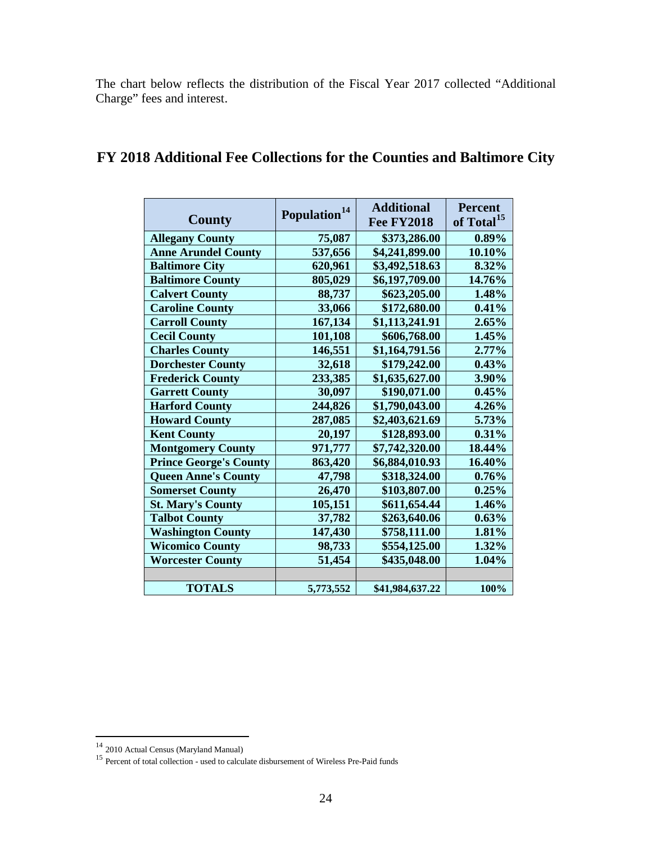The chart below reflects the distribution of the Fiscal Year 2017 collected "Additional Charge" fees and interest.

| <b>County</b>                 | Population <sup>14</sup> | <b>Additional</b><br><b>Fee FY2018</b> | <b>Percent</b><br>of Total <sup>15</sup> |
|-------------------------------|--------------------------|----------------------------------------|------------------------------------------|
| <b>Allegany County</b>        | 75,087                   | \$373,286.00                           | $0.89\%$                                 |
| <b>Anne Arundel County</b>    | 537,656                  | \$4,241,899.00                         | 10.10%                                   |
| <b>Baltimore City</b>         | 620,961                  | \$3,492,518.63                         | 8.32%                                    |
| <b>Baltimore County</b>       | 805,029                  | \$6,197,709.00                         | 14.76%                                   |
| <b>Calvert County</b>         | 88,737                   | \$623,205.00                           | 1.48%                                    |
| <b>Caroline County</b>        | 33,066                   | \$172,680.00                           | 0.41%                                    |
| <b>Carroll County</b>         | 167,134                  | \$1,113,241.91                         | 2.65%                                    |
| <b>Cecil County</b>           | 101,108                  | \$606,768.00                           | 1.45%                                    |
| <b>Charles County</b>         | 146,551                  | \$1,164,791.56                         | 2.77%                                    |
| <b>Dorchester County</b>      | 32,618                   | \$179,242.00                           | 0.43%                                    |
| <b>Frederick County</b>       | 233,385                  | \$1,635,627.00                         | 3.90%                                    |
| <b>Garrett County</b>         | 30,097                   | \$190,071.00                           | 0.45%                                    |
| <b>Harford County</b>         | 244,826                  | \$1,790,043.00                         | 4.26%                                    |
| <b>Howard County</b>          | 287,085                  | \$2,403,621.69                         | 5.73%                                    |
| <b>Kent County</b>            | 20,197                   | \$128,893.00                           | 0.31%                                    |
| <b>Montgomery County</b>      | 971,777                  | \$7,742,320.00                         | 18.44%                                   |
| <b>Prince George's County</b> | 863,420                  | \$6,884,010.93                         | 16.40%                                   |
| <b>Queen Anne's County</b>    | 47,798                   | \$318,324.00                           | 0.76%                                    |
| <b>Somerset County</b>        | 26,470                   | \$103,807.00                           | 0.25%                                    |
| <b>St. Mary's County</b>      | 105,151                  | \$611,654.44                           | 1.46%                                    |
| <b>Talbot County</b>          | 37,782                   | \$263,640.06                           | 0.63%                                    |
| <b>Washington County</b>      | 147,430                  | \$758,111.00                           | 1.81%                                    |
| <b>Wicomico County</b>        | 98,733                   | \$554,125.00                           | 1.32%                                    |
| <b>Worcester County</b>       | 51,454                   | \$435,048.00                           | 1.04%                                    |
|                               |                          |                                        |                                          |
| <b>TOTALS</b>                 | 5,773,552                | \$41,984,637.22                        | 100%                                     |

# **FY 2018 Additional Fee Collections for the Counties and Baltimore City**

<span id="page-24-0"></span><sup>&</sup>lt;sup>14</sup> 2010 Actual Census (Maryland Manual)

<span id="page-24-1"></span><sup>&</sup>lt;sup>15</sup> Percent of total collection - used to calculate disbursement of Wireless Pre-Paid funds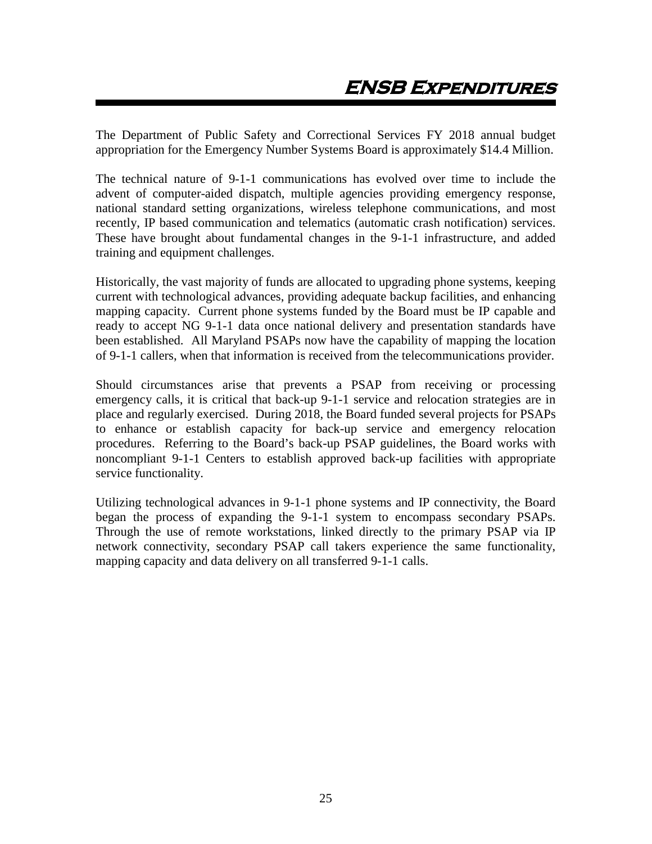<span id="page-25-0"></span>The Department of Public Safety and Correctional Services FY 2018 annual budget appropriation for the Emergency Number Systems Board is approximately \$14.4 Million.

The technical nature of 9-1-1 communications has evolved over time to include the advent of computer-aided dispatch, multiple agencies providing emergency response, national standard setting organizations, wireless telephone communications, and most recently, IP based communication and telematics (automatic crash notification) services. These have brought about fundamental changes in the 9-1-1 infrastructure, and added training and equipment challenges.

Historically, the vast majority of funds are allocated to upgrading phone systems, keeping current with technological advances, providing adequate backup facilities, and enhancing mapping capacity. Current phone systems funded by the Board must be IP capable and ready to accept NG 9-1-1 data once national delivery and presentation standards have been established. All Maryland PSAPs now have the capability of mapping the location of 9-1-1 callers, when that information is received from the telecommunications provider.

Should circumstances arise that prevents a PSAP from receiving or processing emergency calls, it is critical that back-up 9-1-1 service and relocation strategies are in place and regularly exercised. During 2018, the Board funded several projects for PSAPs to enhance or establish capacity for back-up service and emergency relocation procedures. Referring to the Board's back-up PSAP guidelines, the Board works with noncompliant 9-1-1 Centers to establish approved back-up facilities with appropriate service functionality.

Utilizing technological advances in 9-1-1 phone systems and IP connectivity, the Board began the process of expanding the 9-1-1 system to encompass secondary PSAPs. Through the use of remote workstations, linked directly to the primary PSAP via IP network connectivity, secondary PSAP call takers experience the same functionality, mapping capacity and data delivery on all transferred 9-1-1 calls.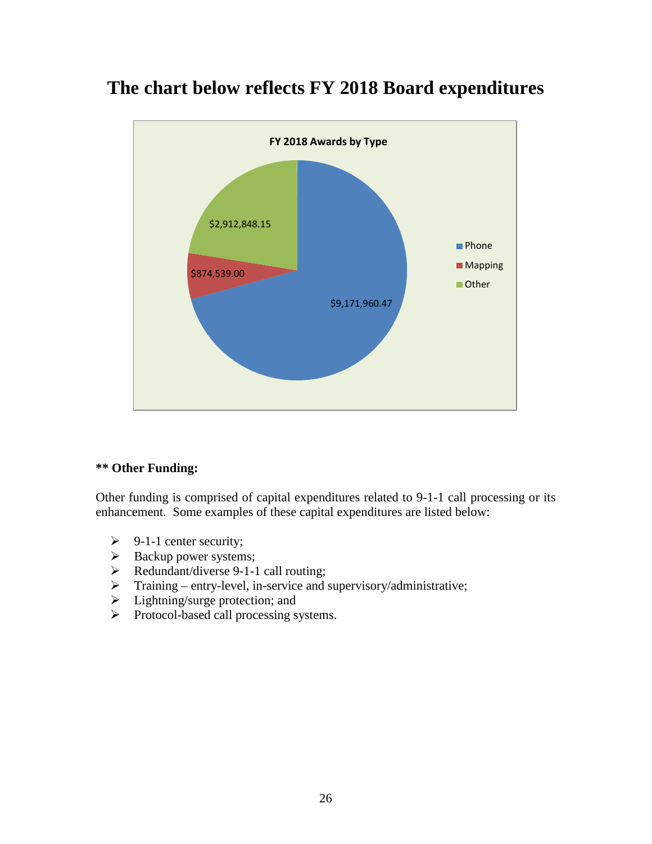# **The chart below reflects FY 2018 Board expenditures**



## **\*\* Other Funding:**

Other funding is comprised of capital expenditures related to 9-1-1 call processing or its enhancement. Some examples of these capital expenditures are listed below:

- $\triangleright$  9-1-1 center security;
- $\triangleright$  Backup power systems;
- P Redundant/diverse 9-1-1 call routing;
- $\triangleright$  Training entry-level, in-service and supervisory/administrative;
- $\triangleright$  Lightning/surge protection; and
- Protocol-based call processing systems.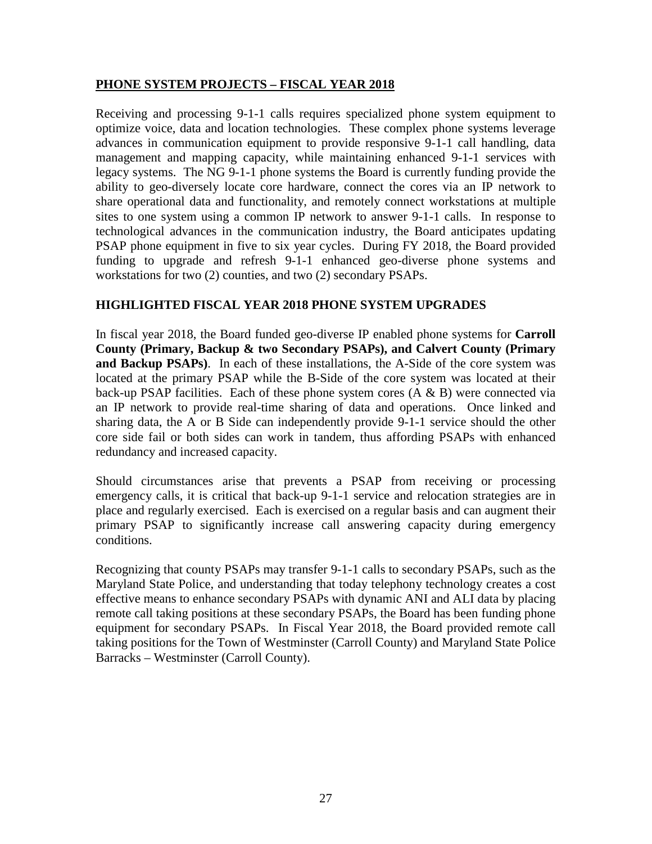## **PHONE SYSTEM PROJECTS – FISCAL YEAR 2018**

Receiving and processing 9-1-1 calls requires specialized phone system equipment to optimize voice, data and location technologies. These complex phone systems leverage advances in communication equipment to provide responsive 9-1-1 call handling, data management and mapping capacity, while maintaining enhanced 9-1-1 services with legacy systems. The NG 9-1-1 phone systems the Board is currently funding provide the ability to geo-diversely locate core hardware, connect the cores via an IP network to share operational data and functionality, and remotely connect workstations at multiple sites to one system using a common IP network to answer 9-1-1 calls. In response to technological advances in the communication industry, the Board anticipates updating PSAP phone equipment in five to six year cycles. During FY 2018, the Board provided funding to upgrade and refresh 9-1-1 enhanced geo-diverse phone systems and workstations for two (2) counties, and two (2) secondary PSAPs.

## **HIGHLIGHTED FISCAL YEAR 2018 PHONE SYSTEM UPGRADES**

In fiscal year 2018, the Board funded geo-diverse IP enabled phone systems for **Carroll County (Primary, Backup & two Secondary PSAPs), and Calvert County (Primary and Backup PSAPs)**. In each of these installations, the A-Side of the core system was located at the primary PSAP while the B-Side of the core system was located at their back-up PSAP facilities. Each of these phone system cores (A & B) were connected via an IP network to provide real-time sharing of data and operations. Once linked and sharing data, the A or B Side can independently provide 9-1-1 service should the other core side fail or both sides can work in tandem, thus affording PSAPs with enhanced redundancy and increased capacity.

Should circumstances arise that prevents a PSAP from receiving or processing emergency calls, it is critical that back-up 9-1-1 service and relocation strategies are in place and regularly exercised. Each is exercised on a regular basis and can augment their primary PSAP to significantly increase call answering capacity during emergency conditions.

Recognizing that county PSAPs may transfer 9-1-1 calls to secondary PSAPs, such as the Maryland State Police, and understanding that today telephony technology creates a cost effective means to enhance secondary PSAPs with dynamic ANI and ALI data by placing remote call taking positions at these secondary PSAPs, the Board has been funding phone equipment for secondary PSAPs. In Fiscal Year 2018, the Board provided remote call taking positions for the Town of Westminster (Carroll County) and Maryland State Police Barracks – Westminster (Carroll County).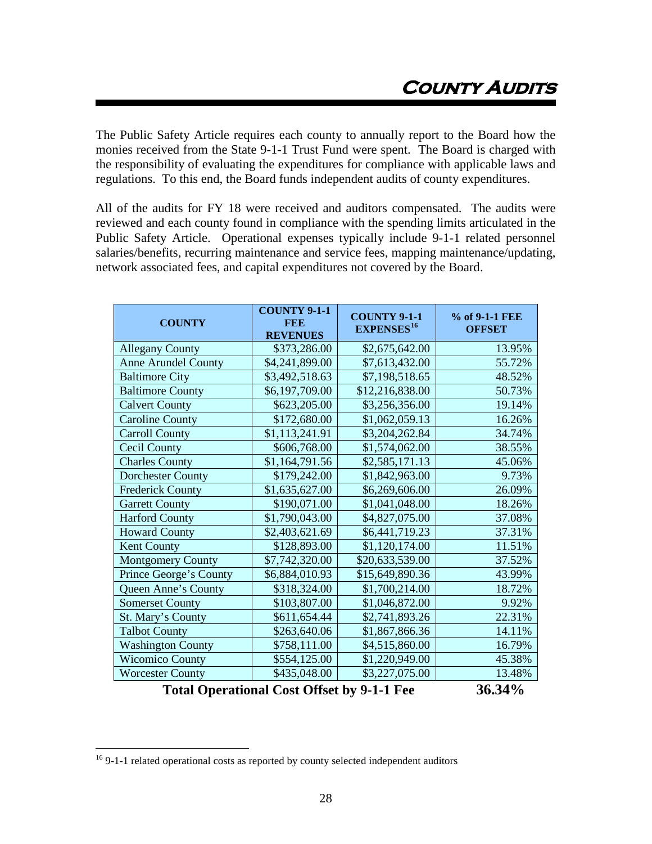<span id="page-28-0"></span>The Public Safety Article requires each county to annually report to the Board how the monies received from the State 9-1-1 Trust Fund were spent. The Board is charged with the responsibility of evaluating the expenditures for compliance with applicable laws and regulations. To this end, the Board funds independent audits of county expenditures.

All of the audits for FY 18 were received and auditors compensated. The audits were reviewed and each county found in compliance with the spending limits articulated in the Public Safety Article. Operational expenses typically include 9-1-1 related personnel salaries/benefits, recurring maintenance and service fees, mapping maintenance/updating, network associated fees, and capital expenditures not covered by the Board.

| \$2,675,642.00<br><b>Allegany County</b><br>\$373,286.00<br>13.95%<br><b>Anne Arundel County</b><br>\$4,241,899.00<br>\$7,613,432.00<br>55.72%<br><b>Baltimore City</b><br>\$3,492,518.63<br>\$7,198,518.65<br>48.52%<br>\$12,216,838.00<br>\$6,197,709.00<br>50.73%<br><b>Baltimore County</b><br><b>Calvert County</b><br>\$623,205.00<br>\$3,256,356.00<br>19.14%<br><b>Caroline County</b><br>\$172,680.00<br>\$1,062,059.13<br>16.26%<br><b>Carroll County</b><br>\$1,113,241.91<br>\$3,204,262.84<br>34.74%<br><b>Cecil County</b><br>\$606,768.00<br>\$1,574,062.00<br>38.55%<br><b>Charles County</b><br>\$1,164,791.56<br>\$2,585,171.13<br>45.06%<br><b>Dorchester County</b><br>\$179,242.00<br>\$1,842,963.00<br>9.73%<br>\$6,269,606.00<br><b>Frederick County</b><br>\$1,635,627.00<br>26.09%<br>\$190,071.00<br>\$1,041,048.00<br><b>Garrett County</b><br>18.26%<br><b>Harford County</b><br>\$1,790,043.00<br>\$4,827,075.00<br>37.08%<br>37.31%<br>\$2,403,621.69<br>\$6,441,719.23<br><b>Howard County</b><br>Kent County<br>\$1,120,174.00<br>\$128,893.00<br>11.51%<br>\$7,742,320.00<br>\$20,633,539.00<br><b>Montgomery County</b><br>37.52%<br>Prince George's County<br>\$6,884,010.93<br>\$15,649,890.36<br>43.99%<br>Queen Anne's County<br>\$318,324.00<br>\$1,700,214.00<br>18.72%<br>\$1,046,872.00<br><b>Somerset County</b><br>\$103,807.00<br>9.92%<br>22.31%<br>St. Mary's County<br>\$611,654.44<br>\$2,741,893.26<br><b>Talbot County</b><br>\$263,640.06<br>14.11%<br>\$1,867,866.36<br>16.79%<br><b>Washington County</b><br>\$758,111.00<br>\$4,515,860.00<br><b>Wicomico County</b><br>\$554,125.00<br>\$1,220,949.00<br>45.38%<br><b>Worcester County</b><br>\$435,048.00<br>\$3,227,075.00<br>13.48% | <b>COUNTY</b> | <b>COUNTY 9-1-1</b><br><b>FEE</b><br><b>REVENUES</b> | <b>COUNTY 9-1-1</b><br><b>EXPENSES</b> <sup>16</sup> | % of 9-1-1 FEE<br><b>OFFSET</b> |
|------------------------------------------------------------------------------------------------------------------------------------------------------------------------------------------------------------------------------------------------------------------------------------------------------------------------------------------------------------------------------------------------------------------------------------------------------------------------------------------------------------------------------------------------------------------------------------------------------------------------------------------------------------------------------------------------------------------------------------------------------------------------------------------------------------------------------------------------------------------------------------------------------------------------------------------------------------------------------------------------------------------------------------------------------------------------------------------------------------------------------------------------------------------------------------------------------------------------------------------------------------------------------------------------------------------------------------------------------------------------------------------------------------------------------------------------------------------------------------------------------------------------------------------------------------------------------------------------------------------------------------------------------------------------------------------------------------------------------------------------|---------------|------------------------------------------------------|------------------------------------------------------|---------------------------------|
|                                                                                                                                                                                                                                                                                                                                                                                                                                                                                                                                                                                                                                                                                                                                                                                                                                                                                                                                                                                                                                                                                                                                                                                                                                                                                                                                                                                                                                                                                                                                                                                                                                                                                                                                                |               |                                                      |                                                      |                                 |
|                                                                                                                                                                                                                                                                                                                                                                                                                                                                                                                                                                                                                                                                                                                                                                                                                                                                                                                                                                                                                                                                                                                                                                                                                                                                                                                                                                                                                                                                                                                                                                                                                                                                                                                                                |               |                                                      |                                                      |                                 |
|                                                                                                                                                                                                                                                                                                                                                                                                                                                                                                                                                                                                                                                                                                                                                                                                                                                                                                                                                                                                                                                                                                                                                                                                                                                                                                                                                                                                                                                                                                                                                                                                                                                                                                                                                |               |                                                      |                                                      |                                 |
|                                                                                                                                                                                                                                                                                                                                                                                                                                                                                                                                                                                                                                                                                                                                                                                                                                                                                                                                                                                                                                                                                                                                                                                                                                                                                                                                                                                                                                                                                                                                                                                                                                                                                                                                                |               |                                                      |                                                      |                                 |
|                                                                                                                                                                                                                                                                                                                                                                                                                                                                                                                                                                                                                                                                                                                                                                                                                                                                                                                                                                                                                                                                                                                                                                                                                                                                                                                                                                                                                                                                                                                                                                                                                                                                                                                                                |               |                                                      |                                                      |                                 |
|                                                                                                                                                                                                                                                                                                                                                                                                                                                                                                                                                                                                                                                                                                                                                                                                                                                                                                                                                                                                                                                                                                                                                                                                                                                                                                                                                                                                                                                                                                                                                                                                                                                                                                                                                |               |                                                      |                                                      |                                 |
|                                                                                                                                                                                                                                                                                                                                                                                                                                                                                                                                                                                                                                                                                                                                                                                                                                                                                                                                                                                                                                                                                                                                                                                                                                                                                                                                                                                                                                                                                                                                                                                                                                                                                                                                                |               |                                                      |                                                      |                                 |
|                                                                                                                                                                                                                                                                                                                                                                                                                                                                                                                                                                                                                                                                                                                                                                                                                                                                                                                                                                                                                                                                                                                                                                                                                                                                                                                                                                                                                                                                                                                                                                                                                                                                                                                                                |               |                                                      |                                                      |                                 |
|                                                                                                                                                                                                                                                                                                                                                                                                                                                                                                                                                                                                                                                                                                                                                                                                                                                                                                                                                                                                                                                                                                                                                                                                                                                                                                                                                                                                                                                                                                                                                                                                                                                                                                                                                |               |                                                      |                                                      |                                 |
|                                                                                                                                                                                                                                                                                                                                                                                                                                                                                                                                                                                                                                                                                                                                                                                                                                                                                                                                                                                                                                                                                                                                                                                                                                                                                                                                                                                                                                                                                                                                                                                                                                                                                                                                                |               |                                                      |                                                      |                                 |
|                                                                                                                                                                                                                                                                                                                                                                                                                                                                                                                                                                                                                                                                                                                                                                                                                                                                                                                                                                                                                                                                                                                                                                                                                                                                                                                                                                                                                                                                                                                                                                                                                                                                                                                                                |               |                                                      |                                                      |                                 |
|                                                                                                                                                                                                                                                                                                                                                                                                                                                                                                                                                                                                                                                                                                                                                                                                                                                                                                                                                                                                                                                                                                                                                                                                                                                                                                                                                                                                                                                                                                                                                                                                                                                                                                                                                |               |                                                      |                                                      |                                 |
|                                                                                                                                                                                                                                                                                                                                                                                                                                                                                                                                                                                                                                                                                                                                                                                                                                                                                                                                                                                                                                                                                                                                                                                                                                                                                                                                                                                                                                                                                                                                                                                                                                                                                                                                                |               |                                                      |                                                      |                                 |
|                                                                                                                                                                                                                                                                                                                                                                                                                                                                                                                                                                                                                                                                                                                                                                                                                                                                                                                                                                                                                                                                                                                                                                                                                                                                                                                                                                                                                                                                                                                                                                                                                                                                                                                                                |               |                                                      |                                                      |                                 |
|                                                                                                                                                                                                                                                                                                                                                                                                                                                                                                                                                                                                                                                                                                                                                                                                                                                                                                                                                                                                                                                                                                                                                                                                                                                                                                                                                                                                                                                                                                                                                                                                                                                                                                                                                |               |                                                      |                                                      |                                 |
|                                                                                                                                                                                                                                                                                                                                                                                                                                                                                                                                                                                                                                                                                                                                                                                                                                                                                                                                                                                                                                                                                                                                                                                                                                                                                                                                                                                                                                                                                                                                                                                                                                                                                                                                                |               |                                                      |                                                      |                                 |
|                                                                                                                                                                                                                                                                                                                                                                                                                                                                                                                                                                                                                                                                                                                                                                                                                                                                                                                                                                                                                                                                                                                                                                                                                                                                                                                                                                                                                                                                                                                                                                                                                                                                                                                                                |               |                                                      |                                                      |                                 |
|                                                                                                                                                                                                                                                                                                                                                                                                                                                                                                                                                                                                                                                                                                                                                                                                                                                                                                                                                                                                                                                                                                                                                                                                                                                                                                                                                                                                                                                                                                                                                                                                                                                                                                                                                |               |                                                      |                                                      |                                 |
|                                                                                                                                                                                                                                                                                                                                                                                                                                                                                                                                                                                                                                                                                                                                                                                                                                                                                                                                                                                                                                                                                                                                                                                                                                                                                                                                                                                                                                                                                                                                                                                                                                                                                                                                                |               |                                                      |                                                      |                                 |
|                                                                                                                                                                                                                                                                                                                                                                                                                                                                                                                                                                                                                                                                                                                                                                                                                                                                                                                                                                                                                                                                                                                                                                                                                                                                                                                                                                                                                                                                                                                                                                                                                                                                                                                                                |               |                                                      |                                                      |                                 |
|                                                                                                                                                                                                                                                                                                                                                                                                                                                                                                                                                                                                                                                                                                                                                                                                                                                                                                                                                                                                                                                                                                                                                                                                                                                                                                                                                                                                                                                                                                                                                                                                                                                                                                                                                |               |                                                      |                                                      |                                 |
|                                                                                                                                                                                                                                                                                                                                                                                                                                                                                                                                                                                                                                                                                                                                                                                                                                                                                                                                                                                                                                                                                                                                                                                                                                                                                                                                                                                                                                                                                                                                                                                                                                                                                                                                                |               |                                                      |                                                      |                                 |
|                                                                                                                                                                                                                                                                                                                                                                                                                                                                                                                                                                                                                                                                                                                                                                                                                                                                                                                                                                                                                                                                                                                                                                                                                                                                                                                                                                                                                                                                                                                                                                                                                                                                                                                                                |               |                                                      |                                                      |                                 |
|                                                                                                                                                                                                                                                                                                                                                                                                                                                                                                                                                                                                                                                                                                                                                                                                                                                                                                                                                                                                                                                                                                                                                                                                                                                                                                                                                                                                                                                                                                                                                                                                                                                                                                                                                |               |                                                      |                                                      |                                 |

**Total Operational Cost Offset by 9-1-1 Fee 36.34%**

<span id="page-28-1"></span><sup>&</sup>lt;sup>16</sup> 9-1-1 related operational costs as reported by county selected independent auditors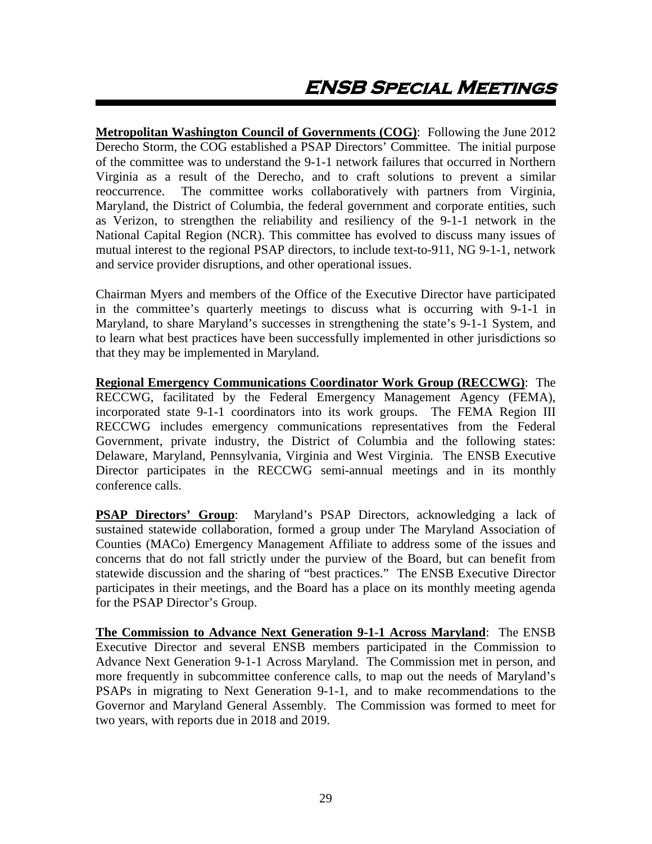<span id="page-29-0"></span>**Metropolitan Washington Council of Governments (COG)**: Following the June 2012 Derecho Storm, the COG established a PSAP Directors' Committee. The initial purpose of the committee was to understand the 9-1-1 network failures that occurred in Northern Virginia as a result of the Derecho, and to craft solutions to prevent a similar reoccurrence. The committee works collaboratively with partners from Virginia, Maryland, the District of Columbia, the federal government and corporate entities, such as Verizon, to strengthen the reliability and resiliency of the 9-1-1 network in the National Capital Region (NCR). This committee has evolved to discuss many issues of mutual interest to the regional PSAP directors, to include text-to-911, NG 9-1-1, network and service provider disruptions, and other operational issues.

Chairman Myers and members of the Office of the Executive Director have participated in the committee's quarterly meetings to discuss what is occurring with 9-1-1 in Maryland, to share Maryland's successes in strengthening the state's 9-1-1 System, and to learn what best practices have been successfully implemented in other jurisdictions so that they may be implemented in Maryland.

**Regional Emergency Communications Coordinator Work Group (RECCWG)**: The RECCWG, facilitated by the Federal Emergency Management Agency (FEMA), incorporated state 9-1-1 coordinators into its work groups. The FEMA Region III RECCWG includes emergency communications representatives from the Federal Government, private industry, the District of Columbia and the following states: Delaware, Maryland, Pennsylvania, Virginia and West Virginia. The ENSB Executive Director participates in the RECCWG semi-annual meetings and in its monthly conference calls.

**PSAP Directors' Group**: Maryland's PSAP Directors, acknowledging a lack of sustained statewide collaboration, formed a group under The Maryland Association of Counties (MACo) Emergency Management Affiliate to address some of the issues and concerns that do not fall strictly under the purview of the Board, but can benefit from statewide discussion and the sharing of "best practices." The ENSB Executive Director participates in their meetings, and the Board has a place on its monthly meeting agenda for the PSAP Director's Group.

**The Commission to Advance Next Generation 9-1-1 Across Maryland**: The ENSB Executive Director and several ENSB members participated in the Commission to Advance Next Generation 9-1-1 Across Maryland. The Commission met in person, and more frequently in subcommittee conference calls, to map out the needs of Maryland's PSAPs in migrating to Next Generation 9-1-1, and to make recommendations to the Governor and Maryland General Assembly. The Commission was formed to meet for two years, with reports due in 2018 and 2019.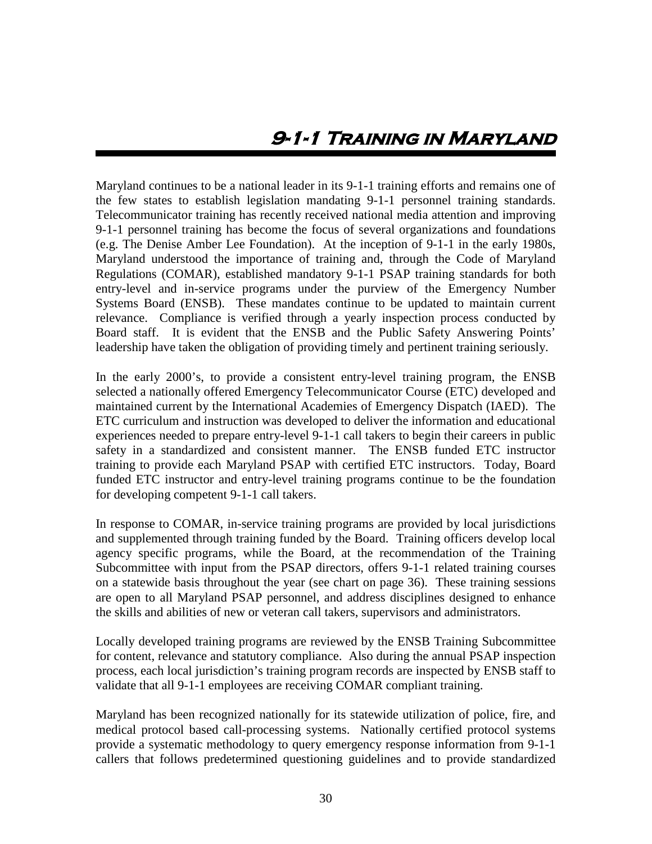<span id="page-30-0"></span>Maryland continues to be a national leader in its 9-1-1 training efforts and remains one of the few states to establish legislation mandating 9-1-1 personnel training standards. Telecommunicator training has recently received national media attention and improving 9-1-1 personnel training has become the focus of several organizations and foundations (e.g. The Denise Amber Lee Foundation). At the inception of 9-1-1 in the early 1980s, Maryland understood the importance of training and, through the Code of Maryland Regulations (COMAR), established mandatory 9-1-1 PSAP training standards for both entry-level and in-service programs under the purview of the Emergency Number Systems Board (ENSB). These mandates continue to be updated to maintain current relevance. Compliance is verified through a yearly inspection process conducted by Board staff. It is evident that the ENSB and the Public Safety Answering Points' leadership have taken the obligation of providing timely and pertinent training seriously.

In the early 2000's, to provide a consistent entry-level training program, the ENSB selected a nationally offered Emergency Telecommunicator Course (ETC) developed and maintained current by the International Academies of Emergency Dispatch (IAED). The ETC curriculum and instruction was developed to deliver the information and educational experiences needed to prepare entry-level 9-1-1 call takers to begin their careers in public safety in a standardized and consistent manner. The ENSB funded ETC instructor training to provide each Maryland PSAP with certified ETC instructors. Today, Board funded ETC instructor and entry-level training programs continue to be the foundation for developing competent 9-1-1 call takers.

In response to COMAR, in-service training programs are provided by local jurisdictions and supplemented through training funded by the Board. Training officers develop local agency specific programs, while the Board, at the recommendation of the Training Subcommittee with input from the PSAP directors, offers 9-1-1 related training courses on a statewide basis throughout the year (see chart on page 36). These training sessions are open to all Maryland PSAP personnel, and address disciplines designed to enhance the skills and abilities of new or veteran call takers, supervisors and administrators.

Locally developed training programs are reviewed by the ENSB Training Subcommittee for content, relevance and statutory compliance. Also during the annual PSAP inspection process, each local jurisdiction's training program records are inspected by ENSB staff to validate that all 9-1-1 employees are receiving COMAR compliant training.

Maryland has been recognized nationally for its statewide utilization of police, fire, and medical protocol based call-processing systems. Nationally certified protocol systems provide a systematic methodology to query emergency response information from 9-1-1 callers that follows predetermined questioning guidelines and to provide standardized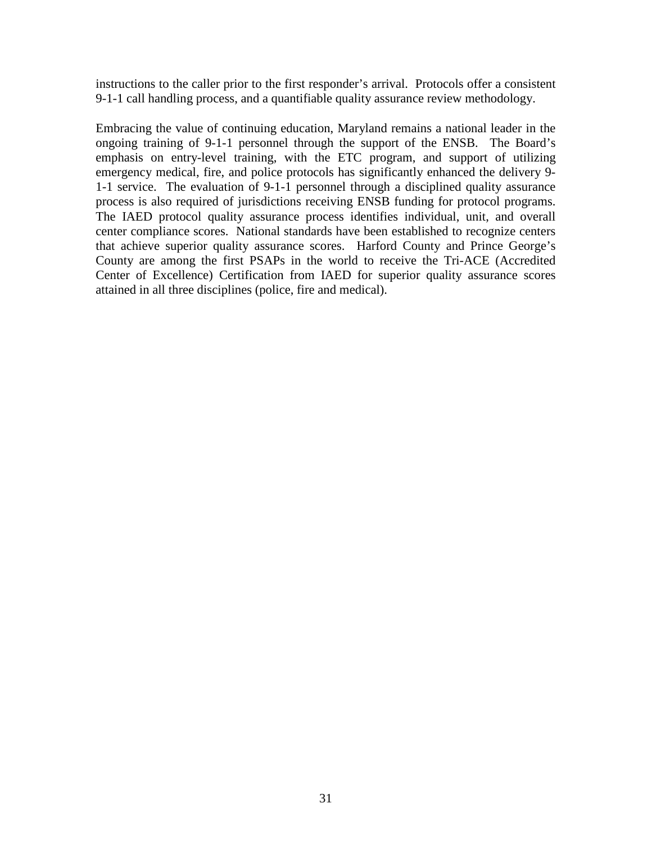instructions to the caller prior to the first responder's arrival. Protocols offer a consistent 9-1-1 call handling process, and a quantifiable quality assurance review methodology.

Embracing the value of continuing education, Maryland remains a national leader in the ongoing training of 9-1-1 personnel through the support of the ENSB. The Board's emphasis on entry-level training, with the ETC program, and support of utilizing emergency medical, fire, and police protocols has significantly enhanced the delivery 9- 1-1 service. The evaluation of 9-1-1 personnel through a disciplined quality assurance process is also required of jurisdictions receiving ENSB funding for protocol programs. The IAED protocol quality assurance process identifies individual, unit, and overall center compliance scores. National standards have been established to recognize centers that achieve superior quality assurance scores. Harford County and Prince George's County are among the first PSAPs in the world to receive the Tri-ACE (Accredited Center of Excellence) Certification from IAED for superior quality assurance scores attained in all three disciplines (police, fire and medical).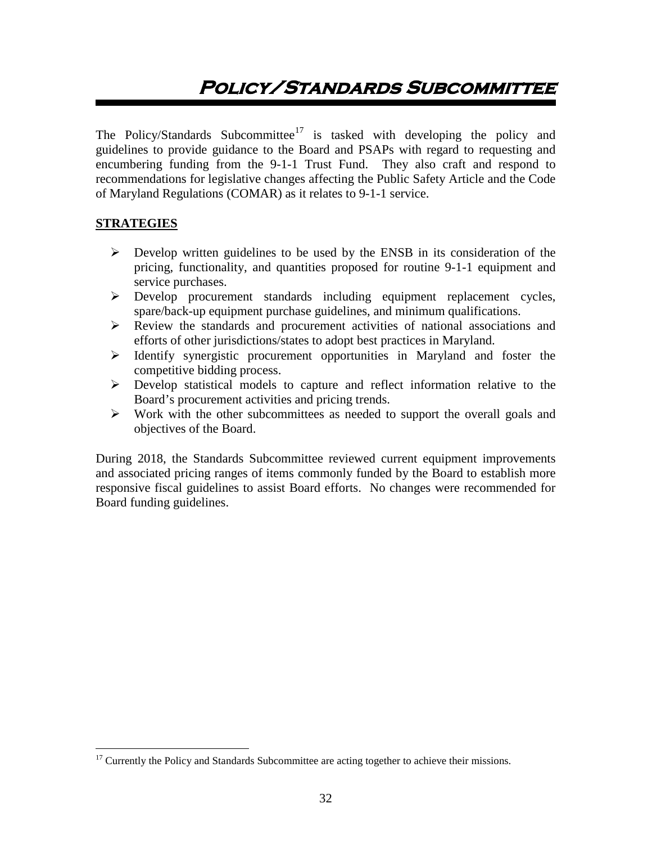# <span id="page-32-0"></span>**Policy/Standards Subcommittee**

The Policy/Standards Subcommittee<sup>[17](#page-32-1)</sup> is tasked with developing the policy and guidelines to provide guidance to the Board and PSAPs with regard to requesting and encumbering funding from the 9-1-1 Trust Fund. They also craft and respond to recommendations for legislative changes affecting the Public Safety Article and the Code of Maryland Regulations (COMAR) as it relates to 9-1-1 service.

## **STRATEGIES**

- $\triangleright$  Develop written guidelines to be used by the ENSB in its consideration of the pricing, functionality, and quantities proposed for routine 9-1-1 equipment and service purchases.
- Develop procurement standards including equipment replacement cycles, spare/back-up equipment purchase guidelines, and minimum qualifications.
- Review the standards and procurement activities of national associations and efforts of other jurisdictions/states to adopt best practices in Maryland.
- $\triangleright$  Identify synergistic procurement opportunities in Maryland and foster the competitive bidding process.
- Develop statistical models to capture and reflect information relative to the Board's procurement activities and pricing trends.
- $\triangleright$  Work with the other subcommittees as needed to support the overall goals and objectives of the Board.

During 2018, the Standards Subcommittee reviewed current equipment improvements and associated pricing ranges of items commonly funded by the Board to establish more responsive fiscal guidelines to assist Board efforts. No changes were recommended for Board funding guidelines.

<span id="page-32-1"></span><sup>&</sup>lt;sup>17</sup> Currently the Policy and Standards Subcommittee are acting together to achieve their missions.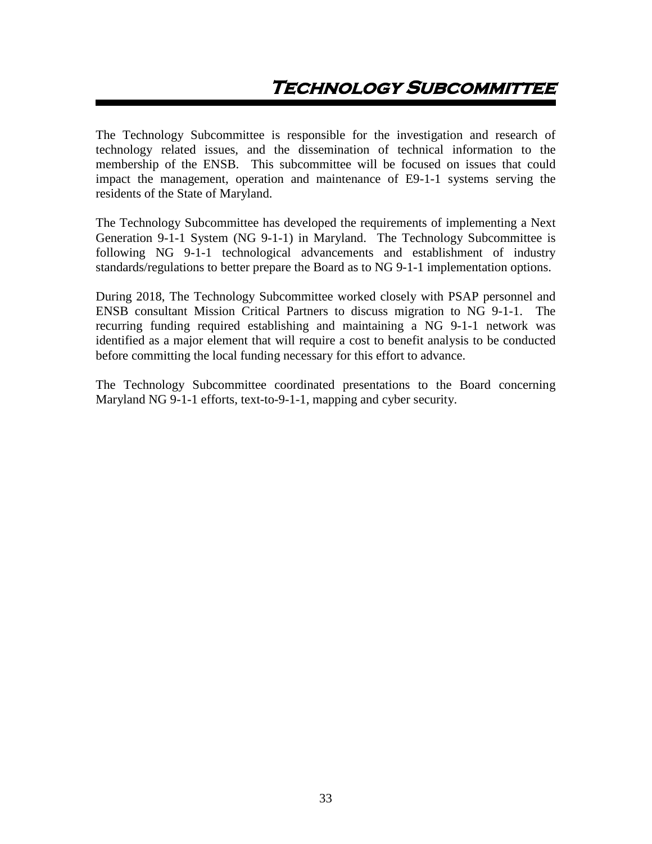<span id="page-33-0"></span>The Technology Subcommittee is responsible for the investigation and research of technology related issues, and the dissemination of technical information to the membership of the ENSB. This subcommittee will be focused on issues that could impact the management, operation and maintenance of E9-1-1 systems serving the residents of the State of Maryland.

The Technology Subcommittee has developed the requirements of implementing a Next Generation 9-1-1 System (NG 9-1-1) in Maryland. The Technology Subcommittee is following NG 9-1-1 technological advancements and establishment of industry standards/regulations to better prepare the Board as to NG 9-1-1 implementation options.

During 2018, The Technology Subcommittee worked closely with PSAP personnel and ENSB consultant Mission Critical Partners to discuss migration to NG 9-1-1. The recurring funding required establishing and maintaining a NG 9-1-1 network was identified as a major element that will require a cost to benefit analysis to be conducted before committing the local funding necessary for this effort to advance.

The Technology Subcommittee coordinated presentations to the Board concerning Maryland NG 9-1-1 efforts, text-to-9-1-1, mapping and cyber security.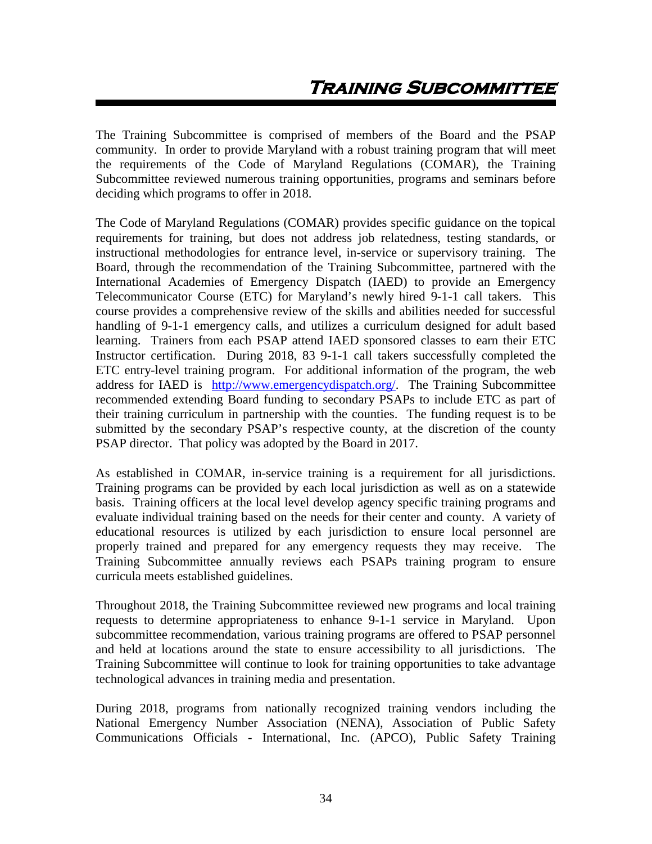<span id="page-34-0"></span>The Training Subcommittee is comprised of members of the Board and the PSAP community. In order to provide Maryland with a robust training program that will meet the requirements of the Code of Maryland Regulations (COMAR), the Training Subcommittee reviewed numerous training opportunities, programs and seminars before deciding which programs to offer in 2018.

The Code of Maryland Regulations (COMAR) provides specific guidance on the topical requirements for training, but does not address job relatedness, testing standards, or instructional methodologies for entrance level, in-service or supervisory training. The Board, through the recommendation of the Training Subcommittee, partnered with the International Academies of Emergency Dispatch (IAED) to provide an Emergency Telecommunicator Course (ETC) for Maryland's newly hired 9-1-1 call takers. This course provides a comprehensive review of the skills and abilities needed for successful handling of 9-1-1 emergency calls, and utilizes a curriculum designed for adult based learning. Trainers from each PSAP attend IAED sponsored classes to earn their ETC Instructor certification. During 2018, 83 9-1-1 call takers successfully completed the ETC entry-level training program. For additional information of the program, the web address for IAED is [http://www.emergencydispatch.org/.](http://www.naemd.org/) The Training Subcommittee recommended extending Board funding to secondary PSAPs to include ETC as part of their training curriculum in partnership with the counties. The funding request is to be submitted by the secondary PSAP's respective county, at the discretion of the county PSAP director. That policy was adopted by the Board in 2017.

As established in COMAR, in-service training is a requirement for all jurisdictions. Training programs can be provided by each local jurisdiction as well as on a statewide basis. Training officers at the local level develop agency specific training programs and evaluate individual training based on the needs for their center and county. A variety of educational resources is utilized by each jurisdiction to ensure local personnel are properly trained and prepared for any emergency requests they may receive. The Training Subcommittee annually reviews each PSAPs training program to ensure curricula meets established guidelines.

Throughout 2018, the Training Subcommittee reviewed new programs and local training requests to determine appropriateness to enhance 9-1-1 service in Maryland. Upon subcommittee recommendation, various training programs are offered to PSAP personnel and held at locations around the state to ensure accessibility to all jurisdictions. The Training Subcommittee will continue to look for training opportunities to take advantage technological advances in training media and presentation.

During 2018, programs from nationally recognized training vendors including the National Emergency Number Association (NENA), Association of Public Safety Communications Officials - International, Inc. (APCO), Public Safety Training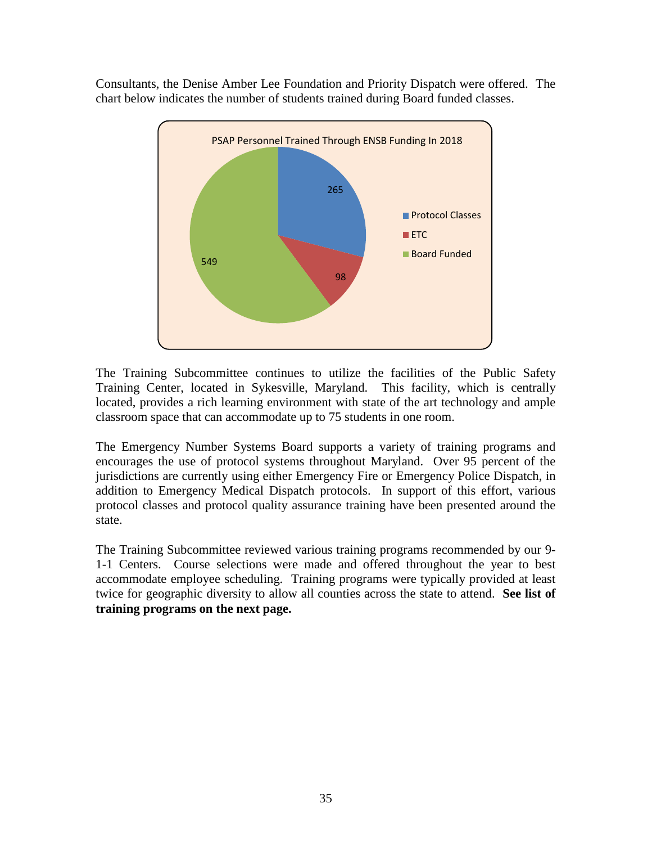Consultants, the Denise Amber Lee Foundation and Priority Dispatch were offered. The chart below indicates the number of students trained during Board funded classes.



The Training Subcommittee continues to utilize the facilities of the Public Safety Training Center, located in Sykesville, Maryland. This facility, which is centrally located, provides a rich learning environment with state of the art technology and ample classroom space that can accommodate up to 75 students in one room.

The Emergency Number Systems Board supports a variety of training programs and encourages the use of protocol systems throughout Maryland. Over 95 percent of the jurisdictions are currently using either Emergency Fire or Emergency Police Dispatch, in addition to Emergency Medical Dispatch protocols. In support of this effort, various protocol classes and protocol quality assurance training have been presented around the state.

The Training Subcommittee reviewed various training programs recommended by our 9- 1-1 Centers. Course selections were made and offered throughout the year to best accommodate employee scheduling. Training programs were typically provided at least twice for geographic diversity to allow all counties across the state to attend. **See list of training programs on the next page.**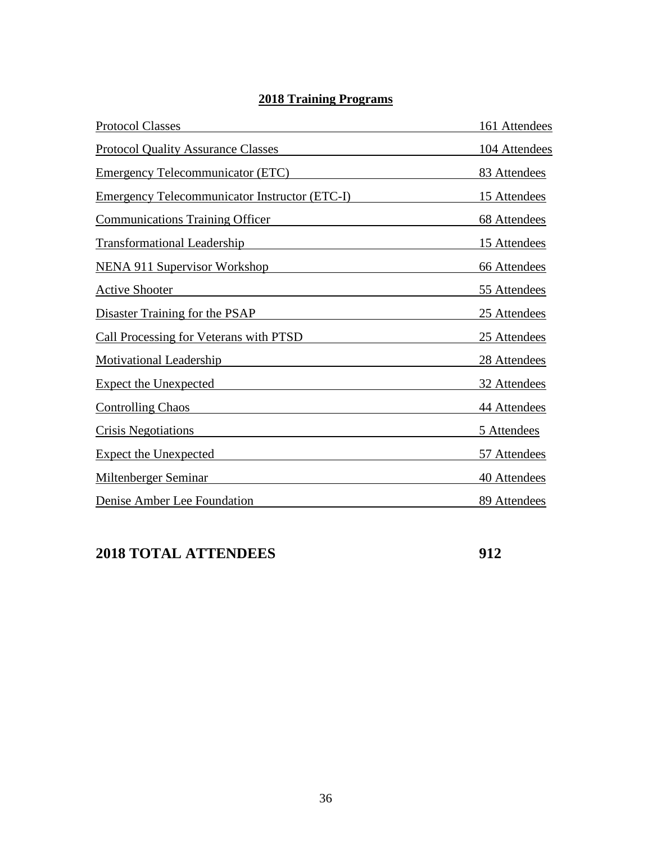# **2018 Training Programs**

| <b>Protocol Classes</b>                              | 161 Attendees |
|------------------------------------------------------|---------------|
| <b>Protocol Quality Assurance Classes</b>            | 104 Attendees |
| <b>Emergency Telecommunicator (ETC)</b>              | 83 Attendees  |
| <b>Emergency Telecommunicator Instructor (ETC-I)</b> | 15 Attendees  |
| <b>Communications Training Officer</b>               | 68 Attendees  |
| <b>Transformational Leadership</b>                   | 15 Attendees  |
| <b>NENA 911 Supervisor Workshop</b>                  | 66 Attendees  |
| <b>Active Shooter</b>                                | 55 Attendees  |
| Disaster Training for the PSAP                       | 25 Attendees  |
| <b>Call Processing for Veterans with PTSD</b>        | 25 Attendees  |
| <b>Motivational Leadership</b>                       | 28 Attendees  |
| <b>Expect the Unexpected</b>                         | 32 Attendees  |
| <b>Controlling Chaos</b>                             | 44 Attendees  |
| <b>Crisis Negotiations</b>                           | 5 Attendees   |
| <b>Expect the Unexpected</b>                         | 57 Attendees  |
| <b>Miltenberger Seminar</b>                          | 40 Attendees  |
| Denise Amber Lee Foundation                          | 89 Attendees  |

# **2018 TOTAL ATTENDEES 912**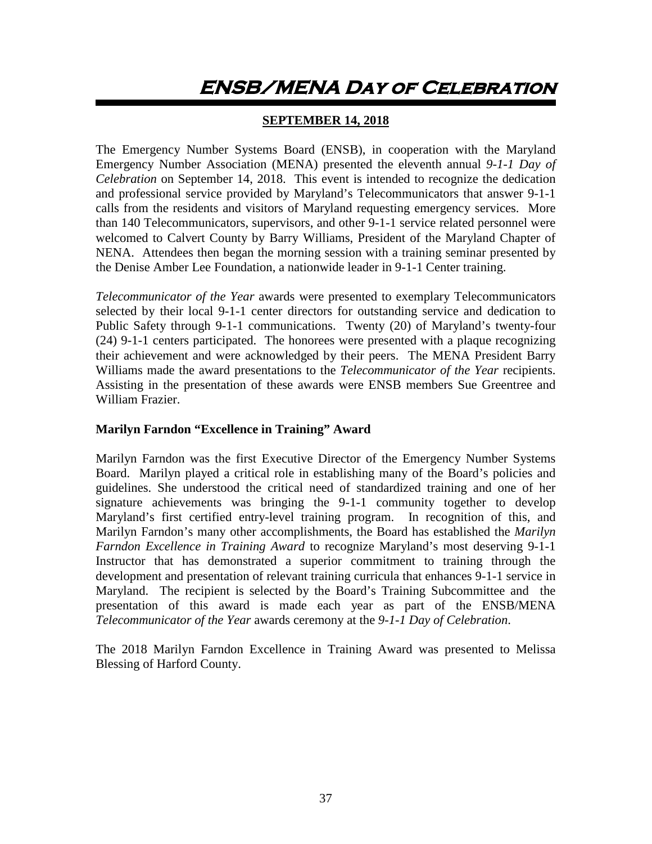# <span id="page-37-0"></span>**ENSB/MENA Day of Celebration**

# **SEPTEMBER 14, 2018**

The Emergency Number Systems Board (ENSB), in cooperation with the Maryland Emergency Number Association (MENA) presented the eleventh annual *9-1-1 Day of Celebration* on September 14, 2018. This event is intended to recognize the dedication and professional service provided by Maryland's Telecommunicators that answer 9-1-1 calls from the residents and visitors of Maryland requesting emergency services. More than 140 Telecommunicators, supervisors, and other 9-1-1 service related personnel were welcomed to Calvert County by Barry Williams, President of the Maryland Chapter of NENA. Attendees then began the morning session with a training seminar presented by the Denise Amber Lee Foundation, a nationwide leader in 9-1-1 Center training.

*Telecommunicator of the Year* awards were presented to exemplary Telecommunicators selected by their local 9-1-1 center directors for outstanding service and dedication to Public Safety through 9-1-1 communications. Twenty (20) of Maryland's twenty-four (24) 9-1-1 centers participated. The honorees were presented with a plaque recognizing their achievement and were acknowledged by their peers. The MENA President Barry Williams made the award presentations to the *Telecommunicator of the Year* recipients. Assisting in the presentation of these awards were ENSB members Sue Greentree and William Frazier.

## **Marilyn Farndon "Excellence in Training" Award**

Marilyn Farndon was the first Executive Director of the Emergency Number Systems Board. Marilyn played a critical role in establishing many of the Board's policies and guidelines. She understood the critical need of standardized training and one of her signature achievements was bringing the 9-1-1 community together to develop Maryland's first certified entry-level training program. In recognition of this, and Marilyn Farndon's many other accomplishments, the Board has established the *Marilyn Farndon Excellence in Training Award* to recognize Maryland's most deserving 9-1-1 Instructor that has demonstrated a superior commitment to training through the development and presentation of relevant training curricula that enhances 9-1-1 service in Maryland. The recipient is selected by the Board's Training Subcommittee and the presentation of this award is made each year as part of the ENSB/MENA *Telecommunicator of the Year* awards ceremony at the *9-1-1 Day of Celebration*.

The 2018 Marilyn Farndon Excellence in Training Award was presented to Melissa Blessing of Harford County.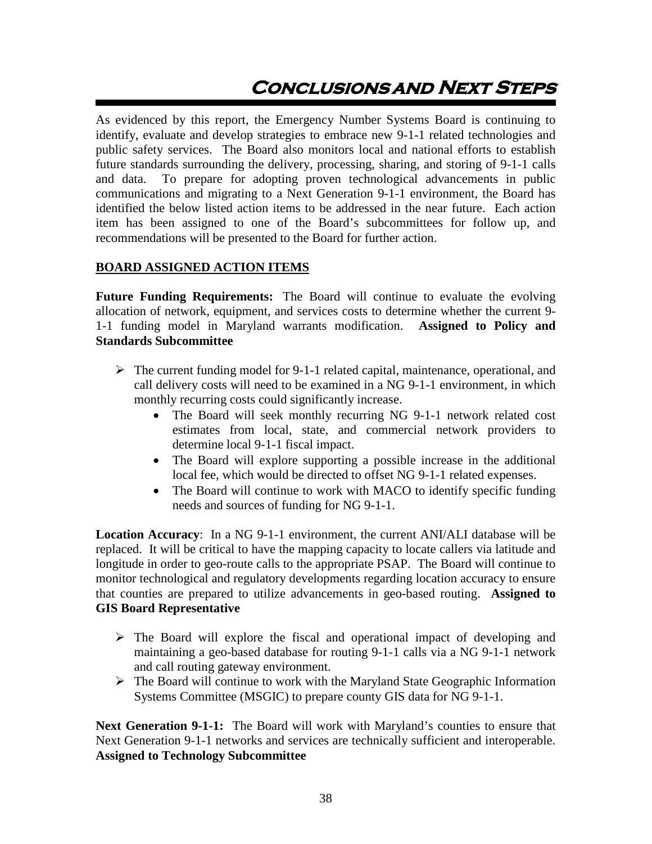# **Conclusionsand Next Steps**

As evidenced by this report, the Emergency Number Systems Board is continuing to identify, evaluate and develop strategies to embrace new 9-1-1 related technologies and public safety services. The Board also monitors local and national efforts to establish future standards surrounding the delivery, processing, sharing, and storing of 9-1-1 calls and data. To prepare for adopting proven technological advancements in public communications and migrating to a Next Generation 9-1-1 environment, the Board has identified the below listed action items to be addressed in the near future. Each action item has been assigned to one of the Board's subcommittees for follow up, and recommendations will be presented to the Board for further action.

## **BOARD ASSIGNED ACTION ITEMS**

**Future Funding Requirements:** The Board will continue to evaluate the evolving allocation of network, equipment, and services costs to determine whether the current 9- 1-1 funding model in Maryland warrants modification. **Assigned to Policy and Standards Subcommittee**

- $\triangleright$  The current funding model for 9-1-1 related capital, maintenance, operational, and call delivery costs will need to be examined in a NG 9-1-1 environment, in which monthly recurring costs could significantly increase.
	- The Board will seek monthly recurring NG 9-1-1 network related cost estimates from local, state, and commercial network providers to determine local 9-1-1 fiscal impact.
	- The Board will explore supporting a possible increase in the additional local fee, which would be directed to offset NG 9-1-1 related expenses.
	- The Board will continue to work with MACO to identify specific funding needs and sources of funding for NG 9-1-1.

**Location Accuracy**: In a NG 9-1-1 environment, the current ANI/ALI database will be replaced. It will be critical to have the mapping capacity to locate callers via latitude and longitude in order to geo-route calls to the appropriate PSAP. The Board will continue to monitor technological and regulatory developments regarding location accuracy to ensure that counties are prepared to utilize advancements in geo-based routing. **Assigned to GIS Board Representative**

- $\triangleright$  The Board will explore the fiscal and operational impact of developing and maintaining a geo-based database for routing 9-1-1 calls via a NG 9-1-1 network and call routing gateway environment.
- $\triangleright$  The Board will continue to work with the Maryland State Geographic Information Systems Committee (MSGIC) to prepare county GIS data for NG 9-1-1.

**Next Generation 9-1-1:** The Board will work with Maryland's counties to ensure that Next Generation 9-1-1 networks and services are technically sufficient and interoperable. **Assigned to Technology Subcommittee**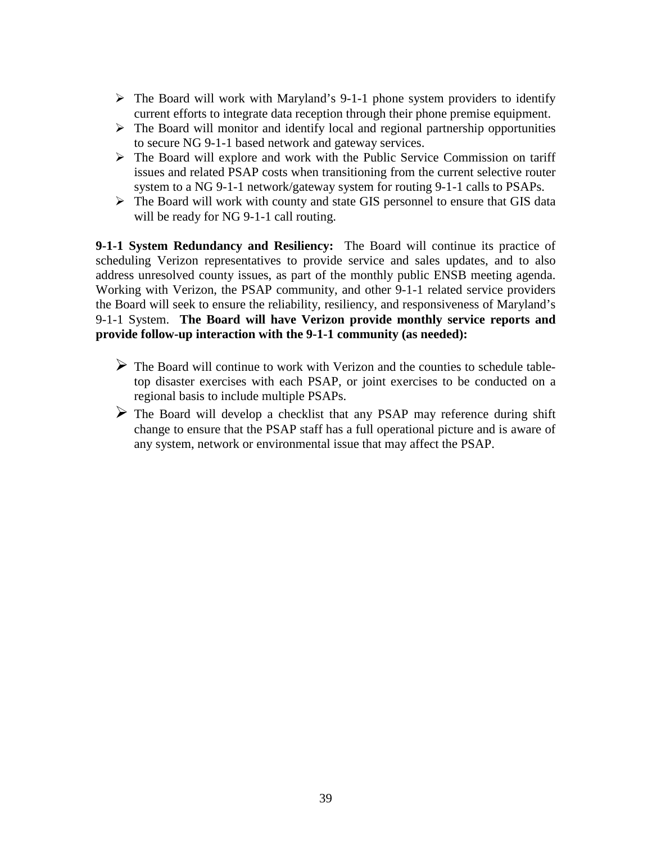- $\triangleright$  The Board will work with Maryland's 9-1-1 phone system providers to identify current efforts to integrate data reception through their phone premise equipment.
- $\triangleright$  The Board will monitor and identify local and regional partnership opportunities to secure NG 9-1-1 based network and gateway services.
- The Board will explore and work with the Public Service Commission on tariff issues and related PSAP costs when transitioning from the current selective router system to a NG 9-1-1 network/gateway system for routing 9-1-1 calls to PSAPs.
- $\triangleright$  The Board will work with county and state GIS personnel to ensure that GIS data will be ready for NG 9-1-1 call routing.

**9-1-1 System Redundancy and Resiliency:** The Board will continue its practice of scheduling Verizon representatives to provide service and sales updates, and to also address unresolved county issues, as part of the monthly public ENSB meeting agenda. Working with Verizon, the PSAP community, and other 9-1-1 related service providers the Board will seek to ensure the reliability, resiliency, and responsiveness of Maryland's 9-1-1 System. **The Board will have Verizon provide monthly service reports and provide follow-up interaction with the 9-1-1 community (as needed):**

- $\triangleright$  The Board will continue to work with Verizon and the counties to schedule tabletop disaster exercises with each PSAP, or joint exercises to be conducted on a regional basis to include multiple PSAPs.
- The Board will develop a checklist that any PSAP may reference during shift change to ensure that the PSAP staff has a full operational picture and is aware of any system, network or environmental issue that may affect the PSAP.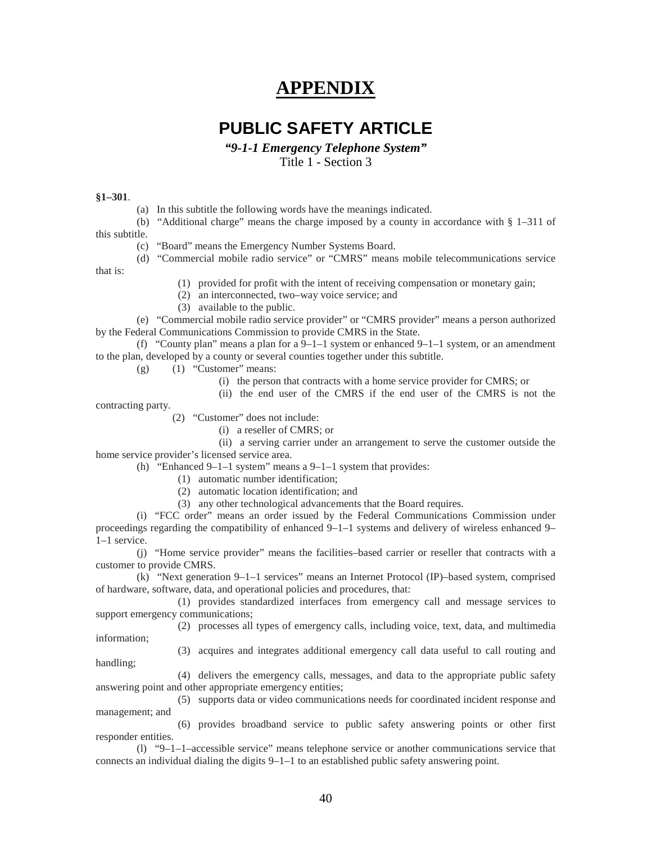# **APPENDIX**

# **PUBLIC SAFETY ARTICLE**

*"9-1-1 Emergency Telephone System"*

Title 1 - Section 3

#### <span id="page-40-0"></span>**§1–301**.

(a) In this subtitle the following words have the meanings indicated.

(b) "Additional charge" means the charge imposed by a county in accordance with § 1–311 of this subtitle.

(c) "Board" means the Emergency Number Systems Board.

(d) "Commercial mobile radio service" or "CMRS" means mobile telecommunications service that is:

(1) provided for profit with the intent of receiving compensation or monetary gain;

(2) an interconnected, two–way voice service; and

(3) available to the public.

(e) "Commercial mobile radio service provider" or "CMRS provider" means a person authorized by the Federal Communications Commission to provide CMRS in the State.

(f) "County plan" means a plan for a  $9-1-1$  system or enhanced  $9-1-1$  system, or an amendment to the plan, developed by a county or several counties together under this subtitle.

- $(g)$  (1) "Customer" means:
	- (i) the person that contracts with a home service provider for CMRS; or
	- (ii) the end user of the CMRS if the end user of the CMRS is not the

contracting party.

(2) "Customer" does not include:

(i) a reseller of CMRS; or

(ii) a serving carrier under an arrangement to serve the customer outside the home service provider's licensed service area.

- (h) "Enhanced 9–1–1 system" means a 9–1–1 system that provides:
	- (1) automatic number identification;
	- (2) automatic location identification; and
	- (3) any other technological advancements that the Board requires.

(i) "FCC order" means an order issued by the Federal Communications Commission under proceedings regarding the compatibility of enhanced 9–1–1 systems and delivery of wireless enhanced 9– 1–1 service.

(j) "Home service provider" means the facilities–based carrier or reseller that contracts with a customer to provide CMRS.

(k) "Next generation 9–1–1 services" means an Internet Protocol (IP)–based system, comprised of hardware, software, data, and operational policies and procedures, that:

(1) provides standardized interfaces from emergency call and message services to support emergency communications;

(2) processes all types of emergency calls, including voice, text, data, and multimedia information;

(3) acquires and integrates additional emergency call data useful to call routing and handling;

(4) delivers the emergency calls, messages, and data to the appropriate public safety answering point and other appropriate emergency entities;

(5) supports data or video communications needs for coordinated incident response and management; and

(6) provides broadband service to public safety answering points or other first responder entities.

(l) "9–1–1–accessible service" means telephone service or another communications service that connects an individual dialing the digits 9–1–1 to an established public safety answering point.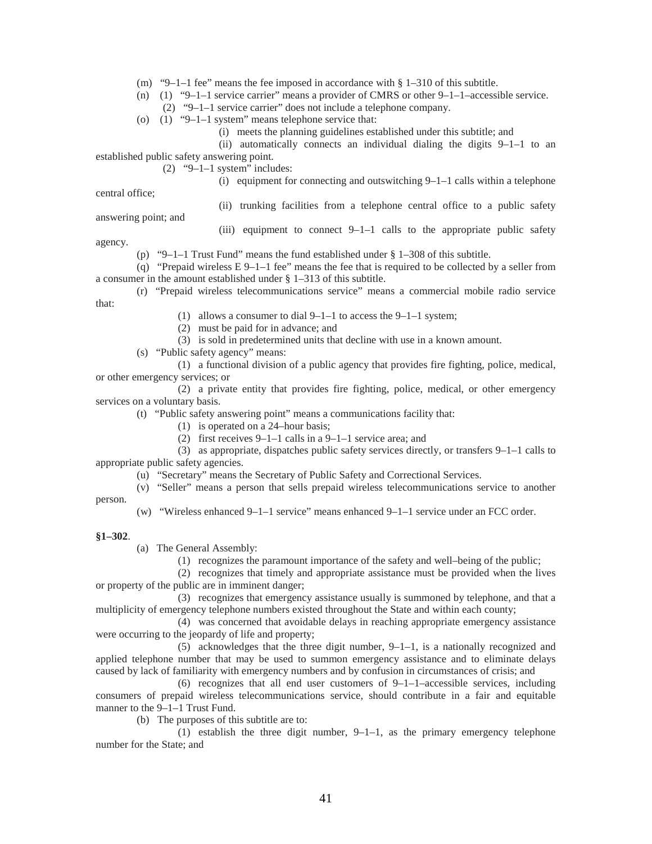- (m) "9–1–1 fee" means the fee imposed in accordance with  $\S$  1–310 of this subtitle.
- (n) (1) "9–1–1 service carrier" means a provider of CMRS or other 9–1–1–accessible service.
	- (2) "9–1–1 service carrier" does not include a telephone company.
- (o) (1) "9–1–1 system" means telephone service that:
	- (i) meets the planning guidelines established under this subtitle; and
	- (ii) automatically connects an individual dialing the digits 9–1–1 to an

established public safety answering point.

 $(2)$  "9–1–1 system" includes:

(i) equipment for connecting and outswitching  $9-1-1$  calls within a telephone

central office;

(ii) trunking facilities from a telephone central office to a public safety

answering point; and

(iii) equipment to connect 9–1–1 calls to the appropriate public safety

agency.

(p) "9–1–1 Trust Fund" means the fund established under § 1–308 of this subtitle.

(q) "Prepaid wireless  $E 9-1-1$  fee" means the fee that is required to be collected by a seller from a consumer in the amount established under § 1–313 of this subtitle.

(r) "Prepaid wireless telecommunications service" means a commercial mobile radio service that:

- (1) allows a consumer to dial 9–1–1 to access the 9–1–1 system;
- (2) must be paid for in advance; and
- (3) is sold in predetermined units that decline with use in a known amount.
- (s) "Public safety agency" means:

(1) a functional division of a public agency that provides fire fighting, police, medical, or other emergency services; or

(2) a private entity that provides fire fighting, police, medical, or other emergency services on a voluntary basis.

- (t) "Public safety answering point" means a communications facility that:
	- (1) is operated on a 24–hour basis;
	- (2) first receives 9–1–1 calls in a 9–1–1 service area; and

(3) as appropriate, dispatches public safety services directly, or transfers 9–1–1 calls to appropriate public safety agencies.

(u) "Secretary" means the Secretary of Public Safety and Correctional Services.

(v) "Seller" means a person that sells prepaid wireless telecommunications service to another person.

(w) "Wireless enhanced 9–1–1 service" means enhanced 9–1–1 service under an FCC order.

#### **§1–302**.

(a) The General Assembly:

(1) recognizes the paramount importance of the safety and well–being of the public;

(2) recognizes that timely and appropriate assistance must be provided when the lives or property of the public are in imminent danger;

(3) recognizes that emergency assistance usually is summoned by telephone, and that a multiplicity of emergency telephone numbers existed throughout the State and within each county;

(4) was concerned that avoidable delays in reaching appropriate emergency assistance were occurring to the jeopardy of life and property;

 $(5)$  acknowledges that the three digit number,  $9-1-1$ , is a nationally recognized and applied telephone number that may be used to summon emergency assistance and to eliminate delays caused by lack of familiarity with emergency numbers and by confusion in circumstances of crisis; and

(6) recognizes that all end user customers of  $9-1-1$ –accessible services, including consumers of prepaid wireless telecommunications service, should contribute in a fair and equitable manner to the 9–1–1 Trust Fund.

(b) The purposes of this subtitle are to:

(1) establish the three digit number, 9–1–1, as the primary emergency telephone number for the State; and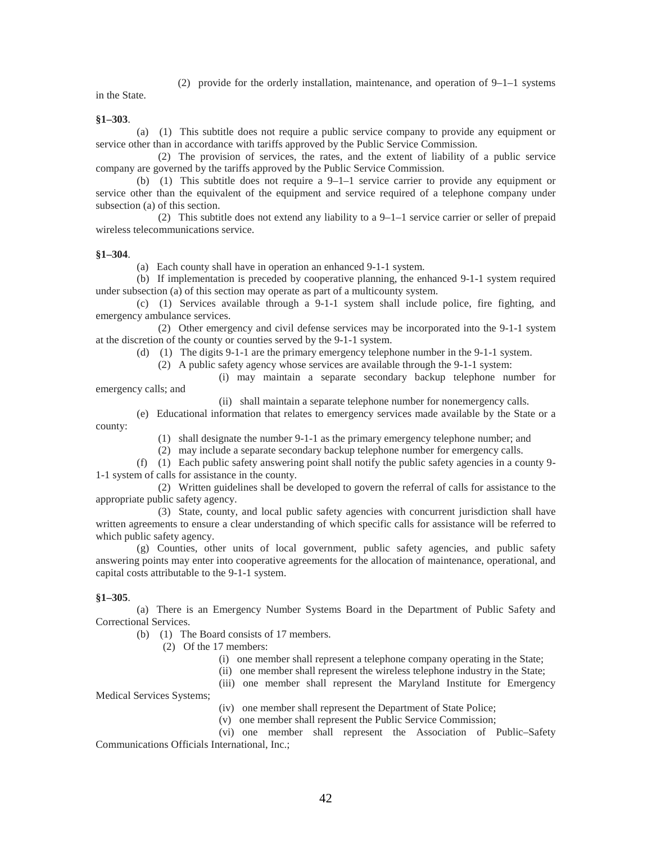(2) provide for the orderly installation, maintenance, and operation of 9–1–1 systems

in the State.

**§1–303**.

(a) (1) This subtitle does not require a public service company to provide any equipment or service other than in accordance with tariffs approved by the Public Service Commission.

(2) The provision of services, the rates, and the extent of liability of a public service company are governed by the tariffs approved by the Public Service Commission.

(b) (1) This subtitle does not require a 9–1–1 service carrier to provide any equipment or service other than the equivalent of the equipment and service required of a telephone company under subsection (a) of this section.

(2) This subtitle does not extend any liability to a 9–1–1 service carrier or seller of prepaid wireless telecommunications service.

#### **§1–304**.

(a) Each county shall have in operation an enhanced 9-1-1 system.

(b) If implementation is preceded by cooperative planning, the enhanced 9-1-1 system required under subsection (a) of this section may operate as part of a multicounty system.

(c) (1) Services available through a 9-1-1 system shall include police, fire fighting, and emergency ambulance services.

(2) Other emergency and civil defense services may be incorporated into the 9-1-1 system at the discretion of the county or counties served by the 9-1-1 system.

(d) (1) The digits 9-1-1 are the primary emergency telephone number in the 9-1-1 system.

(2) A public safety agency whose services are available through the 9-1-1 system:

(i) may maintain a separate secondary backup telephone number for

emergency calls; and

(ii) shall maintain a separate telephone number for nonemergency calls.

(e) Educational information that relates to emergency services made available by the State or a county:

(1) shall designate the number 9-1-1 as the primary emergency telephone number; and

(2) may include a separate secondary backup telephone number for emergency calls.

(f) (1) Each public safety answering point shall notify the public safety agencies in a county 9- 1-1 system of calls for assistance in the county.

(2) Written guidelines shall be developed to govern the referral of calls for assistance to the appropriate public safety agency.

(3) State, county, and local public safety agencies with concurrent jurisdiction shall have written agreements to ensure a clear understanding of which specific calls for assistance will be referred to which public safety agency.

(g) Counties, other units of local government, public safety agencies, and public safety answering points may enter into cooperative agreements for the allocation of maintenance, operational, and capital costs attributable to the 9-1-1 system.

#### **§1–305**.

(a) There is an Emergency Number Systems Board in the Department of Public Safety and Correctional Services.

(b) (1) The Board consists of 17 members.

(2) Of the 17 members:

- (i) one member shall represent a telephone company operating in the State;
- (ii) one member shall represent the wireless telephone industry in the State;

(iii) one member shall represent the Maryland Institute for Emergency

Medical Services Systems;

(iv) one member shall represent the Department of State Police;

(v) one member shall represent the Public Service Commission;

(vi) one member shall represent the Association of Public–Safety Communications Officials International, Inc.;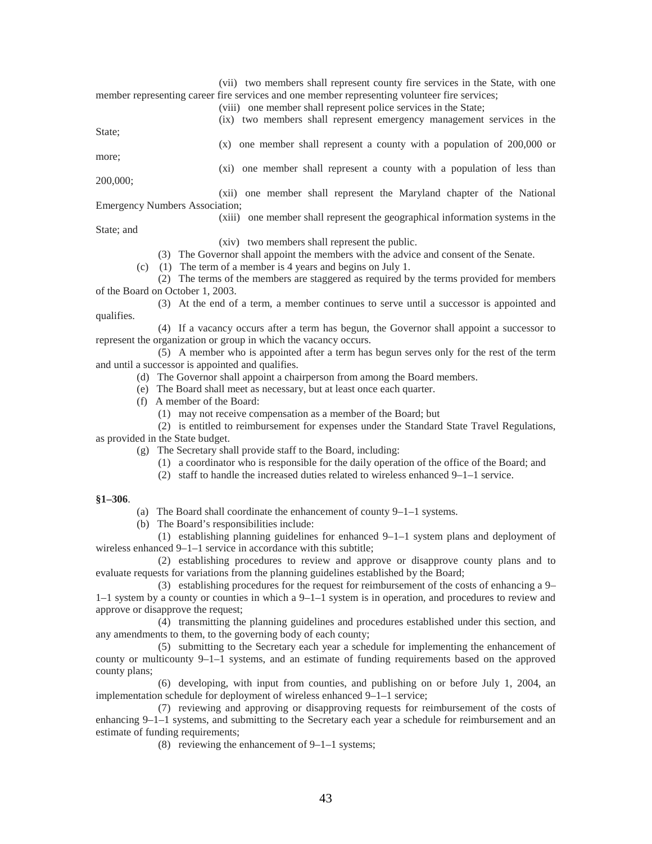(vii) two members shall represent county fire services in the State, with one member representing career fire services and one member representing volunteer fire services;

(viii) one member shall represent police services in the State;

(ix) two members shall represent emergency management services in the

State;

more;

(x) one member shall represent a county with a population of 200,000 or

- 200,000;
- (xi) one member shall represent a county with a population of less than

(xii) one member shall represent the Maryland chapter of the National Emergency Numbers Association;

#### (xiii) one member shall represent the geographical information systems in the

State; and

qualifies.

(xiv) two members shall represent the public.

(3) The Governor shall appoint the members with the advice and consent of the Senate.

(c) (1) The term of a member is 4 years and begins on July 1.

(2) The terms of the members are staggered as required by the terms provided for members of the Board on October 1, 2003.

(3) At the end of a term, a member continues to serve until a successor is appointed and

(4) If a vacancy occurs after a term has begun, the Governor shall appoint a successor to represent the organization or group in which the vacancy occurs.

(5) A member who is appointed after a term has begun serves only for the rest of the term and until a successor is appointed and qualifies.

(d) The Governor shall appoint a chairperson from among the Board members.

- (e) The Board shall meet as necessary, but at least once each quarter.
- (f) A member of the Board:

(1) may not receive compensation as a member of the Board; but

(2) is entitled to reimbursement for expenses under the Standard State Travel Regulations,

as provided in the State budget.

- (g) The Secretary shall provide staff to the Board, including:
	- (1) a coordinator who is responsible for the daily operation of the office of the Board; and
	- (2) staff to handle the increased duties related to wireless enhanced 9–1–1 service.

#### **§1–306**.

- (a) The Board shall coordinate the enhancement of county 9–1–1 systems.
- (b) The Board's responsibilities include:

(1) establishing planning guidelines for enhanced 9–1–1 system plans and deployment of wireless enhanced 9–1–1 service in accordance with this subtitle;

(2) establishing procedures to review and approve or disapprove county plans and to evaluate requests for variations from the planning guidelines established by the Board;

(3) establishing procedures for the request for reimbursement of the costs of enhancing a 9– 1–1 system by a county or counties in which a 9–1–1 system is in operation, and procedures to review and approve or disapprove the request;

(4) transmitting the planning guidelines and procedures established under this section, and any amendments to them, to the governing body of each county;

(5) submitting to the Secretary each year a schedule for implementing the enhancement of county or multicounty 9–1–1 systems, and an estimate of funding requirements based on the approved county plans;

(6) developing, with input from counties, and publishing on or before July 1, 2004, an implementation schedule for deployment of wireless enhanced 9–1–1 service;

(7) reviewing and approving or disapproving requests for reimbursement of the costs of enhancing 9–1–1 systems, and submitting to the Secretary each year a schedule for reimbursement and an estimate of funding requirements;

(8) reviewing the enhancement of 9–1–1 systems;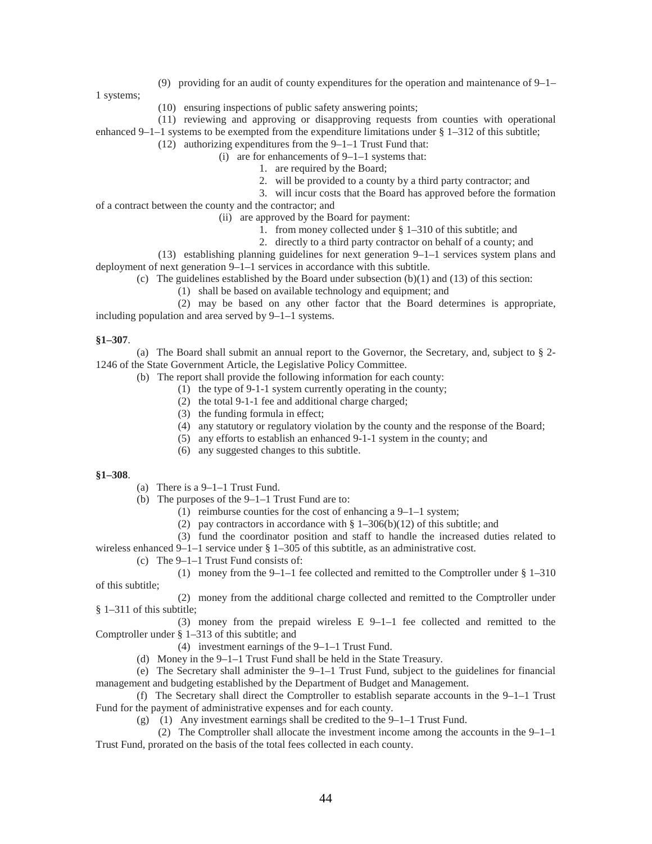(9) providing for an audit of county expenditures for the operation and maintenance of 9–1–

1 systems;

- (10) ensuring inspections of public safety answering points;
- (11) reviewing and approving or disapproving requests from counties with operational enhanced 9–1–1 systems to be exempted from the expenditure limitations under § 1–312 of this subtitle;
	- (12) authorizing expenditures from the 9–1–1 Trust Fund that:
		- (i) are for enhancements of 9–1–1 systems that:
			- 1. are required by the Board;
				- 2. will be provided to a county by a third party contractor; and
	- 3. will incur costs that the Board has approved before the formation
- of a contract between the county and the contractor; and
	- (ii) are approved by the Board for payment:
		- 1. from money collected under § 1–310 of this subtitle; and
	- 2. directly to a third party contractor on behalf of a county; and
- (13) establishing planning guidelines for next generation 9–1–1 services system plans and deployment of next generation 9–1–1 services in accordance with this subtitle.
	- (c) The guidelines established by the Board under subsection  $(b)(1)$  and  $(13)$  of this section:
		- (1) shall be based on available technology and equipment; and

(2) may be based on any other factor that the Board determines is appropriate, including population and area served by 9–1–1 systems.

#### **§1–307**.

(a) The Board shall submit an annual report to the Governor, the Secretary, and, subject to § 2- 1246 of the State Government Article, the Legislative Policy Committee.

- (b) The report shall provide the following information for each county:
	- (1) the type of 9-1-1 system currently operating in the county;
	- (2) the total 9-1-1 fee and additional charge charged;
	- (3) the funding formula in effect;
	- (4) any statutory or regulatory violation by the county and the response of the Board;
	- (5) any efforts to establish an enhanced 9-1-1 system in the county; and
	- (6) any suggested changes to this subtitle.

#### **§1–308**.

- (a) There is a 9–1–1 Trust Fund.
- (b) The purposes of the 9–1–1 Trust Fund are to:
	- (1) reimburse counties for the cost of enhancing a 9–1–1 system;
	- (2) pay contractors in accordance with  $\S$  1–306(b)(12) of this subtitle; and
	- (3) fund the coordinator position and staff to handle the increased duties related to

wireless enhanced  $9-1-1$  service under § 1-305 of this subtitle, as an administrative cost.

(c) The 9–1–1 Trust Fund consists of:

(1) money from the 9–1–1 fee collected and remitted to the Comptroller under § 1–310 of this subtitle;

(2) money from the additional charge collected and remitted to the Comptroller under § 1–311 of this subtitle;

(3) money from the prepaid wireless  $E_2$  9–1–1 fee collected and remitted to the Comptroller under § 1–313 of this subtitle; and

- (4) investment earnings of the 9–1–1 Trust Fund.
- (d) Money in the 9–1–1 Trust Fund shall be held in the State Treasury.

(e) The Secretary shall administer the 9–1–1 Trust Fund, subject to the guidelines for financial management and budgeting established by the Department of Budget and Management.

(f) The Secretary shall direct the Comptroller to establish separate accounts in the 9–1–1 Trust Fund for the payment of administrative expenses and for each county.

(g) (1) Any investment earnings shall be credited to the 9–1–1 Trust Fund.

(2) The Comptroller shall allocate the investment income among the accounts in the 9–1–1 Trust Fund, prorated on the basis of the total fees collected in each county.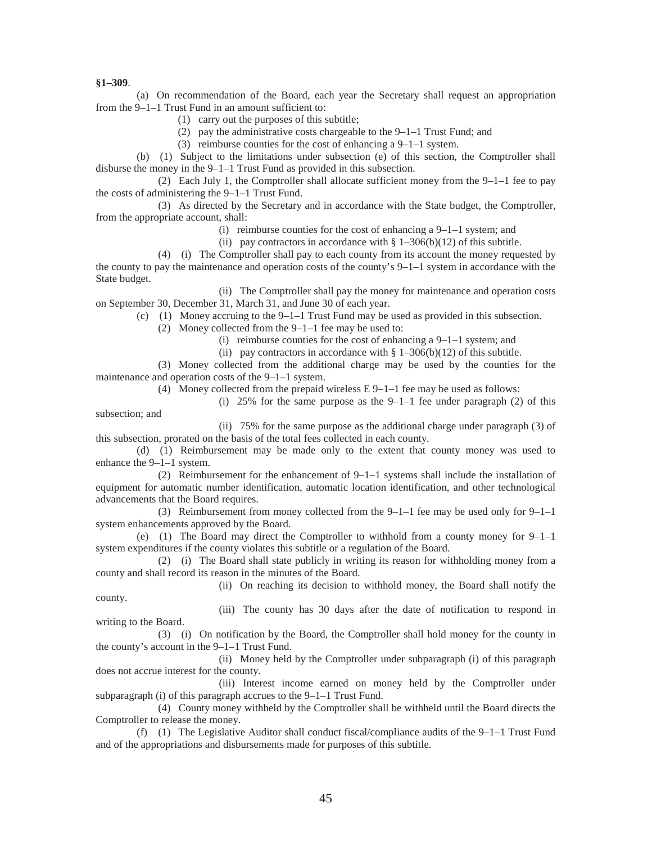**§1–309**.

(a) On recommendation of the Board, each year the Secretary shall request an appropriation from the 9–1–1 Trust Fund in an amount sufficient to:

(1) carry out the purposes of this subtitle;

(2) pay the administrative costs chargeable to the 9–1–1 Trust Fund; and

(3) reimburse counties for the cost of enhancing a 9–1–1 system.

(b) (1) Subject to the limitations under subsection (e) of this section, the Comptroller shall disburse the money in the 9–1–1 Trust Fund as provided in this subsection.

(2) Each July 1, the Comptroller shall allocate sufficient money from the  $9-1-1$  fee to pay the costs of administering the 9–1–1 Trust Fund.

(3) As directed by the Secretary and in accordance with the State budget, the Comptroller, from the appropriate account, shall:

(i) reimburse counties for the cost of enhancing a 9–1–1 system; and

(ii) pay contractors in accordance with  $\S 1-306(b)(12)$  of this subtitle.

(4) (i) The Comptroller shall pay to each county from its account the money requested by the county to pay the maintenance and operation costs of the county's  $9-1-1$  system in accordance with the State budget.

(ii) The Comptroller shall pay the money for maintenance and operation costs on September 30, December 31, March 31, and June 30 of each year.

(c) (1) Money accruing to the  $9-1-1$  Trust Fund may be used as provided in this subsection.

(2) Money collected from the 9–1–1 fee may be used to:

- (i) reimburse counties for the cost of enhancing a 9–1–1 system; and
- (ii) pay contractors in accordance with  $\S 1-306(b)(12)$  of this subtitle.

(3) Money collected from the additional charge may be used by the counties for the maintenance and operation costs of the 9–1–1 system.

(4) Money collected from the prepaid wireless E 9–1–1 fee may be used as follows:

(i) 25% for the same purpose as the  $9-1-1$  fee under paragraph (2) of this subsection; and

(ii) 75% for the same purpose as the additional charge under paragraph (3) of this subsection, prorated on the basis of the total fees collected in each county.

(d) (1) Reimbursement may be made only to the extent that county money was used to enhance the 9–1–1 system.

(2) Reimbursement for the enhancement of 9–1–1 systems shall include the installation of equipment for automatic number identification, automatic location identification, and other technological advancements that the Board requires.

(3) Reimbursement from money collected from the 9–1–1 fee may be used only for 9–1–1 system enhancements approved by the Board.

(e) (1) The Board may direct the Comptroller to withhold from a county money for 9–1–1 system expenditures if the county violates this subtitle or a regulation of the Board.

(2) (i) The Board shall state publicly in writing its reason for withholding money from a county and shall record its reason in the minutes of the Board.

(ii) On reaching its decision to withhold money, the Board shall notify the

county.

(iii) The county has 30 days after the date of notification to respond in writing to the Board.

(3) (i) On notification by the Board, the Comptroller shall hold money for the county in the county's account in the 9–1–1 Trust Fund.

(ii) Money held by the Comptroller under subparagraph (i) of this paragraph does not accrue interest for the county.

(iii) Interest income earned on money held by the Comptroller under subparagraph (i) of this paragraph accrues to the 9–1–1 Trust Fund.

(4) County money withheld by the Comptroller shall be withheld until the Board directs the Comptroller to release the money.

(f) (1) The Legislative Auditor shall conduct fiscal/compliance audits of the 9–1–1 Trust Fund and of the appropriations and disbursements made for purposes of this subtitle.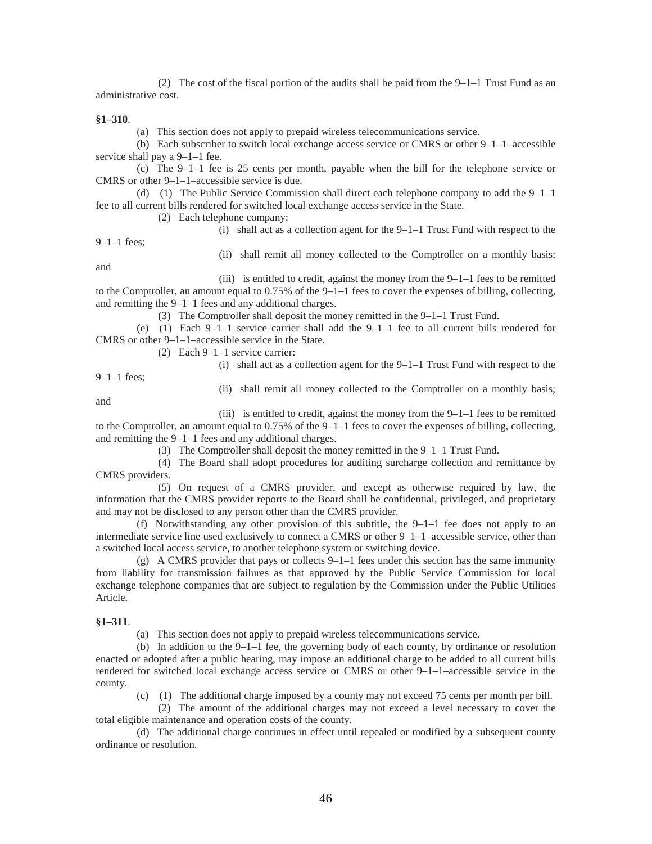(2) The cost of the fiscal portion of the audits shall be paid from the  $9-1-1$  Trust Fund as an administrative cost.

#### **§1–310**.

(a) This section does not apply to prepaid wireless telecommunications service.

(b) Each subscriber to switch local exchange access service or CMRS or other  $9-1-1$ –accessible service shall pay a 9–1–1 fee.

(c) The 9–1–1 fee is 25 cents per month, payable when the bill for the telephone service or CMRS or other 9–1–1–accessible service is due.

(d) (1) The Public Service Commission shall direct each telephone company to add the 9–1–1 fee to all current bills rendered for switched local exchange access service in the State.

(2) Each telephone company:

(i) shall act as a collection agent for the 9–1–1 Trust Fund with respect to the

9–1–1 fees;

(ii) shall remit all money collected to the Comptroller on a monthly basis;

and

(iii) is entitled to credit, against the money from the 9–1–1 fees to be remitted to the Comptroller, an amount equal to 0.75% of the 9–1–1 fees to cover the expenses of billing, collecting, and remitting the 9–1–1 fees and any additional charges.

(3) The Comptroller shall deposit the money remitted in the 9–1–1 Trust Fund.

(e) (1) Each  $9-1-1$  service carrier shall add the  $9-1-1$  fee to all current bills rendered for CMRS or other 9–1–1–accessible service in the State.

(2) Each 9–1–1 service carrier:

(i) shall act as a collection agent for the 9–1–1 Trust Fund with respect to the

9–1–1 fees;

(ii) shall remit all money collected to the Comptroller on a monthly basis;

and

(iii) is entitled to credit, against the money from the  $9-1-1$  fees to be remitted to the Comptroller, an amount equal to 0.75% of the 9–1–1 fees to cover the expenses of billing, collecting, and remitting the 9–1–1 fees and any additional charges.

(3) The Comptroller shall deposit the money remitted in the 9–1–1 Trust Fund.

(4) The Board shall adopt procedures for auditing surcharge collection and remittance by CMRS providers.

(5) On request of a CMRS provider, and except as otherwise required by law, the information that the CMRS provider reports to the Board shall be confidential, privileged, and proprietary and may not be disclosed to any person other than the CMRS provider.

(f) Notwithstanding any other provision of this subtitle, the  $9-1-1$  fee does not apply to an intermediate service line used exclusively to connect a CMRS or other 9–1–1–accessible service, other than a switched local access service, to another telephone system or switching device.

(g) A CMRS provider that pays or collects 9–1–1 fees under this section has the same immunity from liability for transmission failures as that approved by the Public Service Commission for local exchange telephone companies that are subject to regulation by the Commission under the Public Utilities Article.

#### **§1–311**.

(a) This section does not apply to prepaid wireless telecommunications service.

(b) In addition to the  $9-1-1$  fee, the governing body of each county, by ordinance or resolution enacted or adopted after a public hearing, may impose an additional charge to be added to all current bills rendered for switched local exchange access service or CMRS or other 9–1–1–accessible service in the county.

(c) (1) The additional charge imposed by a county may not exceed 75 cents per month per bill.

(2) The amount of the additional charges may not exceed a level necessary to cover the total eligible maintenance and operation costs of the county.

(d) The additional charge continues in effect until repealed or modified by a subsequent county ordinance or resolution.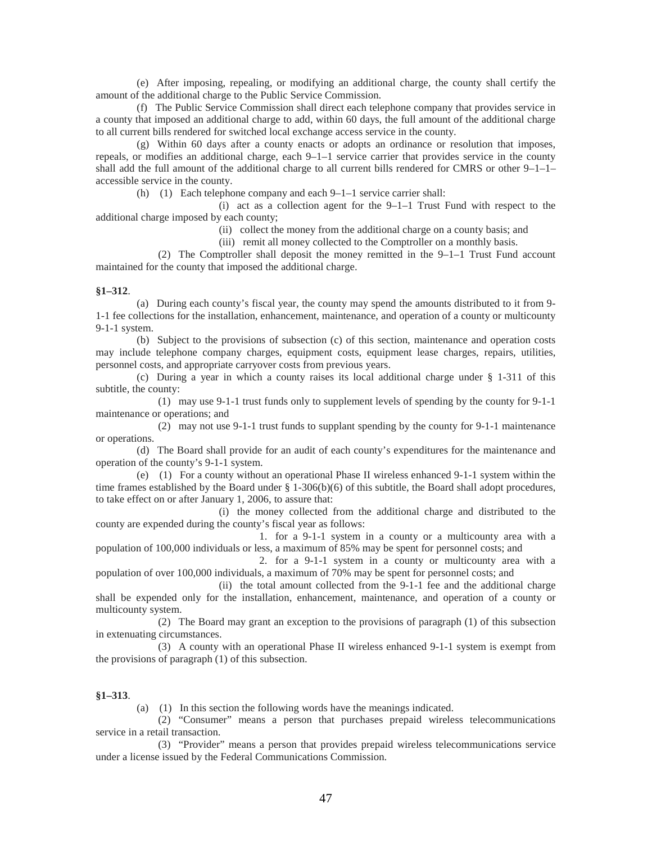(e) After imposing, repealing, or modifying an additional charge, the county shall certify the amount of the additional charge to the Public Service Commission.

(f) The Public Service Commission shall direct each telephone company that provides service in a county that imposed an additional charge to add, within 60 days, the full amount of the additional charge to all current bills rendered for switched local exchange access service in the county.

(g) Within 60 days after a county enacts or adopts an ordinance or resolution that imposes, repeals, or modifies an additional charge, each 9–1–1 service carrier that provides service in the county shall add the full amount of the additional charge to all current bills rendered for CMRS or other  $9-1-1$ accessible service in the county.

(h) (1) Each telephone company and each 9–1–1 service carrier shall:

(i) act as a collection agent for the 9–1–1 Trust Fund with respect to the additional charge imposed by each county;

(ii) collect the money from the additional charge on a county basis; and

(iii) remit all money collected to the Comptroller on a monthly basis.

(2) The Comptroller shall deposit the money remitted in the 9–1–1 Trust Fund account maintained for the county that imposed the additional charge.

#### **§1–312**.

(a) During each county's fiscal year, the county may spend the amounts distributed to it from 9- 1-1 fee collections for the installation, enhancement, maintenance, and operation of a county or multicounty 9-1-1 system.

(b) Subject to the provisions of subsection (c) of this section, maintenance and operation costs may include telephone company charges, equipment costs, equipment lease charges, repairs, utilities, personnel costs, and appropriate carryover costs from previous years.

(c) During a year in which a county raises its local additional charge under § 1-311 of this subtitle, the county:

(1) may use 9-1-1 trust funds only to supplement levels of spending by the county for 9-1-1 maintenance or operations; and

(2) may not use 9-1-1 trust funds to supplant spending by the county for 9-1-1 maintenance or operations.

(d) The Board shall provide for an audit of each county's expenditures for the maintenance and operation of the county's 9-1-1 system.

(e) (1) For a county without an operational Phase II wireless enhanced 9-1-1 system within the time frames established by the Board under § 1-306(b)(6) of this subtitle, the Board shall adopt procedures, to take effect on or after January 1, 2006, to assure that:

(i) the money collected from the additional charge and distributed to the county are expended during the county's fiscal year as follows:

1. for a 9-1-1 system in a county or a multicounty area with a population of 100,000 individuals or less, a maximum of 85% may be spent for personnel costs; and

2. for a 9-1-1 system in a county or multicounty area with a population of over 100,000 individuals, a maximum of 70% may be spent for personnel costs; and

(ii) the total amount collected from the 9-1-1 fee and the additional charge shall be expended only for the installation, enhancement, maintenance, and operation of a county or multicounty system.

(2) The Board may grant an exception to the provisions of paragraph (1) of this subsection in extenuating circumstances.

(3) A county with an operational Phase II wireless enhanced 9-1-1 system is exempt from the provisions of paragraph (1) of this subsection.

#### **§1–313**.

(a) (1) In this section the following words have the meanings indicated.

(2) "Consumer" means a person that purchases prepaid wireless telecommunications service in a retail transaction.

(3) "Provider" means a person that provides prepaid wireless telecommunications service under a license issued by the Federal Communications Commission.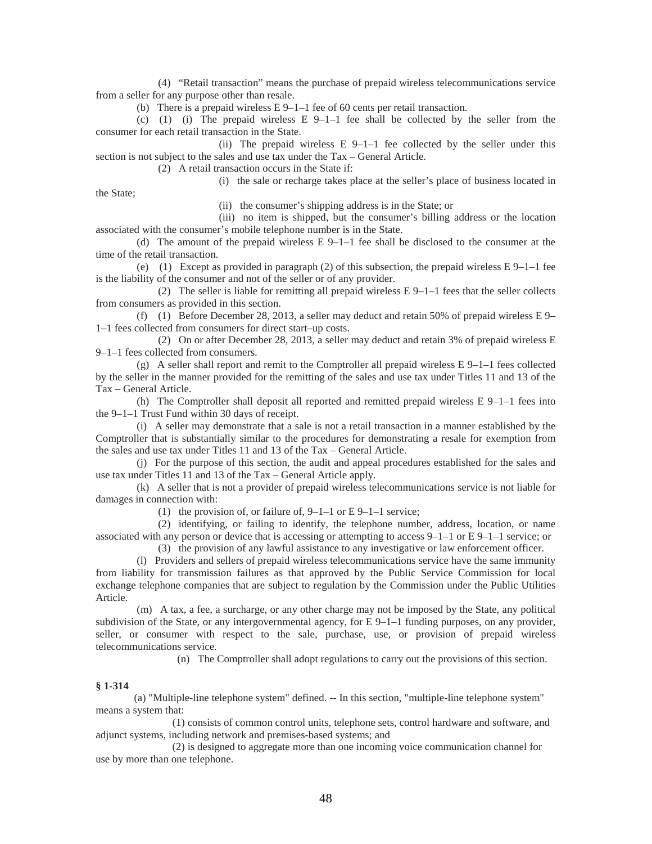(4) "Retail transaction" means the purchase of prepaid wireless telecommunications service from a seller for any purpose other than resale.

(b) There is a prepaid wireless E 9–1–1 fee of 60 cents per retail transaction.

(c) (1) (i) The prepaid wireless  $E \ 9-1-1$  fee shall be collected by the seller from the consumer for each retail transaction in the State.

(ii) The prepaid wireless E 9–1–1 fee collected by the seller under this section is not subject to the sales and use tax under the Tax – General Article.

(2) A retail transaction occurs in the State if:

(i) the sale or recharge takes place at the seller's place of business located in

the State;

(ii) the consumer's shipping address is in the State; or

(iii) no item is shipped, but the consumer's billing address or the location associated with the consumer's mobile telephone number is in the State.

(d) The amount of the prepaid wireless  $E$  9–1–1 fee shall be disclosed to the consumer at the time of the retail transaction.

(e) (1) Except as provided in paragraph (2) of this subsection, the prepaid wireless  $E\left(9-1-1\right)$  fee is the liability of the consumer and not of the seller or of any provider.

(2) The seller is liable for remitting all prepaid wireless  $E\left(9-1\right)-1$  fees that the seller collects from consumers as provided in this section.

(f) (1) Before December 28, 2013, a seller may deduct and retain 50% of prepaid wireless E 9– 1–1 fees collected from consumers for direct start–up costs.

(2) On or after December 28, 2013, a seller may deduct and retain 3% of prepaid wireless E 9–1–1 fees collected from consumers.

(g) A seller shall report and remit to the Comptroller all prepaid wireless  $E\left(9-1-1\right)$  fees collected by the seller in the manner provided for the remitting of the sales and use tax under Titles 11 and 13 of the Tax – General Article.

(h) The Comptroller shall deposit all reported and remitted prepaid wireless  $E\left[9-1-1\right]$  fees into the 9–1–1 Trust Fund within 30 days of receipt.

(i) A seller may demonstrate that a sale is not a retail transaction in a manner established by the Comptroller that is substantially similar to the procedures for demonstrating a resale for exemption from the sales and use tax under Titles 11 and 13 of the Tax – General Article.

(j) For the purpose of this section, the audit and appeal procedures established for the sales and use tax under Titles 11 and 13 of the Tax – General Article apply.

(k) A seller that is not a provider of prepaid wireless telecommunications service is not liable for damages in connection with:

(1) the provision of, or failure of,  $9-1-1$  or E  $9-1-1$  service;

(2) identifying, or failing to identify, the telephone number, address, location, or name associated with any person or device that is accessing or attempting to access  $9-1-1$  or E $9-1-1$  service; or

(3) the provision of any lawful assistance to any investigative or law enforcement officer.

(l) Providers and sellers of prepaid wireless telecommunications service have the same immunity from liability for transmission failures as that approved by the Public Service Commission for local exchange telephone companies that are subject to regulation by the Commission under the Public Utilities Article.

(m) A tax, a fee, a surcharge, or any other charge may not be imposed by the State, any political subdivision of the State, or any intergovernmental agency, for  $E\left[9-1-1\right]$  funding purposes, on any provider, seller, or consumer with respect to the sale, purchase, use, or provision of prepaid wireless telecommunications service.

(n) The Comptroller shall adopt regulations to carry out the provisions of this section.

#### **§ 1-314**

 (a) "Multiple-line telephone system" defined. -- In this section, "multiple-line telephone system" means a system that:

 (1) consists of common control units, telephone sets, control hardware and software, and adjunct systems, including network and premises-based systems; and

 (2) is designed to aggregate more than one incoming voice communication channel for use by more than one telephone.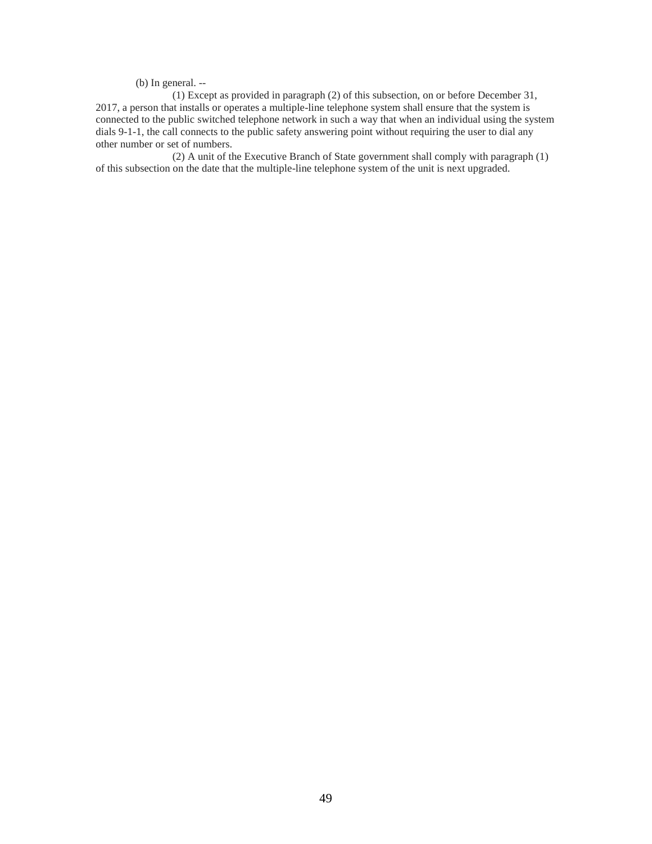(b) In general. --

 (1) Except as provided in paragraph (2) of this subsection, on or before December 31, 2017, a person that installs or operates a multiple-line telephone system shall ensure that the system is connected to the public switched telephone network in such a way that when an individual using the system dials 9-1-1, the call connects to the public safety answering point without requiring the user to dial any other number or set of numbers.

 (2) A unit of the Executive Branch of State government shall comply with paragraph (1) of this subsection on the date that the multiple-line telephone system of the unit is next upgraded.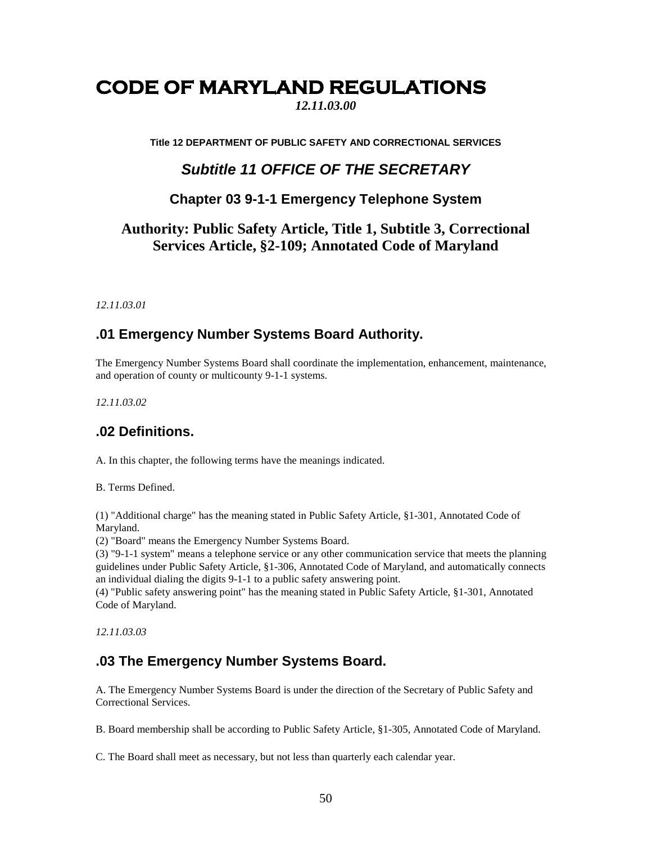# <span id="page-50-0"></span>**CODE OF MARYLAND REGULATIONS**

*12.11.03.00*

**Title 12 DEPARTMENT OF PUBLIC SAFETY AND CORRECTIONAL SERVICES** 

# *Subtitle 11 OFFICE OF THE SECRETARY*

# **Chapter 03 9-1-1 Emergency Telephone System**

# **Authority: Public Safety Article, Title 1, Subtitle 3, Correctional Services Article, §2-109; Annotated Code of Maryland**

*12.11.03.01* 

# **.01 Emergency Number Systems Board Authority.**

The Emergency Number Systems Board shall coordinate the implementation, enhancement, maintenance, and operation of county or multicounty 9-1-1 systems.

*12.11.03.02* 

# **.02 Definitions.**

A. In this chapter, the following terms have the meanings indicated.

B. Terms Defined.

(1) "Additional charge" has the meaning stated in Public Safety Article, §1-301, Annotated Code of Maryland.

(2) "Board" means the Emergency Number Systems Board.

(3) "9-1-1 system" means a telephone service or any other communication service that meets the planning guidelines under Public Safety Article, §1-306, Annotated Code of Maryland, and automatically connects an individual dialing the digits 9-1-1 to a public safety answering point.

(4) "Public safety answering point" has the meaning stated in Public Safety Article, §1-301, Annotated Code of Maryland.

*12.11.03.03* 

# **.03 The Emergency Number Systems Board.**

A. The Emergency Number Systems Board is under the direction of the Secretary of Public Safety and Correctional Services.

B. Board membership shall be according to Public Safety Article, §1-305, Annotated Code of Maryland.

C. The Board shall meet as necessary, but not less than quarterly each calendar year.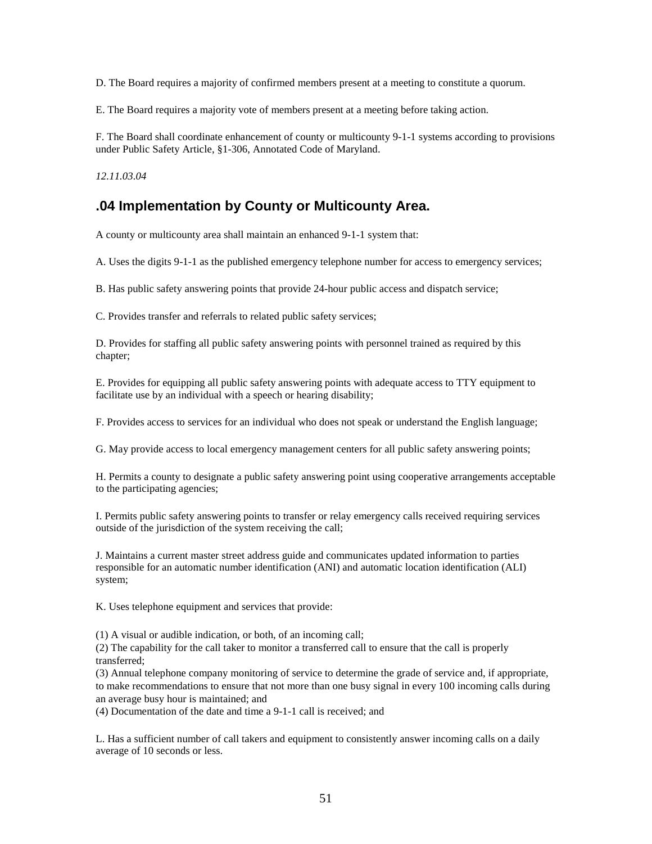D. The Board requires a majority of confirmed members present at a meeting to constitute a quorum.

E. The Board requires a majority vote of members present at a meeting before taking action.

F. The Board shall coordinate enhancement of county or multicounty 9-1-1 systems according to provisions under Public Safety Article, §1-306, Annotated Code of Maryland.

*12.11.03.04* 

# **.04 Implementation by County or Multicounty Area.**

A county or multicounty area shall maintain an enhanced 9-1-1 system that:

A. Uses the digits 9-1-1 as the published emergency telephone number for access to emergency services;

B. Has public safety answering points that provide 24-hour public access and dispatch service;

C. Provides transfer and referrals to related public safety services;

D. Provides for staffing all public safety answering points with personnel trained as required by this chapter;

E. Provides for equipping all public safety answering points with adequate access to TTY equipment to facilitate use by an individual with a speech or hearing disability;

F. Provides access to services for an individual who does not speak or understand the English language;

G. May provide access to local emergency management centers for all public safety answering points;

H. Permits a county to designate a public safety answering point using cooperative arrangements acceptable to the participating agencies;

I. Permits public safety answering points to transfer or relay emergency calls received requiring services outside of the jurisdiction of the system receiving the call;

J. Maintains a current master street address guide and communicates updated information to parties responsible for an automatic number identification (ANI) and automatic location identification (ALI) system;

K. Uses telephone equipment and services that provide:

(1) A visual or audible indication, or both, of an incoming call;

(2) The capability for the call taker to monitor a transferred call to ensure that the call is properly transferred;

(3) Annual telephone company monitoring of service to determine the grade of service and, if appropriate, to make recommendations to ensure that not more than one busy signal in every 100 incoming calls during an average busy hour is maintained; and

(4) Documentation of the date and time a 9-1-1 call is received; and

L. Has a sufficient number of call takers and equipment to consistently answer incoming calls on a daily average of 10 seconds or less.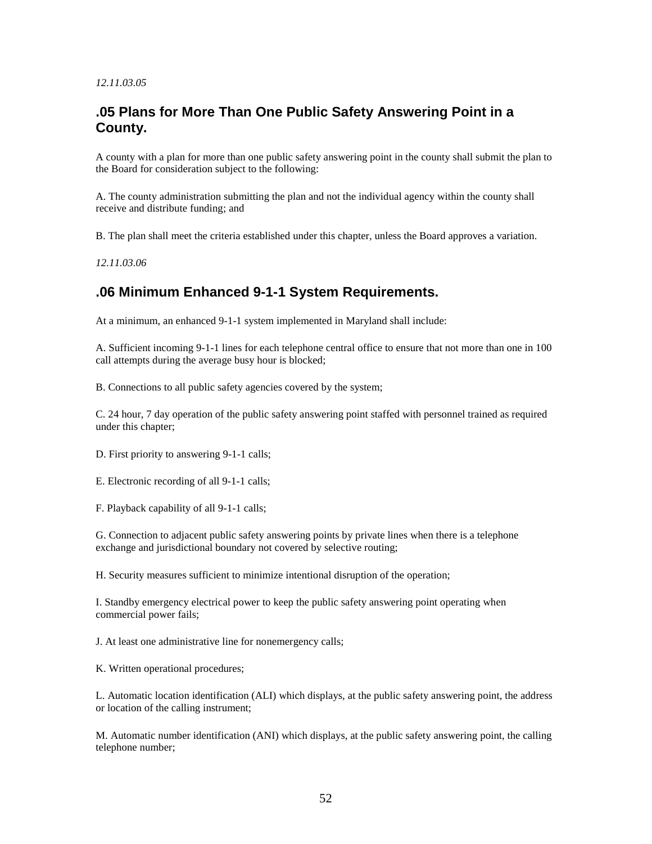#### *12.11.03.05*

# **.05 Plans for More Than One Public Safety Answering Point in a County.**

A county with a plan for more than one public safety answering point in the county shall submit the plan to the Board for consideration subject to the following:

A. The county administration submitting the plan and not the individual agency within the county shall receive and distribute funding; and

B. The plan shall meet the criteria established under this chapter, unless the Board approves a variation.

*12.11.03.06* 

# **.06 Minimum Enhanced 9-1-1 System Requirements.**

At a minimum, an enhanced 9-1-1 system implemented in Maryland shall include:

A. Sufficient incoming 9-1-1 lines for each telephone central office to ensure that not more than one in 100 call attempts during the average busy hour is blocked;

B. Connections to all public safety agencies covered by the system;

C. 24 hour, 7 day operation of the public safety answering point staffed with personnel trained as required under this chapter;

D. First priority to answering 9-1-1 calls;

E. Electronic recording of all 9-1-1 calls;

F. Playback capability of all 9-1-1 calls;

G. Connection to adjacent public safety answering points by private lines when there is a telephone exchange and jurisdictional boundary not covered by selective routing;

H. Security measures sufficient to minimize intentional disruption of the operation;

I. Standby emergency electrical power to keep the public safety answering point operating when commercial power fails;

J. At least one administrative line for nonemergency calls;

K. Written operational procedures;

L. Automatic location identification (ALI) which displays, at the public safety answering point, the address or location of the calling instrument;

M. Automatic number identification (ANI) which displays, at the public safety answering point, the calling telephone number;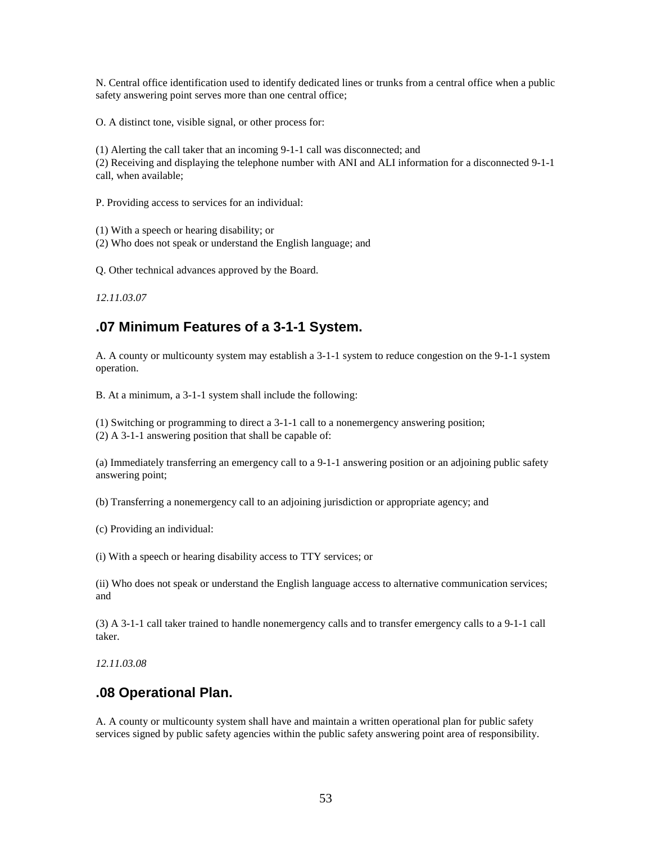N. Central office identification used to identify dedicated lines or trunks from a central office when a public safety answering point serves more than one central office;

O. A distinct tone, visible signal, or other process for:

(1) Alerting the call taker that an incoming 9-1-1 call was disconnected; and

(2) Receiving and displaying the telephone number with ANI and ALI information for a disconnected 9-1-1 call, when available;

P. Providing access to services for an individual:

(1) With a speech or hearing disability; or

(2) Who does not speak or understand the English language; and

Q. Other technical advances approved by the Board.

*12.11.03.07* 

# **.07 Minimum Features of a 3-1-1 System.**

A. A county or multicounty system may establish a 3-1-1 system to reduce congestion on the 9-1-1 system operation.

B. At a minimum, a 3-1-1 system shall include the following:

(1) Switching or programming to direct a 3-1-1 call to a nonemergency answering position;

(2) A 3-1-1 answering position that shall be capable of:

(a) Immediately transferring an emergency call to a 9-1-1 answering position or an adjoining public safety answering point;

(b) Transferring a nonemergency call to an adjoining jurisdiction or appropriate agency; and

(c) Providing an individual:

(i) With a speech or hearing disability access to TTY services; or

(ii) Who does not speak or understand the English language access to alternative communication services; and

(3) A 3-1-1 call taker trained to handle nonemergency calls and to transfer emergency calls to a 9-1-1 call taker.

*12.11.03.08* 

## **.08 Operational Plan.**

A. A county or multicounty system shall have and maintain a written operational plan for public safety services signed by public safety agencies within the public safety answering point area of responsibility.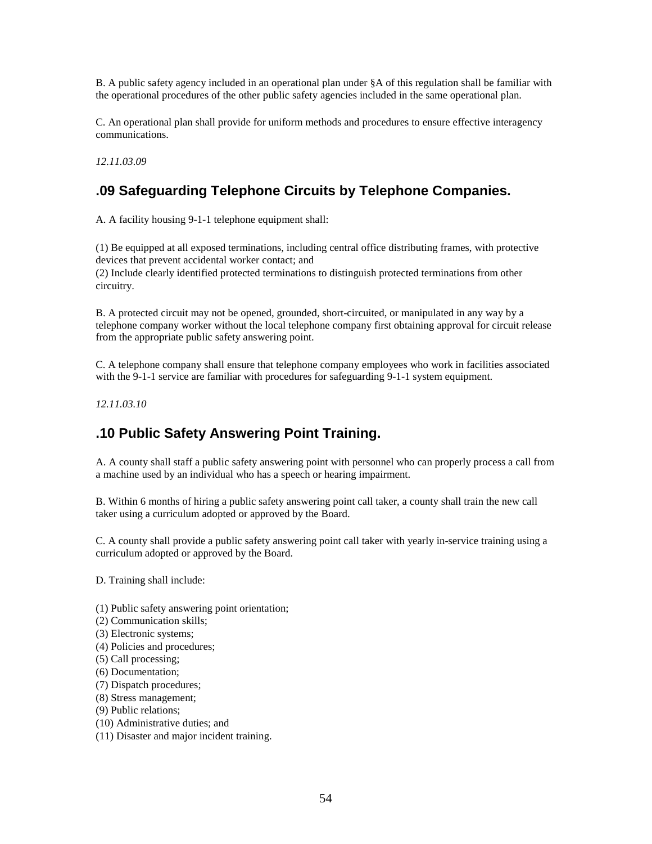B. A public safety agency included in an operational plan under §A of this regulation shall be familiar with the operational procedures of the other public safety agencies included in the same operational plan.

C. An operational plan shall provide for uniform methods and procedures to ensure effective interagency communications.

*12.11.03.09* 

# **.09 Safeguarding Telephone Circuits by Telephone Companies.**

A. A facility housing 9-1-1 telephone equipment shall:

(1) Be equipped at all exposed terminations, including central office distributing frames, with protective devices that prevent accidental worker contact; and (2) Include clearly identified protected terminations to distinguish protected terminations from other circuitry.

B. A protected circuit may not be opened, grounded, short-circuited, or manipulated in any way by a telephone company worker without the local telephone company first obtaining approval for circuit release from the appropriate public safety answering point.

C. A telephone company shall ensure that telephone company employees who work in facilities associated with the 9-1-1 service are familiar with procedures for safeguarding 9-1-1 system equipment.

*12.11.03.10* 

# **.10 Public Safety Answering Point Training.**

A. A county shall staff a public safety answering point with personnel who can properly process a call from a machine used by an individual who has a speech or hearing impairment.

B. Within 6 months of hiring a public safety answering point call taker, a county shall train the new call taker using a curriculum adopted or approved by the Board.

C. A county shall provide a public safety answering point call taker with yearly in-service training using a curriculum adopted or approved by the Board.

D. Training shall include:

- (1) Public safety answering point orientation;
- (2) Communication skills;
- (3) Electronic systems;
- (4) Policies and procedures;
- (5) Call processing;
- (6) Documentation;
- (7) Dispatch procedures;
- (8) Stress management;
- (9) Public relations;
- (10) Administrative duties; and
- (11) Disaster and major incident training.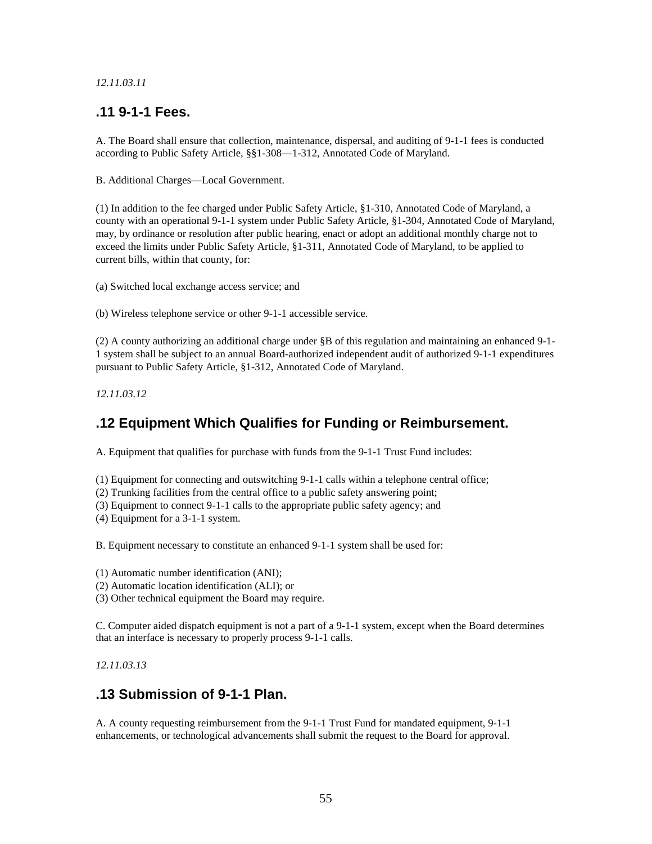#### *12.11.03.11*

# **.11 9-1-1 Fees.**

A. The Board shall ensure that collection, maintenance, dispersal, and auditing of 9-1-1 fees is conducted according to Public Safety Article, §§1-308—1-312, Annotated Code of Maryland.

B. Additional Charges—Local Government.

(1) In addition to the fee charged under Public Safety Article, §1-310, Annotated Code of Maryland, a county with an operational 9-1-1 system under Public Safety Article, §1-304, Annotated Code of Maryland, may, by ordinance or resolution after public hearing, enact or adopt an additional monthly charge not to exceed the limits under Public Safety Article, §1-311, Annotated Code of Maryland, to be applied to current bills, within that county, for:

(a) Switched local exchange access service; and

(b) Wireless telephone service or other 9-1-1 accessible service.

(2) A county authorizing an additional charge under §B of this regulation and maintaining an enhanced 9-1- 1 system shall be subject to an annual Board-authorized independent audit of authorized 9-1-1 expenditures pursuant to Public Safety Article, §1-312, Annotated Code of Maryland.

*12.11.03.12* 

# **.12 Equipment Which Qualifies for Funding or Reimbursement.**

A. Equipment that qualifies for purchase with funds from the 9-1-1 Trust Fund includes:

(1) Equipment for connecting and outswitching 9-1-1 calls within a telephone central office;

- (2) Trunking facilities from the central office to a public safety answering point;
- (3) Equipment to connect 9-1-1 calls to the appropriate public safety agency; and
- (4) Equipment for a 3-1-1 system.

B. Equipment necessary to constitute an enhanced 9-1-1 system shall be used for:

(1) Automatic number identification (ANI);

(2) Automatic location identification (ALI); or

(3) Other technical equipment the Board may require.

C. Computer aided dispatch equipment is not a part of a 9-1-1 system, except when the Board determines that an interface is necessary to properly process 9-1-1 calls.

*12.11.03.13* 

## **.13 Submission of 9-1-1 Plan.**

A. A county requesting reimbursement from the 9-1-1 Trust Fund for mandated equipment, 9-1-1 enhancements, or technological advancements shall submit the request to the Board for approval.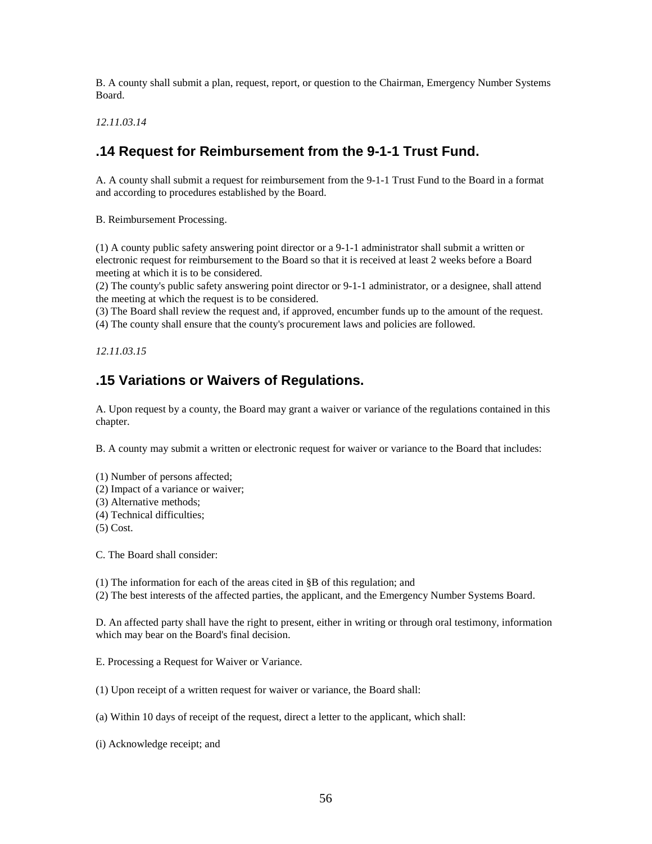B. A county shall submit a plan, request, report, or question to the Chairman, Emergency Number Systems Board.

*12.11.03.14* 

# **.14 Request for Reimbursement from the 9-1-1 Trust Fund.**

A. A county shall submit a request for reimbursement from the 9-1-1 Trust Fund to the Board in a format and according to procedures established by the Board.

B. Reimbursement Processing.

(1) A county public safety answering point director or a 9-1-1 administrator shall submit a written or electronic request for reimbursement to the Board so that it is received at least 2 weeks before a Board meeting at which it is to be considered.

(2) The county's public safety answering point director or 9-1-1 administrator, or a designee, shall attend the meeting at which the request is to be considered.

(3) The Board shall review the request and, if approved, encumber funds up to the amount of the request.

(4) The county shall ensure that the county's procurement laws and policies are followed.

*12.11.03.15* 

# **.15 Variations or Waivers of Regulations.**

A. Upon request by a county, the Board may grant a waiver or variance of the regulations contained in this chapter.

B. A county may submit a written or electronic request for waiver or variance to the Board that includes:

(1) Number of persons affected;

- (2) Impact of a variance or waiver;
- (3) Alternative methods;
- (4) Technical difficulties;
- (5) Cost.

C. The Board shall consider:

(1) The information for each of the areas cited in §B of this regulation; and

(2) The best interests of the affected parties, the applicant, and the Emergency Number Systems Board.

D. An affected party shall have the right to present, either in writing or through oral testimony, information which may bear on the Board's final decision.

E. Processing a Request for Waiver or Variance.

(1) Upon receipt of a written request for waiver or variance, the Board shall:

(a) Within 10 days of receipt of the request, direct a letter to the applicant, which shall:

(i) Acknowledge receipt; and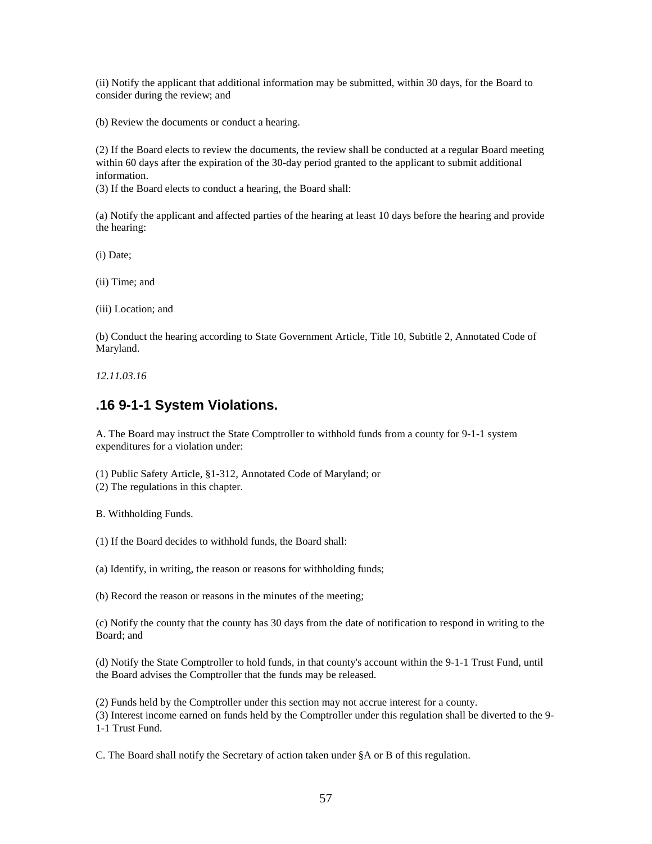(ii) Notify the applicant that additional information may be submitted, within 30 days, for the Board to consider during the review; and

(b) Review the documents or conduct a hearing.

(2) If the Board elects to review the documents, the review shall be conducted at a regular Board meeting within 60 days after the expiration of the 30-day period granted to the applicant to submit additional information.

(3) If the Board elects to conduct a hearing, the Board shall:

(a) Notify the applicant and affected parties of the hearing at least 10 days before the hearing and provide the hearing:

(i) Date;

(ii) Time; and

(iii) Location; and

(b) Conduct the hearing according to State Government Article, Title 10, Subtitle 2, Annotated Code of Maryland.

*12.11.03.16* 

## **.16 9-1-1 System Violations.**

A. The Board may instruct the State Comptroller to withhold funds from a county for 9-1-1 system expenditures for a violation under:

(1) Public Safety Article, §1-312, Annotated Code of Maryland; or

(2) The regulations in this chapter.

B. Withholding Funds.

(1) If the Board decides to withhold funds, the Board shall:

(a) Identify, in writing, the reason or reasons for withholding funds;

(b) Record the reason or reasons in the minutes of the meeting;

(c) Notify the county that the county has 30 days from the date of notification to respond in writing to the Board; and

(d) Notify the State Comptroller to hold funds, in that county's account within the 9-1-1 Trust Fund, until the Board advises the Comptroller that the funds may be released.

(2) Funds held by the Comptroller under this section may not accrue interest for a county.

(3) Interest income earned on funds held by the Comptroller under this regulation shall be diverted to the 9- 1-1 Trust Fund.

C. The Board shall notify the Secretary of action taken under §A or B of this regulation.